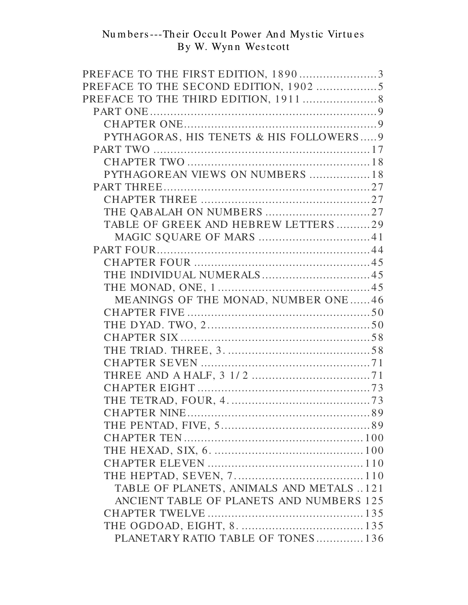| PREFACE TO THE FIRST EDITION, 18903      |  |
|------------------------------------------|--|
|                                          |  |
|                                          |  |
|                                          |  |
|                                          |  |
| PYTHAGORAS, HIS TENETS & HIS FOLLOWERS 9 |  |
|                                          |  |
|                                          |  |
| PYTHAGOREAN VIEWS ON NUMBERS  18         |  |
|                                          |  |
|                                          |  |
|                                          |  |
| TABLE OF GREEK AND HEBREW LETTERS 29     |  |
|                                          |  |
|                                          |  |
|                                          |  |
|                                          |  |
|                                          |  |
| MEANINGS OF THE MONAD, NUMBER ONE46      |  |
|                                          |  |
|                                          |  |
|                                          |  |
|                                          |  |
|                                          |  |
|                                          |  |
|                                          |  |
|                                          |  |
|                                          |  |
|                                          |  |
|                                          |  |
|                                          |  |
|                                          |  |
|                                          |  |
| TABLE OF PLANETS, ANIMALS AND METALS 121 |  |
| ANCIENT TABLE OF PLANETS AND NUMBERS 125 |  |
|                                          |  |
|                                          |  |
| PLANETARY RATIO TABLE OF TONES 136       |  |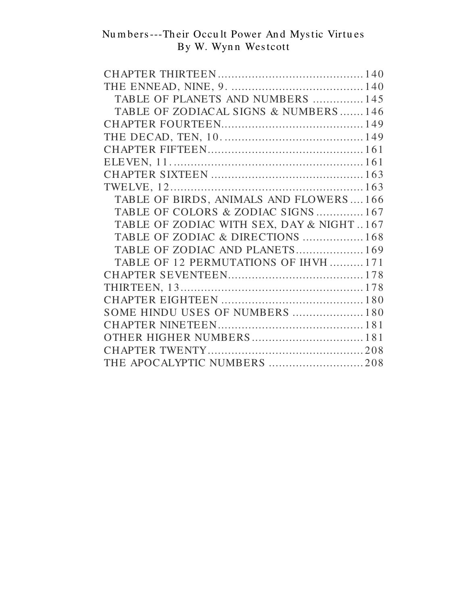| TABLE OF PLANETS AND NUMBERS  145        |
|------------------------------------------|
| TABLE OF ZODIACAL SIGNS & NUMBERS146     |
|                                          |
|                                          |
|                                          |
|                                          |
|                                          |
|                                          |
| TABLE OF BIRDS, ANIMALS AND FLOWERS166   |
| TABLE OF COLORS & ZODIAC SIGNS167        |
| TABLE OF ZODIAC WITH SEX, DAY & NIGHT167 |
| TABLE OF ZODIAC & DIRECTIONS  168        |
| TABLE OF ZODIAC AND PLANETS 169          |
| TABLE OF 12 PERMUTATIONS OF IHVH171      |
|                                          |
|                                          |
|                                          |
| SOME HINDU USES OF NUMBERS  180          |
|                                          |
|                                          |
|                                          |
| THE APOCALYPTIC NUMBERS 208              |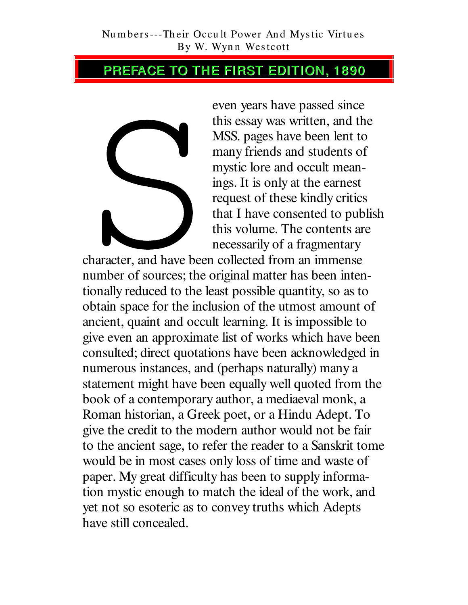## PREFACE TO THE FIRST EDITION, 1890



even years have passed since this essay was written, and the MSS. pages have been lent to many friends and students of mystic lore and occult meanings. It is only at the earnest request of these kindly critics that I have consented to publish this volume. The contents are necessarily of a fragmentary

character, and have been collected from an immense number of sources; the original matter has been intentionally reduced to the least possible quantity, so as to obtain space for the inclusion of the utmost amount of ancient, quaint and occult learning. It is impossible to give even an approximate list of works which have been consulted; direct quotations have been acknowledged in numerous instances, and (perhaps naturally) many a statement might have been equally well quoted from the book of a contemporary author, a mediaeval monk, a Roman historian, a Greek poet, or a Hindu Adept. To give the credit to the modern author would not be fair to the ancient sage, to refer the reader to a Sanskrit tome would be in most cases only loss of time and waste of paper. My great difficulty has been to supply information mystic enough to match the ideal of the work, and yet not so esoteric as to convey truths which Adepts have still concealed.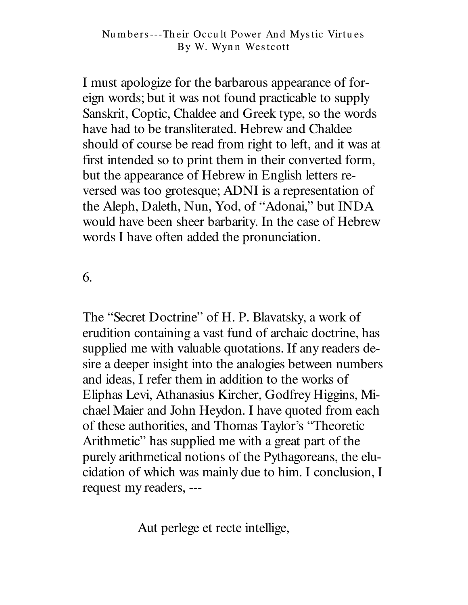I must apologize for the barbarous appearance of foreign words; but it was not found practicable to supply Sanskrit, Coptic, Chaldee and Greek type, so the words have had to be transliterated. Hebrew and Chaldee should of course be read from right to left, and it was at first intended so to print them in their converted form, but the appearance of Hebrew in English letters reversed was too grotesque; ADNI is a representation of the Aleph, Daleth, Nun, Yod, of "Adonai," but INDA would have been sheer barbarity. In the case of Hebrew words I have often added the pronunciation.

6.

The "Secret Doctrine" of H. P. Blavatsky, a work of erudition containing a vast fund of archaic doctrine, has supplied me with valuable quotations. If any readers desire a deeper insight into the analogies between numbers and ideas, I refer them in addition to the works of Eliphas Levi, Athanasius Kircher, Godfrey Higgins, Michael Maier and John Heydon. I have quoted from each of these authorities, and Thomas Taylor's "Theoretic Arithmetic" has supplied me with a great part of the purely arithmetical notions of the Pythagoreans, the elucidation of which was mainly due to him. I conclusion, I request my readers, ---

Aut perlege et recte intellige,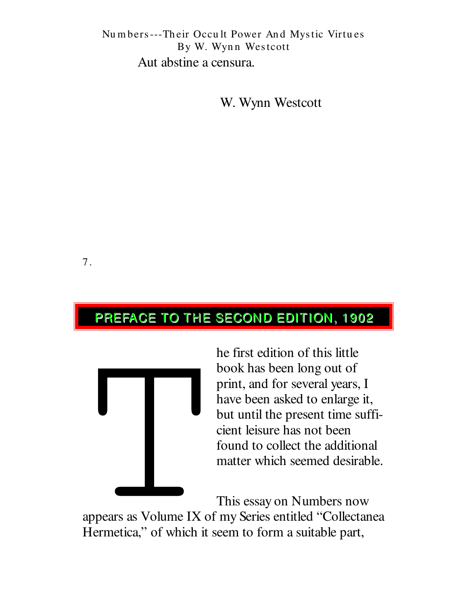## Numbers---Their Occult Power And Mystic Virtues By W. Wynn Westcott Aut abstine a censura.

W. Wynn Westcott

7.

# PREFACE TO THE SECOND EDITION, 1902



he first edition of this little book has been long out of print, and for several years, I have been asked to enlarge it, but until the present time sufficient leisure has not been found to collect the additional matter which seemed desirable.

This essay on Numbers now

appears as Volume IX of my Series entitled "Collectanea Hermetica," of which it seem to form a suitable part,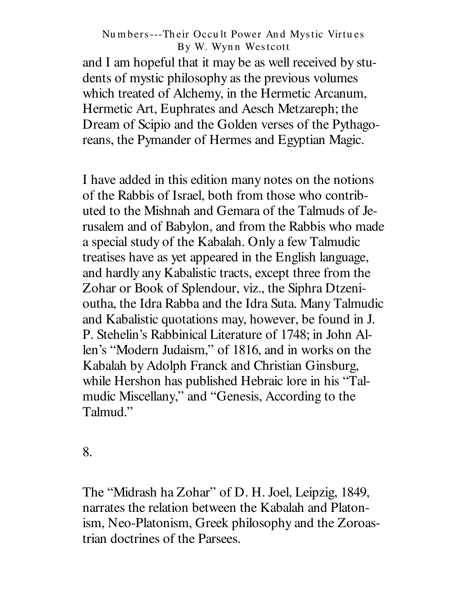and I am hopeful that it may be as well received by students of mystic philosophy as the previous volumes which treated of Alchemy, in the Hermetic Arcanum, Hermetic Art, Euphrates and Aesch Metzareph; the Dream of Scipio and the Golden verses of the Pythagoreans, the Pymander of Hermes and Egyptian Magic.

I have added in this edition many notes on the notions of the Rabbis of Israel, both from those who contributed to the Mishnah and Gemara of the Talmuds of Jerusalem and of Babylon, and from the Rabbis who made a special study of the Kabalah. Only a few Talmudic treatises have as yet appeared in the English language, and hardly any Kabalistic tracts, except three from the Zohar or Book of Splendour, viz., the Siphra Dtzenioutha, the Idra Rabba and the Idra Suta. Many Talmudic and Kabalistic quotations may, however, be found in J. P. Stehelin's Rabbinical Literature of 1748; in John Allen's "Modern Judaism," of 1816, and in works on the Kabalah by Adolph Franck and Christian Ginsburg, while Hershon has published Hebraic lore in his "Talmudic Miscellany," and "Genesis, According to the Talmud."

8.

The "Midrash ha Zohar" of D. H. Joel, Leipzig, 1849, narrates the relation between the Kabalah and Platonism, Neo-Platonism, Greek philosophy and the Zoroastrian doctrines of the Parsees.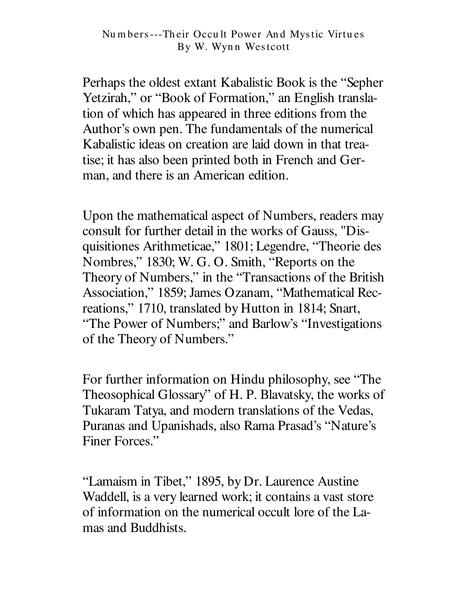Perhaps the oldest extant Kabalistic Book is the "Sepher" Yetzirah," or "Book of Formation," an English translation of which has appeared in three editions from the Author's own pen. The fundamentals of the numerical Kabalistic ideas on creation are laid down in that treatise; it has also been printed both in French and German, and there is an American edition.

Upon the mathematical aspect of Numbers, readers may consult for further detail in the works of Gauss, "Disquisitiones Arithmeticae," 1801; Legendre, "Theorie des Nombres," 1830; W. G. O. Smith, "Reports on the Theory of Numbers," in the "Transactions of the British" Association," 1859; James Ozanam, "Mathematical Recreations," 1710, translated by Hutton in 1814; Snart, "The Power of Numbers;" and Barlow's "Investigations of the Theory of Numbers."

For further information on Hindu philosophy, see "The Theosophical Glossary" of H. P. Blavatsky, the works of Tukaram Tatya, and modern translations of the Vedas, Puranas and Upanishads, also Rama Prasad's "Nature's Finer Forces."

"Lamaism in Tibet," 1895, by Dr. Laurence Austine Waddell, is a very learned work; it contains a vast store of information on the numerical occult lore of the Lamas and Buddhists.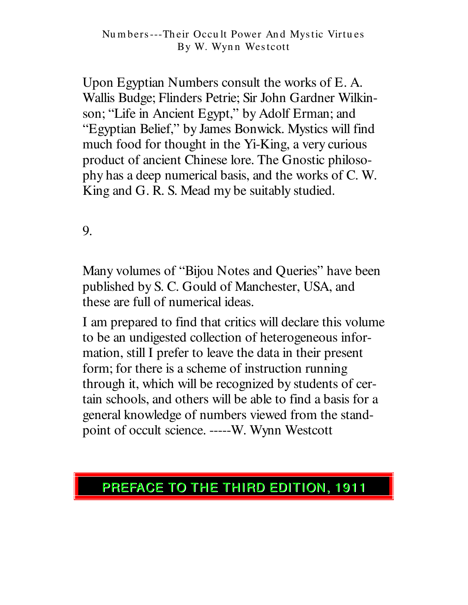Upon Egyptian Numbers consult the works of E.A. Wallis Budge; Flinders Petrie; Sir John Gardner Wilkinson; "Life in Ancient Egypt," by Adolf Erman; and "Egyptian Belief," by James Bonwick. Mystics will find much food for thought in the Yi-King, a very curious product of ancient Chinese lore. The Gnostic philosophy has a deep numerical basis, and the works of C.W. King and G. R. S. Mead my be suitably studied.

9.

Many volumes of "Bijou Notes and Queries" have been published by S. C. Gould of Manchester, USA, and these are full of numerical ideas.

I am prepared to find that critics will declare this volume to be an undigested collection of heterogeneous information, still I prefer to leave the data in their present form; for there is a scheme of instruction running through it, which will be recognized by students of certain schools, and others will be able to find a basis for a general knowledge of numbers viewed from the standpoint of occult science. -----W. Wynn Westcott

# PREFACE TO THE THIRD EDITION, 1911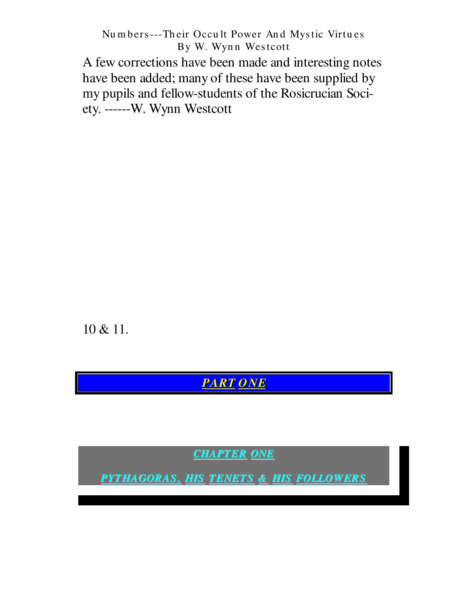A few corrections have been made and interesting notes have been added; many of these have been supplied by my pupils and fellow-students of the Rosicrucian Society. ------W. Wynn Westcott

10 & 11.

**PART ONE** 

**CHAPTER ONE** 

PYTHAGORAS, HIS TENETS & HIS FOLLOWERS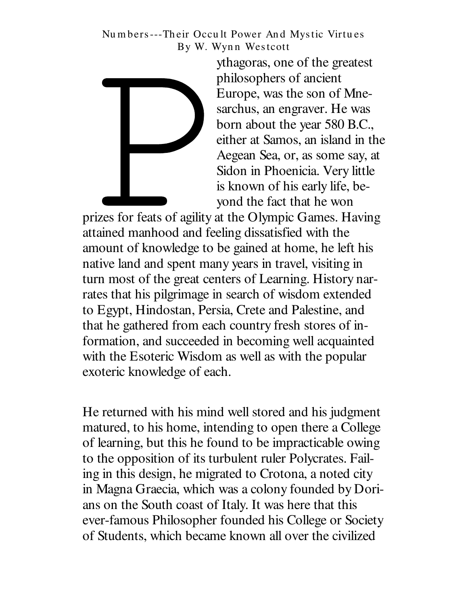

ythagoras, one of the greatest philosophers of ancient Europe, was the son of Mnesarchus, an engraver. He was born about the year 580 B.C., either at Samos, an island in the Aegean Sea, or, as some say, at Sidon in Phoenicia. Very little is known of his early life, beyond the fact that he won

prizes for feats of agility at the Olympic Games. Having attained manhood and feeling dissatisfied with the amount of knowledge to be gained at home, he left his native land and spent many years in travel, visiting in turn most of the great centers of Learning. History narrates that his pilgrimage in search of wisdom extended to Egypt, Hindostan, Persia, Crete and Palestine, and that he gathered from each country fresh stores of information, and succeeded in becoming well acquainted with the Esoteric Wisdom as well as with the popular exoteric knowledge of each.

He returned with his mind well stored and his judgment matured, to his home, intending to open there a College of learning, but this he found to be impracticable owing to the opposition of its turbulent ruler Polycrates. Failing in this design, he migrated to Crotona, a noted city in Magna Graecia, which was a colony founded by Dorians on the South coast of Italy. It was here that this ever-famous Philosopher founded his College or Society of Students, which became known all over the civilized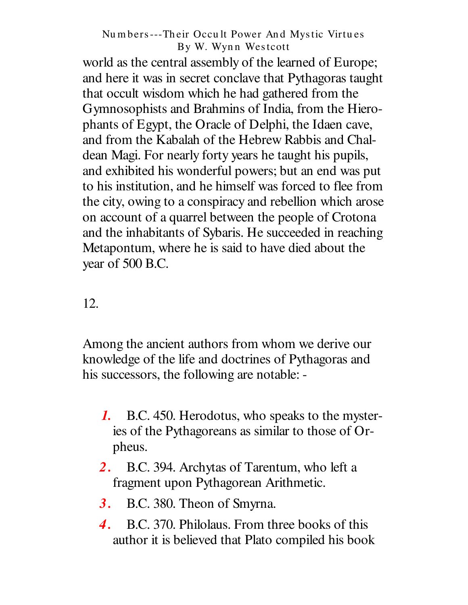world as the central assembly of the learned of Europe; and here it was in secret conclave that Pythagoras taught that occult wisdom which he had gathered from the Gymnosophists and Brahmins of India, from the Hierophants of Egypt, the Oracle of Delphi, the Idaen cave, and from the Kabalah of the Hebrew Rabbis and Chaldean Magi. For nearly forty years he taught his pupils, and exhibited his wonderful powers; but an end was put to his institution, and he himself was forced to flee from the city, owing to a conspiracy and rebellion which arose on account of a quarrel between the people of Crotona and the inhabitants of Sybaris. He succeeded in reaching Metapontum, where he is said to have died about the year of 500 B.C.

## 12.

Among the ancient authors from whom we derive our knowledge of the life and doctrines of Pythagoras and his successors, the following are notable: -

- B.C. 450. Herodotus, who speaks to the myster-1. ies of the Pythagoreans as similar to those of Orpheus.
- 2. B.C. 394. Archytas of Tarentum, who left a fragment upon Pythagorean Arithmetic.
- B.C. 380. Theon of Smyrna. **3.**
- $\overline{4}$ . B.C. 370. Philolaus. From three books of this author it is believed that Plato compiled his book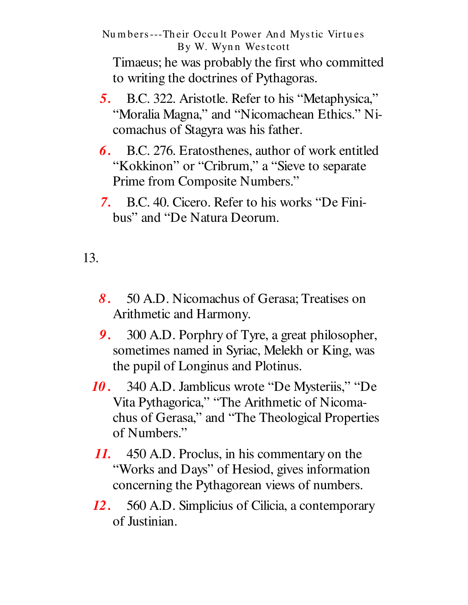Timaeus; he was probably the first who committed to writing the doctrines of Pythagoras.

- 5. B.C. 322. Aristotle. Refer to his "Metaphysica," "Moralia Magna," and "Nicomachean Ethics." Nicomachus of Stagyra was his father.
- **6.** B.C. 276. Eratosthenes, author of work entitled "Kokkinon" or "Cribrum," a "Sieve to separate Prime from Composite Numbers."
- 7. B.C. 40. Cicero. Refer to his works "De Finibus" and "De Natura Deorum.

13.

- 8. 50 A.D. Nicomachus of Gerasa; Treatises on Arithmetic and Harmony.
- 9. 300 A.D. Porphry of Tyre, a great philosopher, sometimes named in Syriac, Melekh or King, was the pupil of Longinus and Plotinus.
- 340 A.D. Jamblicus wrote "De Mysteriis," "De 10 . Vita Pythagorica," "The Arithmetic of Nicomachus of Gerasa," and "The Theological Properties of Numbers."
- 11. 450 A.D. Proclus, in his commentary on the "Works and Days" of Hesiod, gives information concerning the Pythagorean views of numbers.
- 560 A.D. Simplicius of Cilicia, a contemporary **12.** of Justinian.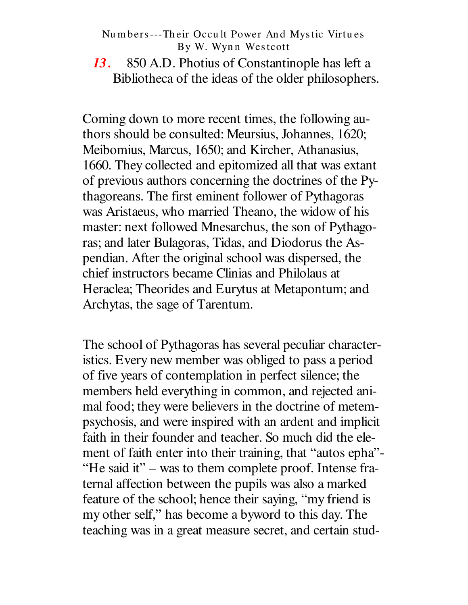$13.$ 850 A.D. Photius of Constantinople has left a Bibliotheca of the ideas of the older philosophers.

Coming down to more recent times, the following authors should be consulted: Meursius, Johannes, 1620; Meibomius, Marcus, 1650; and Kircher, Athanasius, 1660. They collected and epitomized all that was extant of previous authors concerning the doctrines of the Pythagoreans. The first eminent follower of Pythagoras was Aristaeus, who married Theano, the widow of his master: next followed Mnesarchus, the son of Pythagoras; and later Bulagoras, Tidas, and Diodorus the Aspendian. After the original school was dispersed, the chief instructors became Clinias and Philolaus at Heraclea; Theorides and Eurytus at Metapontum; and Archytas, the sage of Tarentum.

The school of Pythagoras has several peculiar characteristics. Every new member was obliged to pass a period of five years of contemplation in perfect silence; the members held everything in common, and rejected animal food; they were believers in the doctrine of metempsychosis, and were inspired with an ardent and implicit faith in their founder and teacher. So much did the element of faith enter into their training, that "autos epha"-"He said it" – was to them complete proof. Intense fraternal affection between the pupils was also a marked feature of the school; hence their saying, "my friend is my other self," has become a byword to this day. The teaching was in a great measure secret, and certain stud-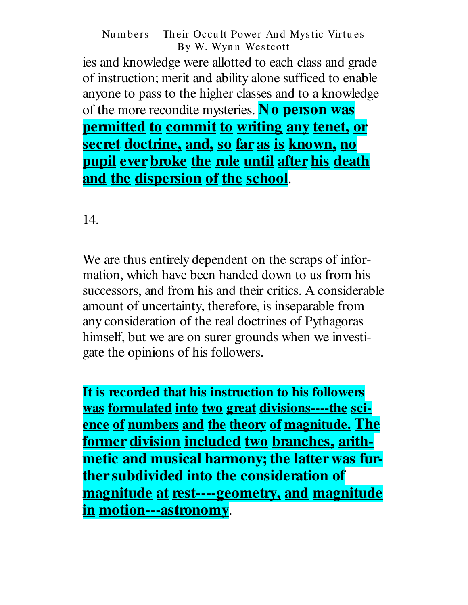ies and knowledge were allotted to each class and grade of instruction; merit and ability alone sufficed to enable anyone to pass to the higher classes and to a knowledge of the more recondite mysteries. No person was permitted to commit to writing any tenet, or secret doctrine, and, so far as is known, no <u>pupil ever broke the rule until after his death</u> and the dispersion of the school.

14.

We are thus entirely dependent on the scraps of information, which have been handed down to us from his successors, and from his and their critics. A considerable amount of uncertainty, therefore, is inseparable from any consideration of the real doctrines of Pythagoras himself, but we are on surer grounds when we investigate the opinions of his followers.

It is recorded that his instruction to his followers <u>was formulated into two great divisions----the sci-</u> ence of numbers and the theory of magnitude. The <u>former division included two branches, arith-</u> metic and musical harmony; the latter was further subdivided into the consideration of magnitude at rest----geometry, and magnitude in motion---astronomy.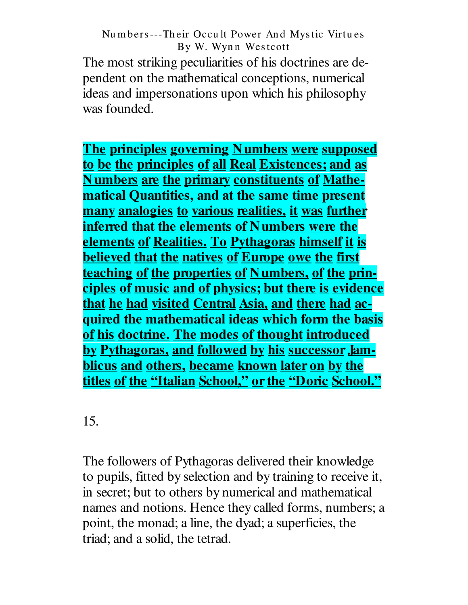The most striking peculiarities of his doctrines are dependent on the mathematical conceptions, numerical ideas and impersonations upon which his philosophy was founded.

The principles governing Numbers were supposed to be the principles of all Real Existences; and as **Numbers are the primary constituents of Mathe**matical Quantities, and at the same time present many analogies to various realities, it was further inferred that the elements of Numbers were the **elements of Realities. To Pythagoras himself it is believed that the natives of Europe owe the first** teaching of the properties of Numbers, of the principles of music and of physics; but there is evidence that he had visited Central Asia, and there had ac-<u>quired the mathematical ideas which form the basis</u> of his doctrine. The modes of thought introduced by Pythagoras, and followed by his successor Jamblicus and others, became known later on by the titles of the "Italian School," or the "Doric School."

15.

The followers of Pythagoras delivered their knowledge to pupils, fitted by selection and by training to receive it, in secret; but to others by numerical and mathematical names and notions. Hence they called forms, numbers; a point, the monad; a line, the dyad; a superficies, the triad; and a solid, the tetrad.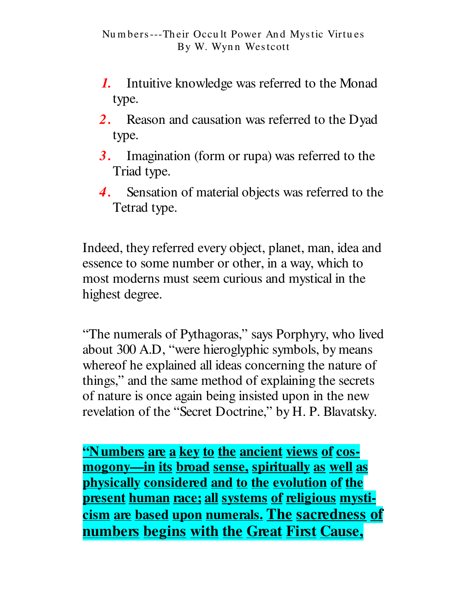- Intuitive knowledge was referred to the Monad  $\bm{l}$ . type.
- 2. Reason and causation was referred to the Dyad type.
- **3.** Imagination (form or rupa) was referred to the Triad type.
- 4. Sensation of material objects was referred to the Tetrad type.

Indeed, they referred every object, planet, man, idea and essence to some number or other, in a way, which to most moderns must seem curious and mystical in the highest degree.

"The numerals of Pythagoras," says Porphyry, who lived about 300 A.D, "were hieroglyphic symbols, by means where of he explained all ideas concerning the nature of things," and the same method of explaining the secrets of nature is once again being insisted upon in the new revelation of the "Secret Doctrine," by H. P. Blavatsky.

<u>'Numbers are a key to the ancient views of cos-</u> <u>mogony—in its broad sense, spiritually as well as</u> physically considered and to the evolution of the present human race; all systems of religious mysticism are based upon numerals. The sacredness of numbers begins with the Great First Cause,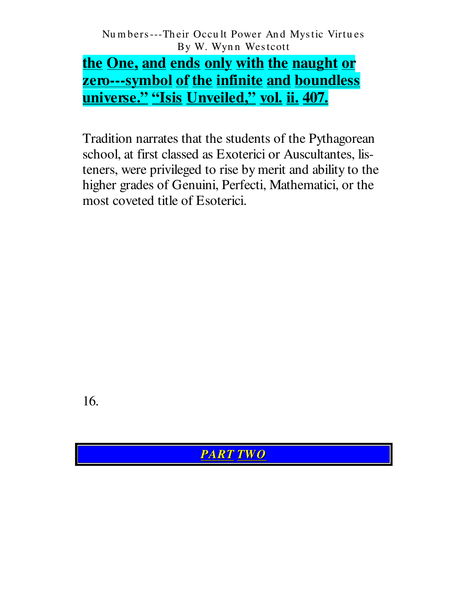the One, and ends only with the naught or zero---symbol of the infinite and boundless universe." "Isis Unveiled," vol. ii. 407.

Tradition narrates that the students of the Pythagorean school, at first classed as Exoterici or Auscultantes, listeners, were privileged to rise by merit and ability to the higher grades of Genuini, Perfecti, Mathematici, or the most coveted title of Esoterici.

16.

**PART TWO**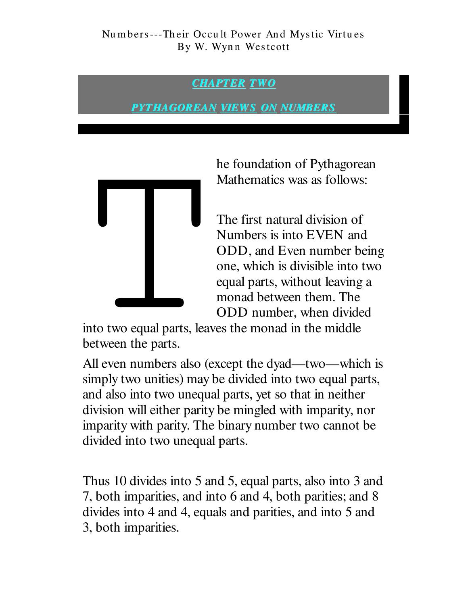## **CHAPTER TWO**

<u>PYTHAGOREAN VIEWS ON NUMBERS</u>



he foundation of Pythagorean Mathematics was as follows:

The first natural division of Numbers is into EVEN and ODD, and Even number being one, which is divisible into two equal parts, without leaving a monad between them. The ODD number, when divided

into two equal parts, leaves the monad in the middle between the parts.

All even numbers also (except the dyad—two—which is simply two unities) may be divided into two equal parts, and also into two unequal parts, yet so that in neither division will either parity be mingled with imparity, nor imparity with parity. The binary number two cannot be divided into two unequal parts.

Thus 10 divides into 5 and 5, equal parts, also into 3 and 7, both imparities, and into 6 and 4, both parities; and 8 divides into 4 and 4, equals and parities, and into 5 and 3, both imparities.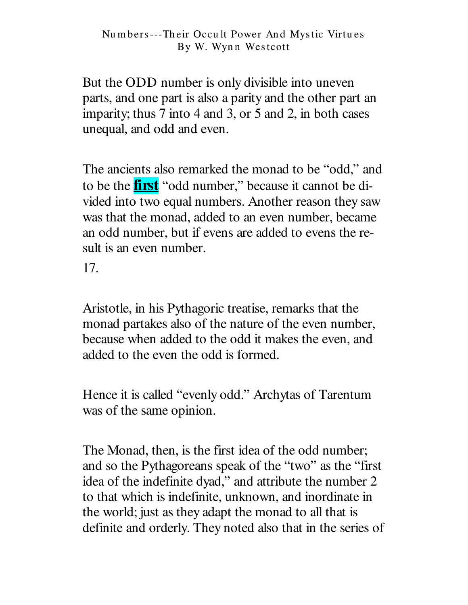But the ODD number is only divisible into uneven parts, and one part is also a parity and the other part an imparity; thus 7 into 4 and 3, or 5 and 2, in both cases unequal, and odd and even.

The ancients also remarked the monad to be "odd," and to be the **first** "odd number," because it cannot be divided into two equal numbers. Another reason they saw was that the monad, added to an even number, became an odd number, but if evens are added to evens the result is an even number.

17.

Aristotle, in his Pythagoric treatise, remarks that the monad partakes also of the nature of the even number, because when added to the odd it makes the even, and added to the even the odd is formed.

Hence it is called "evenly odd." Archytas of Tarentum was of the same opinion.

The Monad, then, is the first idea of the odd number; and so the Pythagoreans speak of the "two" as the "first" idea of the indefinite dyad," and attribute the number 2 to that which is indefinite, unknown, and inordinate in the world; just as they adapt the monad to all that is definite and orderly. They noted also that in the series of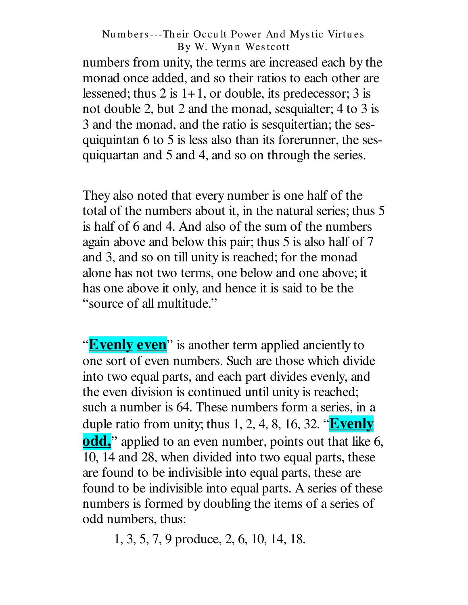numbers from unity, the terms are increased each by the monad once added, and so their ratios to each other are lessened; thus 2 is  $1+1$ , or double, its predecessor; 3 is not double 2, but 2 and the monad, sesquialter; 4 to 3 is 3 and the monad, and the ratio is sesquitertian; the sesquiquintan 6 to 5 is less also than its forerunner, the sesquiquartan and 5 and 4, and so on through the series.

They also noted that every number is one half of the total of the numbers about it, in the natural series; thus 5 is half of 6 and 4. And also of the sum of the numbers again above and below this pair; thus 5 is also half of 7 and 3, and so on till unity is reached; for the monad alone has not two terms, one below and one above; it has one above it only, and hence it is said to be the "source of all multitude."

"**Evenly even**" is another term applied anciently to one sort of even numbers. Such are those which divide into two equal parts, and each part divides evenly, and the even division is continued until unity is reached; such a number is 64. These numbers form a series, in a duple ratio from unity; thus 1, 2, 4, 8, 16, 32. "Evenly **odd**," applied to an even number, points out that like 6, 10, 14 and 28, when divided into two equal parts, these are found to be indivisible into equal parts, these are found to be indivisible into equal parts. A series of these numbers is formed by doubling the items of a series of odd numbers, thus:

1, 3, 5, 7, 9 produce, 2, 6, 10, 14, 18.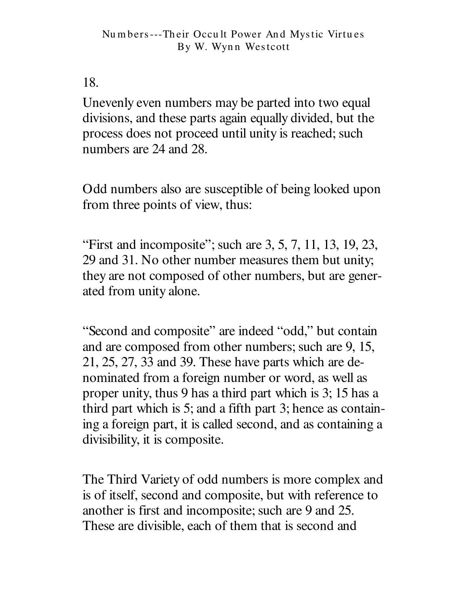18.

Unevenly even numbers may be parted into two equal divisions, and these parts again equally divided, but the process does not proceed until unity is reached; such numbers are 24 and 28.

Odd numbers also are susceptible of being looked upon from three points of view, thus:

"First and incomposite"; such are  $3, 5, 7, 11, 13, 19, 23,$ 29 and 31. No other number measures them but unity; they are not composed of other numbers, but are generated from unity alone.

"Second and composite" are indeed "odd," but contain and are composed from other numbers; such are 9, 15,  $21, 25, 27, 33$  and 39. These have parts which are denominated from a foreign number or word, as well as proper unity, thus 9 has a third part which is 3; 15 has a third part which is 5; and a fifth part 3; hence as containing a foreign part, it is called second, and as containing a divisibility, it is composite.

The Third Variety of odd numbers is more complex and is of itself, second and composite, but with reference to another is first and incomposite; such are 9 and 25. These are divisible, each of them that is second and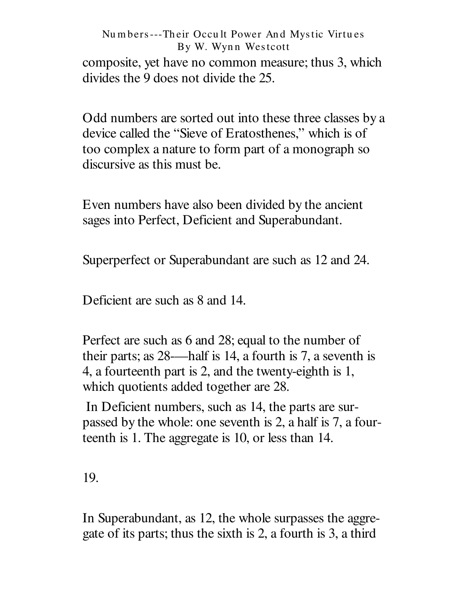composite, yet have no common measure; thus 3, which divides the 9 does not divide the 25.

Odd numbers are sorted out into these three classes by a device called the "Sieve of Eratosthenes," which is of too complex a nature to form part of a monograph so discursive as this must be.

Even numbers have also been divided by the ancient sages into Perfect, Deficient and Superabundant.

Superperfect or Superabundant are such as 12 and 24.

Deficient are such as 8 and 14.

Perfect are such as 6 and 28; equal to the number of their parts; as 28—half is 14, a fourth is 7, a seventh is 4, a fourteenth part is 2, and the twenty-eighth is 1, which quotients added together are 28.

In Deficient numbers, such as 14, the parts are surpassed by the whole: one seventh is 2, a half is 7, a fourteenth is 1. The aggregate is 10, or less than 14.

19.

In Superabundant, as 12, the whole surpasses the aggregate of its parts; thus the sixth is 2, a fourth is 3, a third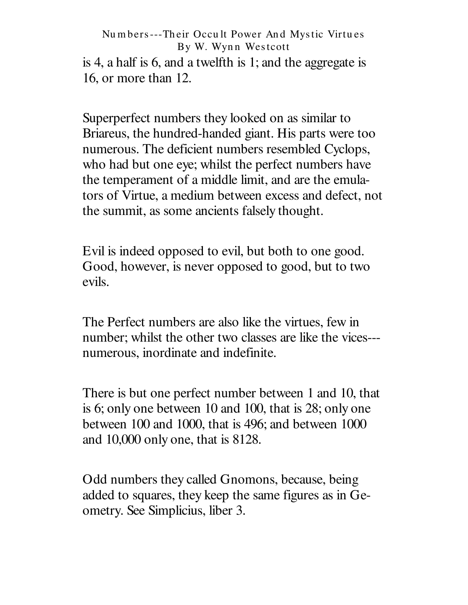is 4, a half is 6, and a twelfth is 1; and the aggregate is 16, or more than 12.

Superperfect numbers they looked on as similar to Briareus, the hundred-handed giant. His parts were too numerous. The deficient numbers resembled Cyclops, who had but one eye; whilst the perfect numbers have the temperament of a middle limit, and are the emulators of Virtue, a medium between excess and defect, not the summit, as some ancients falsely thought.

Evil is indeed opposed to evil, but both to one good. Good, however, is never opposed to good, but to two evils.

The Perfect numbers are also like the virtues, few in number; whilst the other two classes are like the vices--numerous, inordinate and indefinite.

There is but one perfect number between 1 and 10, that is 6; only one between 10 and 100, that is 28; only one between 100 and 1000, that is 496; and between 1000 and 10,000 only one, that is 8128.

Odd numbers they called Gnomons, because, being added to squares, they keep the same figures as in Geometry. See Simplicius, liber 3.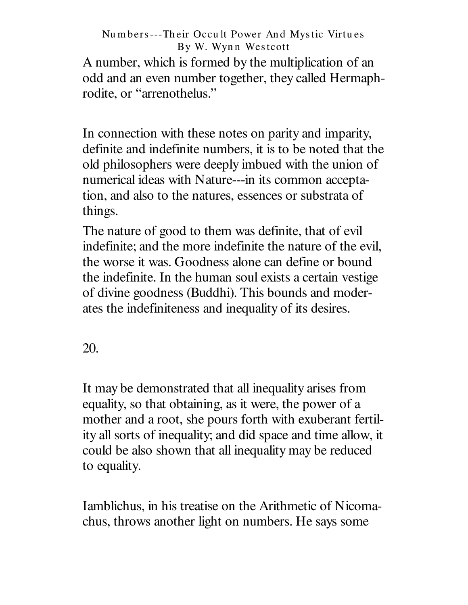A number, which is formed by the multiplication of an odd and an even number together, they called Hermaphrodite, or "arrenothelus."

In connection with these notes on parity and imparity, definite and indefinite numbers, it is to be noted that the old philosophers were deeply imbued with the union of numerical ideas with Nature---in its common acceptation, and also to the natures, essences or substrata of things.

The nature of good to them was definite, that of evil indefinite; and the more indefinite the nature of the evil, the worse it was. Goodness alone can define or bound the indefinite. In the human soul exists a certain vestige of divine goodness (Buddhi). This bounds and moderates the indefiniteness and inequality of its desires.

20.

It may be demonstrated that all inequality arises from equality, so that obtaining, as it were, the power of a mother and a root, she pours forth with exuberant fertility all sorts of inequality; and did space and time allow, it could be also shown that all inequality may be reduced to equality.

Iamblichus, in his treatise on the Arithmetic of Nicomachus, throws another light on numbers. He says some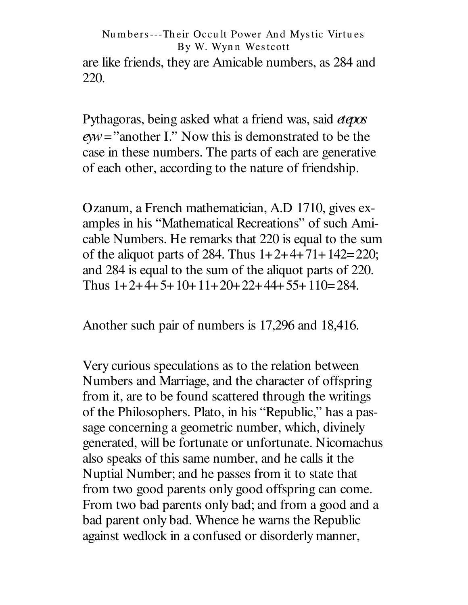are like friends, they are Amicable numbers, as 284 and 220.

Pythagoras, being asked what a friend was, said *etepos eyw*=" another I." Now this is demonstrated to be the case in these numbers. The parts of each are generative of each other, according to the nature of friendship.

Ozanum, a French mathematician, A.D 1710, gives examples in his " Mathematical Recreations" of such Amicable Numbers. He remarks that 220 is equal to the sum of the aliquot parts of 284. Thus  $1+2+4+71+142=220$ ; and 284 is equal to the sum of the aliquot parts of 220. Thus  $1+2+4+5+10+11+20+22+44+55+110=284$ .

Another such pair of numbers is 17,296 and 18,416.

Very curious speculations as to the relation between Numbers and Marriage, and the character of offspring from it, are to be found scattered through the writings of the Philosophers. Plato, in his " Republic," has a passage concerning a geometric number, which, divinely generated, will be fortunate or unfortunate. Nicomachus also speaks of this same number, and he calls it the Nuptial Number; and he passes from it to state that from two good parents only good offspring can come. From two bad parents only bad; and from a good and a bad parent only bad. Whence he warns the Republic against wedlock in a confused or disorderly manner,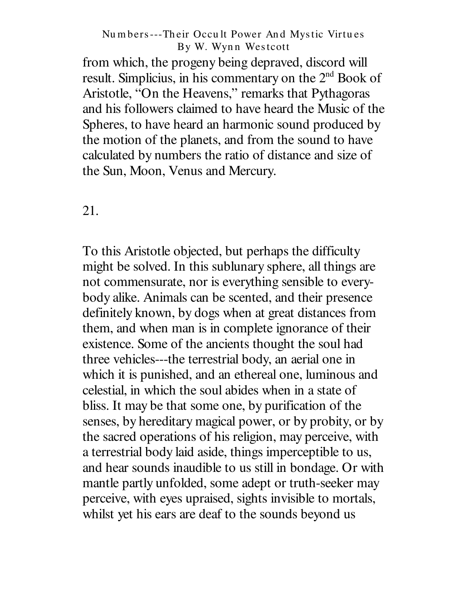from which, the progeny being depraved, discord will result. Simplicius, in his commentary on the 2<sup>nd</sup> Book of Aristotle, "On the Heavens," remarks that Pythagoras and his followers claimed to have heard the Music of the Spheres, to have heard an harmonic sound produced by the motion of the planets, and from the sound to have calculated by numbers the ratio of distance and size of the Sun, Moon, Venus and Mercury.

21.

To this Aristotle objected, but perhaps the difficulty might be solved. In this sublunary sphere, all things are not commensurate, nor is everything sensible to everybody alike. Animals can be scented, and their presence definitely known, by dogs when at great distances from them, and when man is in complete ignorance of their existence. Some of the ancients thought the soul had three vehicles---the terrestrial body, an aerial one in which it is punished, and an ethereal one, luminous and celestial, in which the soul abides when in a state of bliss. It may be that some one, by purification of the senses, by hereditary magical power, or by probity, or by the sacred operations of his religion, may perceive, with a terrestrial body laid aside, things imperceptible to us, and hear sounds inaudible to us still in bondage. Or with mantle partly unfolded, some adept or truth-seeker may perceive, with eyes upraised, sights invisible to mortals, whilst yet his ears are deaf to the sounds beyond us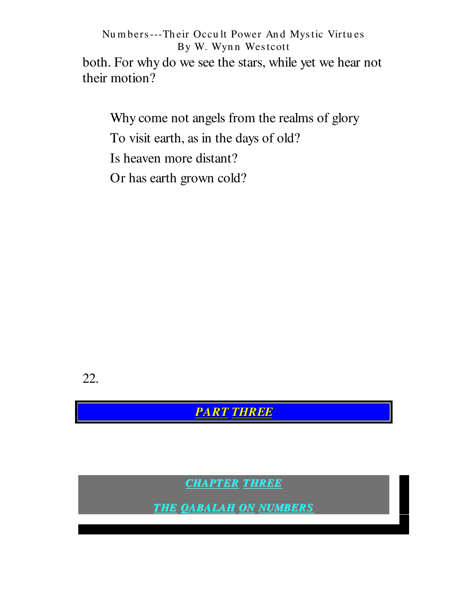both. For why do we see the stars, while yet we hear not their motion?

Why come not angels from the realms of glory To visit earth, as in the days of old? Is heaven more distant?

Or has earth grown cold?

22.

**PART THREE** 

**CHAPTER THREE** 

**THE QABALAH ON NUMBERS**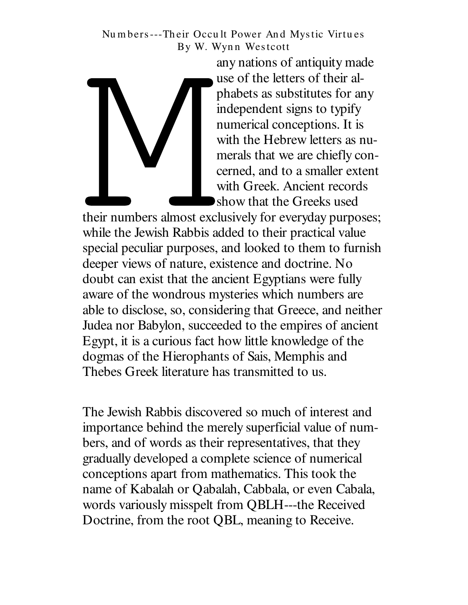any nations of antiquity made use of the letters of their alphabets as substitutes for any independent signs to typify numerical conceptions. It is with the Hebrew letters as numerals that we are chiefly concerned, and to a smaller extent with Greek. Ancient records show that the Greeks used

their numbers almost exclusively for everyday purposes; while the Jewish Rabbis added to their practical value special peculiar purposes, and looked to them to furnish deeper views of nature, existence and doctrine. No doubt can exist that the ancient Egyptians were fully aware of the wondrous mysteries which numbers are able to disclose, so, considering that Greece, and neither Judea nor Babylon, succeeded to the empires of ancient Egypt, it is a curious fact how little knowledge of the dogmas of the Hierophants of Sais, Memphis and Thebes Greek literature has transmitted to us.

The Jewish Rabbis discovered so much of interest and importance behind the merely superficial value of numbers, and of words as their representatives, that they gradually developed a complete science of numerical conceptions apart from mathematics. This took the name of Kabalah or Qabalah, Cabbala, or even Cabala, words variously misspelt from QBLH---the Received Doctrine, from the root QBL, meaning to Receive.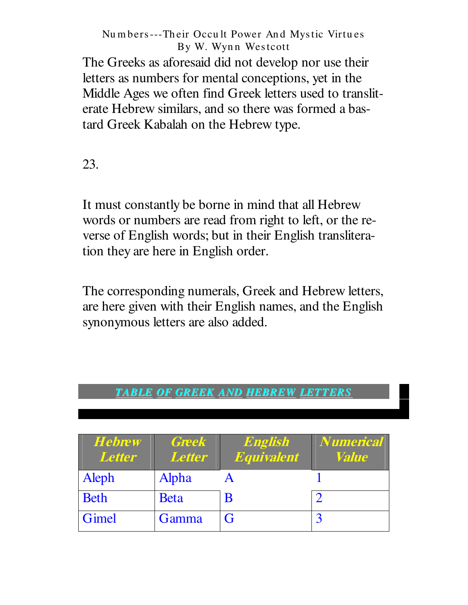The Greeks as aforesaid did not develop nor use their letters as numbers for mental conceptions, yet in the Middle Ages we often find Greek letters used to transliterate Hebrew similars, and so there was formed a bastard Greek Kabalah on the Hebrew type.

23.

It must constantly be borne in mind that all Hebrew words or numbers are read from right to left, or the reverse of English words; but in their English transliteration they are here in English order.

The corresponding numerals, Greek and Hebrew letters, are here given with their English names, and the English synonymous letters are also added.

## *TABLE OF GREEK AND HEBREW LETTERS*

| <b>Hebrew</b><br><b>Letter</b> | <b>Greek</b><br><b>Letter</b> | English<br><b>Equivalent</b> | <b>Numerical</b><br><i>Value</i> |
|--------------------------------|-------------------------------|------------------------------|----------------------------------|
| Aleph                          | Alpha                         |                              |                                  |
| <b>Beth</b>                    | <b>Beta</b>                   | B                            |                                  |
| Gimel                          | Gamma                         | G                            |                                  |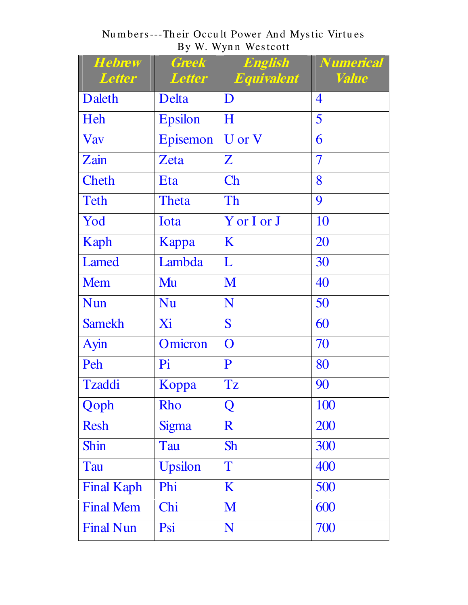Numbers---Their Occult Power And Mystic Virtues<br>By W. Wynn Westcott

| <b>Hebrew</b><br>Letter | <b>Greek</b><br><b>Letter</b> | <b>English</b><br><b>Equivalent</b> | <i><b>Numerical</b></i><br><i><b>Value</b></i> |
|-------------------------|-------------------------------|-------------------------------------|------------------------------------------------|
| Daleth                  | Delta                         | D                                   | $\overline{4}$                                 |
| Heh                     | <b>Epsilon</b>                | H                                   | 5                                              |
| <b>Vav</b>              | Episemon                      | U or V                              | 6                                              |
| Zain                    | Zeta                          | $\mathbf{Z}$                        | $\overline{\mathcal{I}}$                       |
| <b>Cheth</b>            | Eta                           | Ch                                  | 8                                              |
| Teth                    | Theta                         | Th                                  | 9                                              |
| Yod                     | Iota                          | Y or I or J                         | 10                                             |
| Kaph                    | Kappa                         | K                                   | 20                                             |
| Lamed                   | Lambda                        | L                                   | 30                                             |
| <b>Mem</b>              | Mu                            | M                                   | 40                                             |
| <b>Nun</b>              | <b>Nu</b>                     | N                                   | 50                                             |
| <b>Samekh</b>           | Xi                            | S                                   | 60                                             |
| Ayin                    | Omicron                       | $\mathbf O$                         | 70                                             |
| Peh                     | Pi                            | $\mathbf{P}$                        | 80                                             |
| Tzaddi                  | Koppa                         | Tz                                  | 90                                             |
| Qoph                    | Rho                           | Q                                   | <b>100</b>                                     |
| <b>Resh</b>             | <b>Sigma</b>                  | $\mathbf R$                         | 200                                            |
| Shin                    | Tau                           | <b>Sh</b>                           | 300                                            |
| Tau                     | <b>Upsilon</b>                | T                                   | 400                                            |
| <b>Final Kaph</b>       | Phi                           | K                                   | 500                                            |
| <b>Final Mem</b>        | Chi                           | M                                   | 600                                            |
| <b>Final Nun</b>        | Psi                           | N                                   | 700                                            |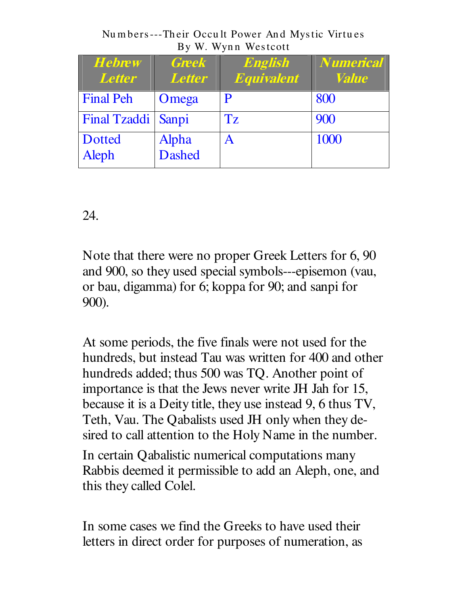Numbers---Their Occult Power And Mystic Virtues By W. Wynn Westcott

| <b>Hebrew</b><br><b>Letter</b> | <b>Greek</b><br><b>Letter</b> | English<br>Equivalent | <b>Numerical</b><br><i><b>Value</b></i> |
|--------------------------------|-------------------------------|-----------------------|-----------------------------------------|
| <b>Final Peh</b>               | Omega                         | P                     | 800                                     |
| Final Tzaddi                   | Sanpi                         | Tz                    | 900                                     |
| <b>Dotted</b><br>Aleph         | Alpha<br>Dashed               | A                     | 1000                                    |

24.

Note that there were no proper Greek Letters for 6, 90 and 900, so they used special symbols---episemon (vau, or bau, digamma) for 6; koppa for 90; and sanpi for 900).

At some periods, the five finals were not used for the hundreds, but instead Tau was written for 400 and other hundreds added; thus 500 was TQ. Another point of importance is that the Jews never write JH Jah for 15, because it is a Deity title, they use instead 9, 6 thus TV, Teth, Vau. The Qabalists used JH only when they desired to call attention to the Holy Name in the number.

In certain Qabalistic numerical computations many Rabbis deemed it permissible to add an Aleph, one, and this they called Colel.

In some cases we find the Greeks to have used their letters in direct order for purposes of numeration, as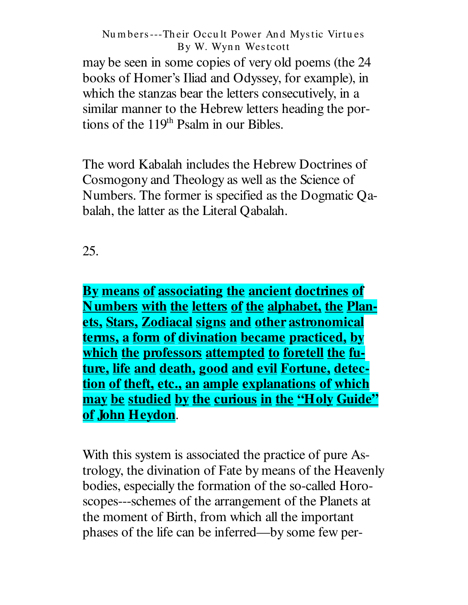may be seen in some copies of very old poems (the 24 books of Homer's Iliad and Odyssey, for example), in which the stanzas bear the letters consecutively, in a similar manner to the Hebrew letters heading the portions of the 119<sup>th</sup> Psalm in our Bibles.

The word Kabalah includes the Hebrew Doctrines of Cosmogony and Theology as well as the Science of Numbers. The former is specified as the Dogmatic Qabalah, the latter as the Literal Qabalah.

## 25.

By means of associating the ancient doctrines of Numbers with the letters of the alphabet, the Planets, Stars, Zodiacal signs and other astronomical terms, a form of divination became practiced, by which the professors attempted to foretell the future, life and death, good and evil Fortune, detection of theft, etc., an ample explanations of which may be studied by the curious in the "Holy Guide" of John Heydon.

With this system is associated the practice of pure Astrology, the divination of Fate by means of the Heavenly bodies, especially the formation of the so-called Horoscopes---schemes of the arrangement of the Planets at the moment of Birth, from which all the important phases of the life can be inferred—by some few per-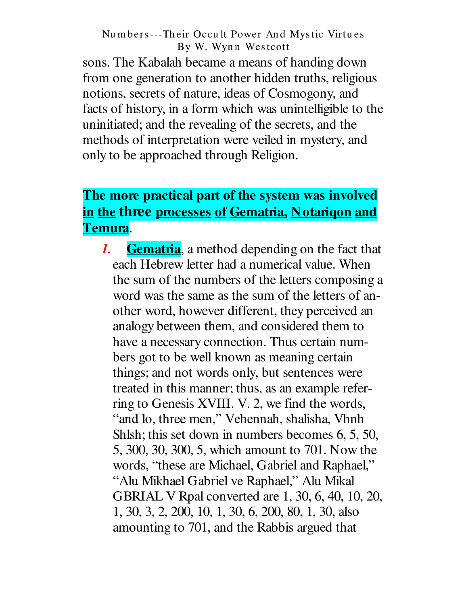sons. The Kabalah became a means of handing down from one generation to another hidden truths, religious notions, secrets of nature, ideas of Cosmogony, and facts of history, in a form which was unintelligible to the uninitiated; and the revealing of the secrets, and the methods of interpretation were veiled in mystery, and only to be approached through Religion.

## The more practical part of the system was involved in the three processes of Gematria, Notarigon and Temura.

**Gematria**, a method depending on the fact that  $\boldsymbol{I}$ . each Hebrew letter had a numerical value. When the sum of the numbers of the letters composing a word was the same as the sum of the letters of another word, however different, they perceived an analogy between them, and considered them to have a necessary connection. Thus certain numbers got to be well known as meaning certain things; and not words only, but sentences were treated in this manner; thus, as an example referring to Genesis XVIII. V. 2, we find the words, "and lo, three men," Vehennah, shalisha, Vhnh Shlsh; this set down in numbers becomes 6, 5, 50, 5, 300, 30, 300, 5, which amount to 701. Now the words, "these are Michael, Gabriel and Raphael," "Alu Mikhael Gabriel ve Raphael," Alu Mikal GBRIAL V Rpal converted are 1, 30, 6, 40, 10, 20, 1, 30, 3, 2, 200, 10, 1, 30, 6, 200, 80, 1, 30, also amounting to 701, and the Rabbis argued that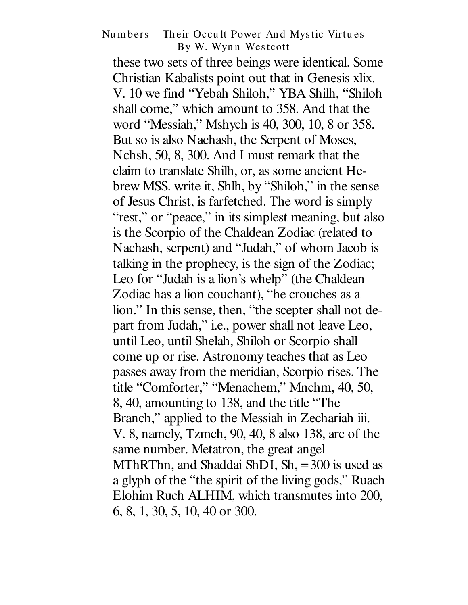these two sets of three beings were identical. Some Christian Kabalists point out that in Genesis xlix. V. 10 we find "Yebah Shiloh," YBA Shilh, "Shiloh shall come," which amount to 358. And that the word "Messiah," Mshych is 40, 300, 10, 8 or 358. But so is also Nachash, the Serpent of Moses, Nchsh, 50, 8, 300. And I must remark that the claim to translate Shilh, or, as some ancient Hebrew MSS. write it, Shlh, by "Shiloh," in the sense of Jesus Christ, is farfetched. The word is simply "rest," or "peace," in its simplest meaning, but also is the Scorpio of the Chaldean Zodiac (related to Nachash, serpent) and "Judah," of whom Jacob is talking in the prophecy, is the sign of the Zodiac; Leo for "Judah is a lion's whelp" (the Chaldean Zodiac has a lion couchant), "he crouches as a lion." In this sense, then, "the scepter shall not depart from Judah," i.e., power shall not leave Leo, until Leo, until Shelah, Shiloh or Scorpio shall come up or rise. Astronomy teaches that as Leo passes away from the meridian, Scorpio rises. The title "Comforter," "Menachem," Mnchm, 40, 50, 8, 40, amounting to 138, and the title "The" Branch," applied to the Messiah in Zechariah iii. V. 8, namely, Tzmch, 90, 40, 8 also 138, are of the same number. Metatron, the great angel MThRThn, and Shaddai ShDI, Sh,  $=300$  is used as a glyph of the "the spirit of the living gods," Ruach Elohim Ruch ALHIM, which transmutes into 200, 6, 8, 1, 30, 5, 10, 40 or 300.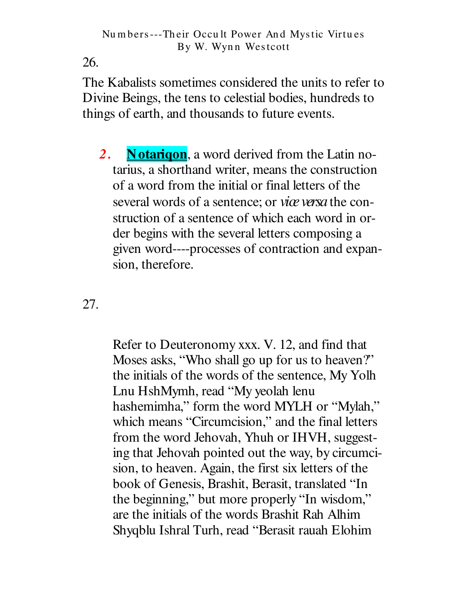26.

The Kabalists sometimes considered the units to refer to Divine Beings, the tens to celestial bodies, hundreds to things of earth, and thousands to future events.

**Notarigon**, a word derived from the Latin no- $2.$ tarius, a shorthand writer, means the construction of a word from the initial or final letters of the several words of a sentence; or *vice versa* the construction of a sentence of which each word in order begins with the several letters composing a given word----processes of contraction and expansion, therefore.

27.

Refer to Deuteronomy xxx. V. 12, and find that Moses asks, "Who shall go up for us to heaven?" the initials of the words of the sentence, My Yolh Lnu HshMymh, read "My yeolah lenu hashemimha," form the word MYLH or "Mylah," which means "Circumcision," and the final letters from the word Jehovah, Yhuh or IHVH, suggesting that Jehovah pointed out the way, by circumcision, to heaven. Again, the first six letters of the book of Genesis, Brashit, Berasit, translated "In the beginning," but more properly "In wisdom," are the initials of the words Brashit Rah Alhim Shyqblu Ishral Turh, read "Berasit rauah Elohim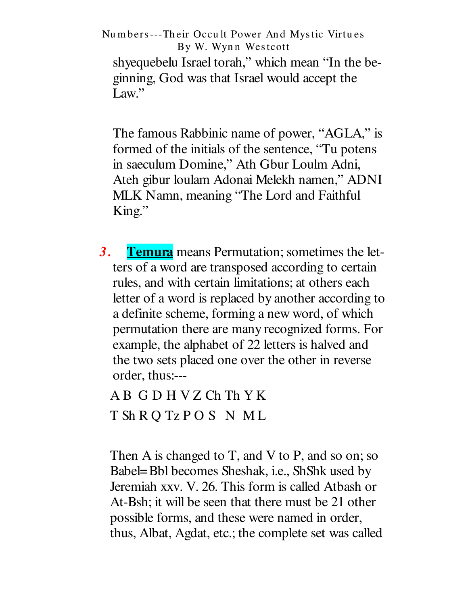Numbers---Their Occult Power And Mystic Virtues By W. Wynn Westcott shyequebelu Israel torah," which mean "In the beginning, God was that Israel would accept the Law."

The famous Rabbinic name of power, "AGLA," is formed of the initials of the sentence, "Tu potens in saeculum Domine," Ath Gbur Loulm Adni, Ateh gibur loulam Adonai Melekh namen," ADNI MLK Namn, meaning "The Lord and Faithful  $King.$ "

**Temura** means Permutation; sometimes the let- $3.$ ters of a word are transposed according to certain rules, and with certain limitations; at others each letter of a word is replaced by another according to a definite scheme, forming a new word, of which permutation there are many recognized forms. For example, the alphabet of 22 letters is halved and the two sets placed one over the other in reverse order, thus:---

AB GDHVZChThYK T Sh R Q Tz P O S N M L

Then A is changed to T, and V to P, and so on; so Babel=Bbl becomes Sheshak, i.e., ShShk used by Jeremiah xxv. V. 26. This form is called Atbash or At-Bsh; it will be seen that there must be 21 other possible forms, and these were named in order, thus, Albat, Agdat, etc.; the complete set was called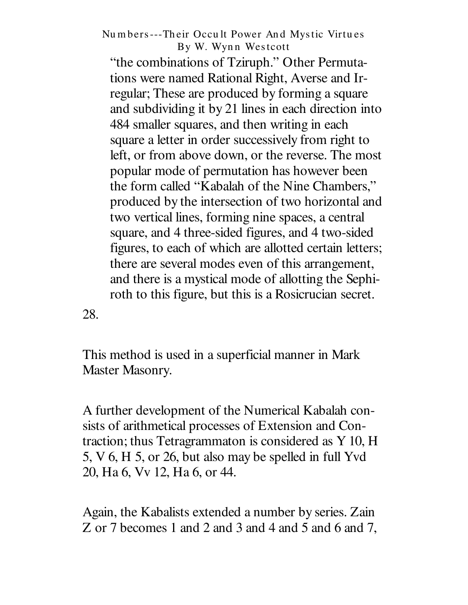" the combinations of Tziruph." Other Permutations were named Rational Right, Averse and Irregular; These are produced by forming a square and subdividing it by 21 lines in each direction into 484 smaller squares, and then writing in each square a letter in order successively from right to left, or from above down, or the reverse. The most popular mode of permutation has however been the form called "Kabalah of the Nine Chambers," produced by the intersection of two horizontal and two vertical lines, forming nine spaces, a central square, and 4 three-sided figures, and 4 two-sided figures, to each of which are allotted certain letters; there are several modes even of this arrangement, and there is a mystical mode of allotting the Sephiroth to this figure, but this is a Rosicrucian secret.

28.

This method is used in a superficial manner in Mark Master Masonry.

A further development of the Numerical Kabalah consists of arithmetical processes of Extension and Contraction; thus Tetragrammaton is considered as Y 10, H 5, V 6, H 5, or 26, but also may be spelled in full Yvd 20, Ha 6, Vv 12, Ha 6, or 44.

Again, the Kabalists extended a number by series. Zain Z or 7 becomes 1 and 2 and 3 and 4 and 5 and 6 and 7,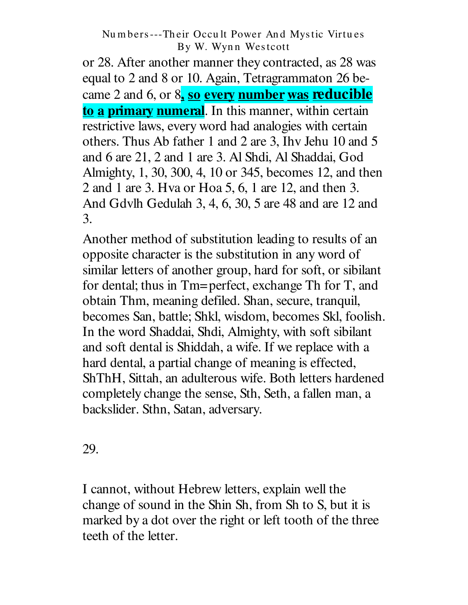or 28. After another manner they contracted, as 28 was equal to 2 and 8 or 10. Again, Tetragrammaton 26 became 2 and 6, or 8**, so every number was reducible to a primary numeral**. In this manner, within certain restrictive laws, every word had analogies with certain others. Thus Ab father 1 and 2 are 3, Ihv Jehu 10 and 5 and 6 are 21, 2 and 1 are 3. Al Shdi, Al Shaddai, God Almighty, 1, 30, 300, 4, 10 or 345, becomes 12, and then 2 and 1 are 3. Hva or Hoa 5, 6, 1 are 12, and then 3. And Gdvlh Gedulah 3, 4, 6, 30, 5 are 48 and are 12 and 3.

Another method of substitution leading to results of an opposite character is the substitution in any word of similar letters of another group, hard for soft, or sibilant for dental; thus in Tm=perfect, exchange Th for T, and obtain Thm, meaning defiled. Shan, secure, tranquil, becomes San, battle; Shkl, wisdom, becomes Skl, foolish. In the word Shaddai, Shdi, Almighty, with soft sibilant and soft dental is Shiddah, a wife. If we replace with a hard dental, a partial change of meaning is effected, ShThH, Sittah, an adulterous wife. Both letters hardened completely change the sense, Sth, Seth, a fallen man, a backslider. Sthn, Satan, adversary.

29.

I cannot, without Hebrew letters, explain well the change of sound in the Shin Sh, from Sh to S, but it is marked by a dot over the right or left tooth of the three teeth of the letter.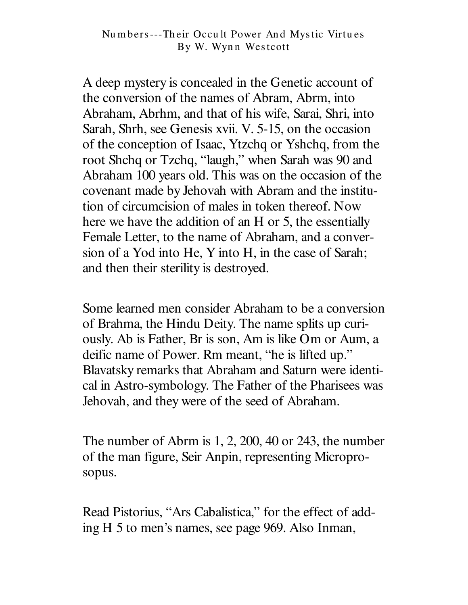A deep mystery is concealed in the Genetic account of the conversion of the names of Abram, Abrm, into Abraham, Abrhm, and that of his wife, Sarai, Shri, into Sarah, Shrh, see Genesis xvii. V. 5-15, on the occasion of the conception of Isaac, Ytzchq or Yshchq, from the root Shchq or Tzchq, "laugh," when Sarah was 90 and Abraham 100 years old. This was on the occasion of the covenant made by Jehovah with Abram and the institution of circumcision of males in token thereof. Now here we have the addition of an H or 5, the essentially Female Letter, to the name of Abraham, and a conversion of a Yod into He, Y into H, in the case of Sarah; and then their sterility is destroyed.

Some learned men consider Abraham to be a conversion of Brahma, the Hindu Deity. The name splits up curiously. Ab is Father, Br is son, Am is like Om or Aum, a deific name of Power. Rm meant, "he is lifted up." Blavatsky remarks that Abraham and Saturn were identical in Astro-symbology. The Father of the Pharisees was Jehovah, and they were of the seed of Abraham.

The number of Abrm is  $1, 2, 200, 40$  or 243, the number of the man figure, Seir Anpin, representing Microprosopus.

Read Pistorius, "Ars Cabalistica," for the effect of adding H 5 to men's names, see page 969. Also Inman,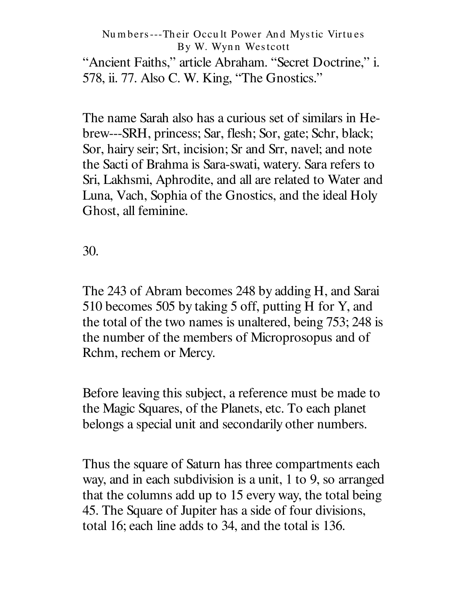" Ancient Faiths," article Abraham. " Secret Doctrine," i. 578, ii. 77. Also C. W. King, " The Gnostics."

The name Sarah also has a curious set of similars in Hebrew---SRH, princess; Sar, flesh; Sor, gate; Schr, black; Sor, hairy seir; Srt, incision; Sr and Srr, navel; and note the Sacti of Brahma is Sara-swati, watery. Sara refers to Sri, Lakhsmi, Aphrodite, and all are related to Water and Luna, Vach, Sophia of the Gnostics, and the ideal Holy Ghost, all feminine.

30.

The 243 of Abram becomes 248 by adding H, and Sarai 510 becomes 505 by taking 5 off, putting H for Y, and the total of the two names is unaltered, being 753; 248 is the number of the members of Microprosopus and of Rchm, rechem or Mercy.

Before leaving this subject, a reference must be made to the Magic Squares, of the Planets, etc. To each planet belongs a special unit and secondarily other numbers.

Thus the square of Saturn has three compartments each way, and in each subdivision is a unit, 1 to 9, so arranged that the columns add up to 15 every way, the total being 45. The Square of Jupiter has a side of four divisions, total 16; each line adds to 34, and the total is 136.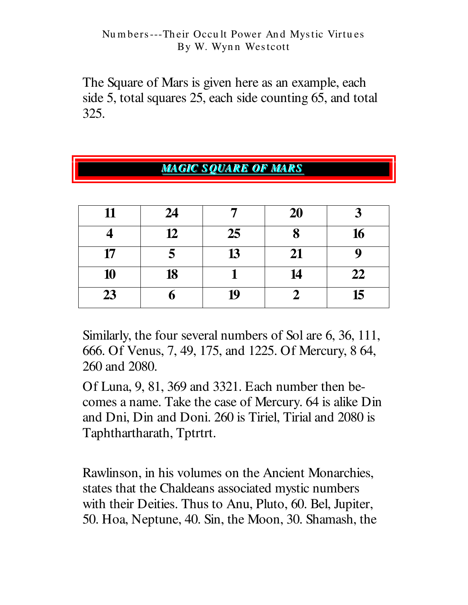The Square of Mars is given here as an example, each side 5, total squares 25, each side counting 65, and total 325.

| <b>MAGIC SQUARE OF MARS</b> |    |    |    |    |
|-----------------------------|----|----|----|----|
|                             |    |    |    |    |
| 11                          | 24 | ~  | 20 | 3  |
|                             | 12 | 25 | 8  | 16 |
| 17                          | 5  | 13 | 21 | g  |
| 10                          | 18 |    | 14 | 22 |
| 23                          | n  | 19 |    | 15 |

Similarly, the four several numbers of Sol are 6, 36, 111, 666. Of Venus, 7, 49, 175, and 1225. Of Mercury, 8 64, 260 and 2080.

Of Luna, 9, 81, 369 and 3321. Each number then becomes a name. Take the case of Mercury. 64 is alike Din and Dni, Din and Doni. 260 is Tiriel, Tirial and 2080 is Taphthartharath, Tptrtrt.

Rawlinson, in his volumes on the Ancient Monarchies, states that the Chaldeans associated mystic numbers with their Deities. Thus to Anu, Pluto, 60. Bel, Jupiter, 50. Hoa, Neptune, 40. Sin, the Moon, 30. Shamash, the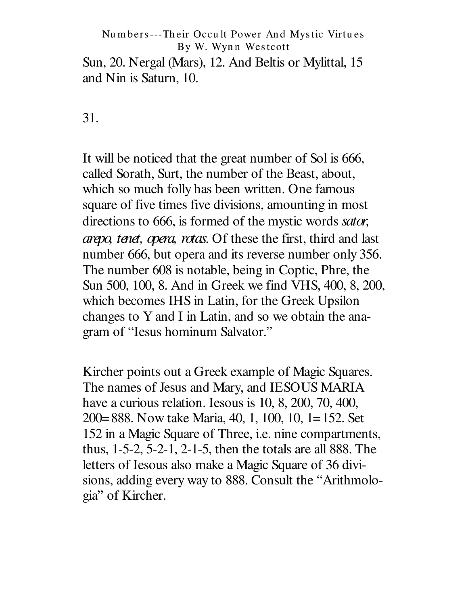Sun, 20. Nergal (Mars), 12. And Beltis or Mylittal, 15 and Nin is Saturn, 10.

31.

It will be noticed that the great number of Sol is 666, called Sorath, Surt, the number of the Beast, about, which so much folly has been written. One famous square of five times five divisions, amounting in most directions to 666, is formed of the mystic words sator, *arepo, tenet, opera, rotas.* Of these the first, third and last number 666, but opera and its reverse number only 356. The number 608 is notable, being in Coptic, Phre, the Sun 500, 100, 8. And in Greek we find VHS, 400, 8, 200, which becomes IHS in Latin, for the Greek Upsilon changes to Y and I in Latin, and so we obtain the anagram of "Iesus hominum Salvator."

Kircher points out a Greek example of Magic Squares. The names of Jesus and Mary, and IESOUS MARIA have a curious relation. Iesous is 10, 8, 200, 70, 400, 200=888. Now take Maria, 40, 1, 100, 10, 1=152. Set 152 in a Magic Square of Three, *i.e.* nine compartments, thus,  $1-5-2$ ,  $5-2-1$ ,  $2-1-5$ , then the totals are all 888. The letters of Iesous also make a Magic Square of 36 divisions, adding every way to 888. Consult the "Arithmologia" of Kircher.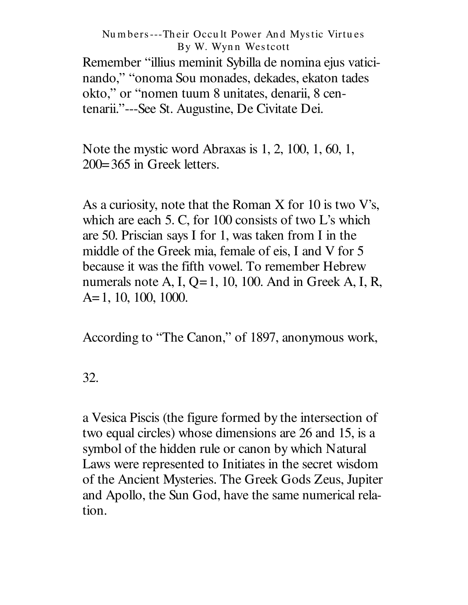Remember "illius meminit Sybilla de nomina ejus vaticinando," "onoma Sou monades, dekades, ekaton tades okto," or "nomen tuum 8 unitates, denarii, 8 centenarii."---See St. Augustine, De Civitate Dei.

Note the mystic word Abraxas is  $1, 2, 100, 1, 60, 1,$  $200 = 365$  in Greek letters.

As a curiosity, note that the Roman X for 10 is two V's, which are each 5. C, for 100 consists of two L's which are 50. Priscian says I for 1, was taken from I in the middle of the Greek mia, female of eis, I and V for 5 because it was the fifth vowel. To remember Hebrew numerals note A, I,  $Q=1$ , 10, 100. And in Greek A, I, R,  $A=1, 10, 100, 1000.$ 

According to "The Canon," of 1897, anonymous work,

32.

a Vesica Piscis (the figure formed by the intersection of two equal circles) whose dimensions are 26 and 15, is a symbol of the hidden rule or canon by which Natural Laws were represented to Initiates in the secret wisdom of the Ancient Mysteries. The Greek Gods Zeus, Jupiter and Apollo, the Sun God, have the same numerical relation.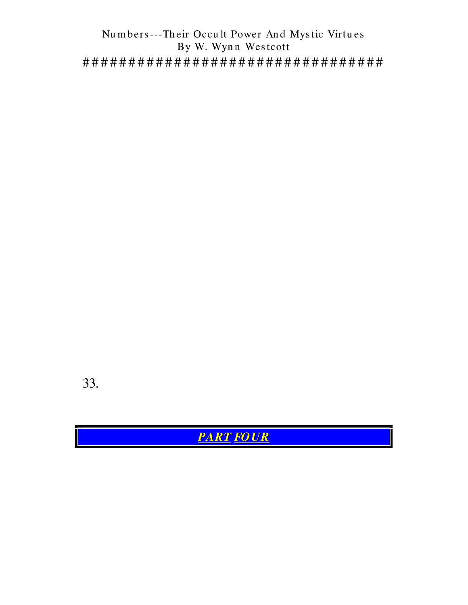33.

**PART FOUR**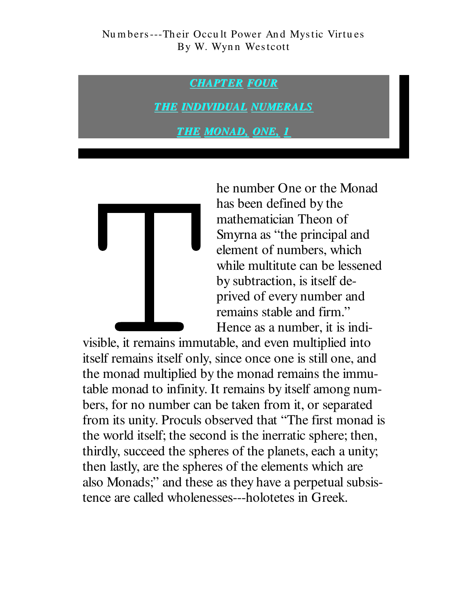**CHAPTER FOUR** 

**THE INDIVIDUAL NUMERALS** 

**THE MONAD, ONE, 1** 



he number One or the Monad has been defined by the mathematician Theon of Smyrna as "the principal and element of numbers, which while multitute can be lessened by subtraction, is itself deprived of every number and remains stable and firm." Hence as a number, it is indi-

visible, it remains immutable, and even multiplied into itself remains itself only, since once one is still one, and the monad multiplied by the monad remains the immutable monad to infinity. It remains by itself among numbers, for no number can be taken from it, or separated from its unity. Proculs observed that "The first monad is the world itself; the second is the inerratic sphere; then, thirdly, succeed the spheres of the planets, each a unity; then lastly, are the spheres of the elements which are also Monads;" and these as they have a perpetual subsistence are called wholenesses---holotetes in Greek.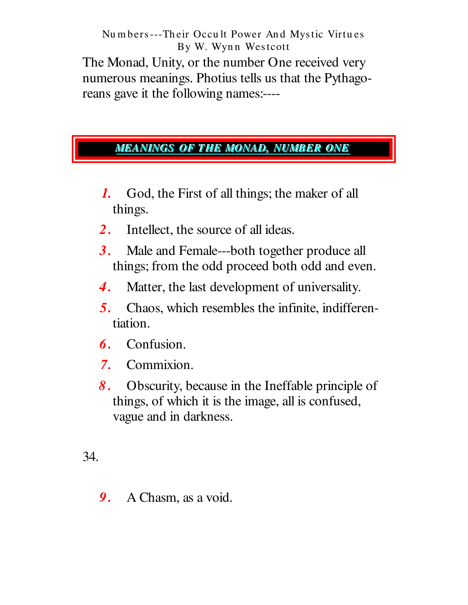The Monad, Unity, or the number One received very numerous meanings. Photius tells us that the Pythagoreans gave it the following names:----

## <u>MEANINGS OF THE MONAD, NUMBER ONE</u>

- $\boldsymbol{l}$ . God, the First of all things; the maker of all things.
- Intellect, the source of all ideas.  $2.$
- $3.$ Male and Female---both together produce all things; from the odd proceed both odd and even.
- Matter, the last development of universality. 4.
- $5.$ Chaos, which resembles the infinite, indifferentiation.
- Confusion. 6.
- Commixion.  $7.$
- Obscurity, because in the Ineffable principle of 8. things, of which it is the image, all is confused, vague and in darkness.

34.

A Chasm, as a void. 9.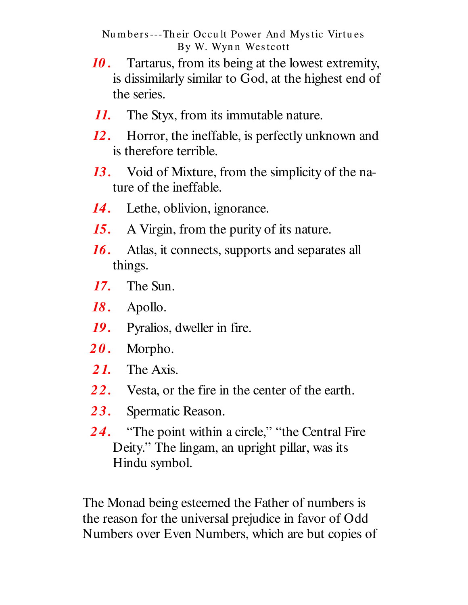- 10. Tartarus, from its being at the lowest extremity, is dissimilarly similar to God, at the highest end of the series.
- 11. The Styx, from its immutable nature.
- $12.$ Horror, the ineffable, is perfectly unknown and is therefore terrible.
- 13. Void of Mixture, from the simplicity of the nature of the ineffable.
- 14. Lethe, oblivion, ignorance.
- A Virgin, from the purity of its nature. 15.
- Atlas, it connects, supports and separates all 16. things.
- The Sun.  $17.$
- 18. Apollo.
- **19.** Pyralios, dweller in fire.
- $20.$ Morpho.
- 21. The Axis.
- 22. Vesta, or the fire in the center of the earth.
- 23. Spermatic Reason.
- "The point within a circle," "the Central Fire 24. Deity." The lingam, an upright pillar, was its Hindu symbol.

The Monad being esteemed the Father of numbers is the reason for the universal prejudice in favor of Odd Numbers over Even Numbers, which are but copies of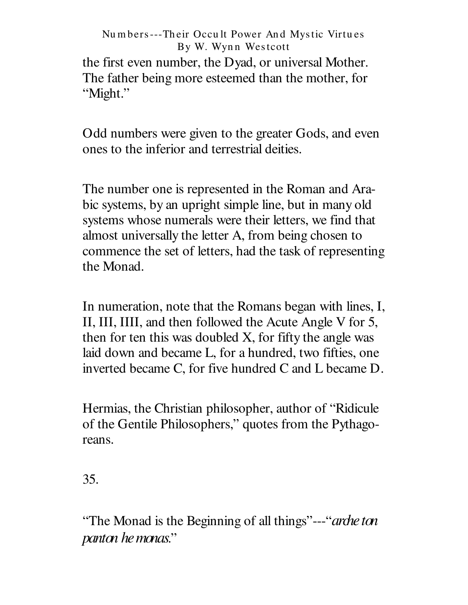the first even number, the Dyad, or universal Mother. The father being more esteemed than the mother, for "Might."

Odd numbers were given to the greater Gods, and even ones to the inferior and terrestrial deities.

The number one is represented in the Roman and Arabic systems, by an upright simple line, but in many old systems whose numerals were their letters, we find that almost universally the letter A, from being chosen to commence the set of letters, had the task of representing the Monad.

In numeration, note that the Romans began with lines, I, II, III, IIII, and then followed the Acute Angle V for 5, then for ten this was doubled X, for fifty the angle was laid down and became L, for a hundred, two fifties, one inverted became C, for five hundred C and L became D.

Hermias, the Christian philosopher, author of "Ridicule" of the Gentile Philosophers," quotes from the Pythagoreans.

35.

"The Monad is the Beginning of all things"---"*arche ton*" panton he monas."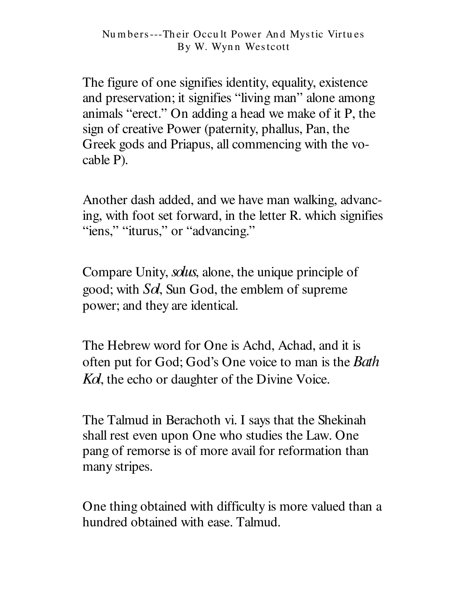The figure of one signifies identity, equality, existence and preservation; it signifies "living man" alone among animals "erect." On adding a head we make of it P, the sign of creative Power (paternity, phallus, Pan, the Greek gods and Priapus, all commencing with the vocable P).

Another dash added, and we have man walking, advancing, with foot set forward, in the letter R. which signifies " iens," " iturus," or " advancing."

Compare Unity, *solus*, alone, the unique principle of good; with *Sol*, Sun God, the emblem of supreme power; and they are identical.

The Hebrew word for One is Achd, Achad, and it is often put for God; God's One voice to man is the *Bath Kol*, the echo or daughter of the Divine Voice.

The Talmud in Berachoth vi. I says that the Shekinah shall rest even upon One who studies the Law. One pang of remorse is of more avail for reformation than many stripes.

One thing obtained with difficulty is more valued than a hundred obtained with ease. Talmud.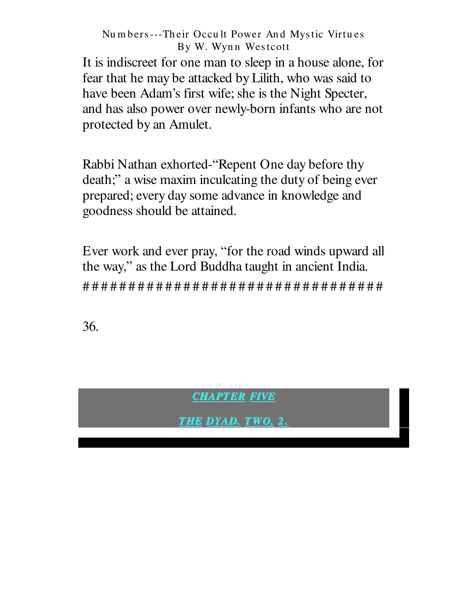It is indiscreet for one man to sleep in a house alone, for fear that he may be attacked by Lilith, who was said to have been Adam's first wife; she is the Night Specter, and has also power over newly-born infants who are not protected by an Amulet.

Rabbi Nathan exhorted-"Repent One day before thy death;" a wise maxim inculcating the duty of being ever prepared; every day some advance in knowledge and goodness should be attained.

Ever work and ever pray, "for the road winds upward all the way," as the Lord Buddha taught in ancient India. 

36.

**CHAPTER FIVE** 

THE DYAD. TWO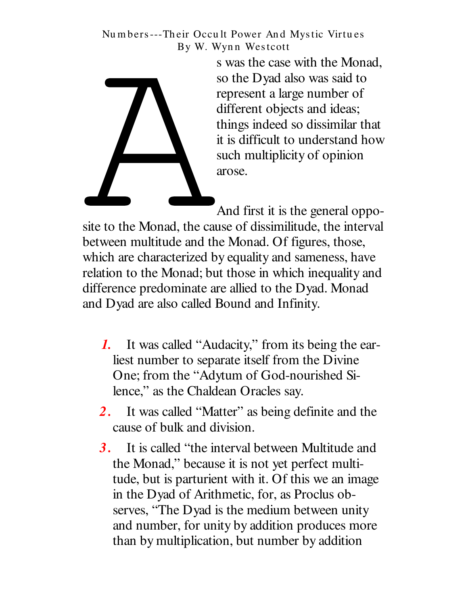> s was the case with the Monad, so the Dyad also was said to represent a large number of different objects and ideas; things indeed so dissimilar that it is difficult to understand how such multiplicity of opinion arose.

And first it is the general oppo-

site to the Monad, the cause of dissimilitude, the interval between multitude and the Monad. Of figures, those, which are characterized by equality and sameness, have relation to the Monad; but those in which inequality and difference predominate are allied to the Dyad. Monad and Dyad are also called Bound and Infinity.

- 1. It was called "Audacity," from its being the earliest number to separate itself from the Divine One; from the "Adytum of God-nourished Silence," as the Chaldean Oracles say.
- 2. It was called "Matter" as being definite and the cause of bulk and division.
- It is called "the interval between Multitude and  $3.$ the Monad," because it is not yet perfect multitude, but is parturient with it. Of this we an image in the Dyad of Arithmetic, for, as Proclus observes, "The Dyad is the medium between unity and number, for unity by addition produces more than by multiplication, but number by addition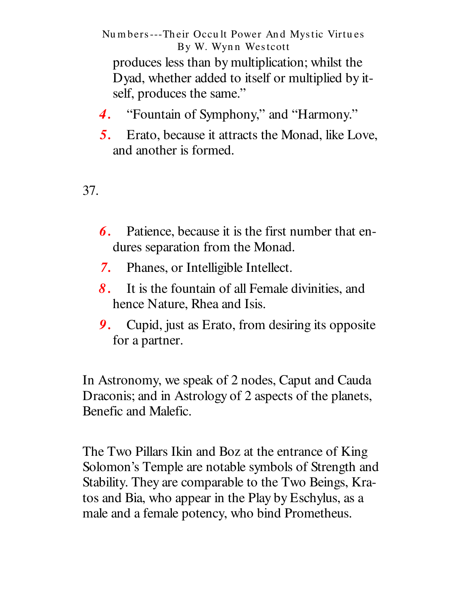Numbers---Their Occult Power And Mystic Virtues By W. Wynn Westcott produces less than by multiplication; whilst the Dyad, whether added to itself or multiplied by itself, produces the same."

- $\boldsymbol{4}$ . "Fountain of Symphony," and "Harmony."
- Erato, because it attracts the Monad, like Love, 5. and another is formed.

37.

- **6.** Patience, because it is the first number that endures separation from the Monad.
- Phanes, or Intelligible Intellect. 7.
- It is the fountain of all Female divinities, and  $\mathcal{S}_{\cdot}$ hence Nature, Rhea and Isis.
- 9. Cupid, just as Erato, from desiring its opposite for a partner.

In Astronomy, we speak of 2 nodes, Caput and Cauda Draconis; and in Astrology of 2 aspects of the planets, Benefic and Malefic.

The Two Pillars Ikin and Boz at the entrance of King Solomon's Temple are notable symbols of Strength and Stability. They are comparable to the Two Beings, Kratos and Bia, who appear in the Play by Eschylus, as a male and a female potency, who bind Prometheus.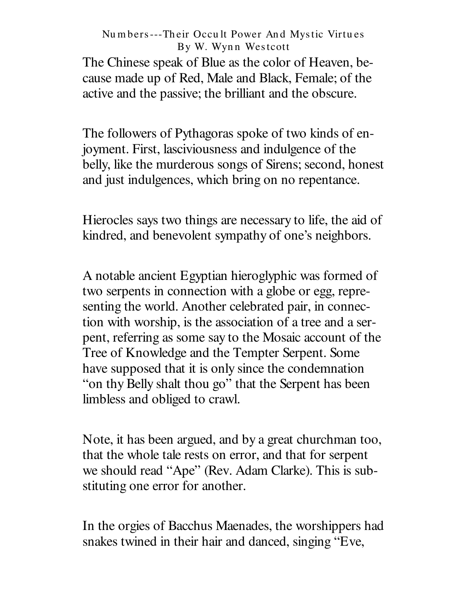The Chinese speak of Blue as the color of Heaven, because made up of Red, Male and Black, Female; of the active and the passive; the brilliant and the obscure.

The followers of Pythagoras spoke of two kinds of enjoyment. First, lasciviousness and indulgence of the belly, like the murderous songs of Sirens; second, honest and just indulgences, which bring on no repentance.

Hierocles says two things are necessary to life, the aid of kindred, and benevolent sympathy of one's neighbors.

A notable ancient Egyptian hieroglyphic was formed of two serpents in connection with a globe or egg, representing the world. Another celebrated pair, in connection with worship, is the association of a tree and a serpent, referring as some say to the Mosaic account of the Tree of Knowledge and the Tempter Serpent. Some have supposed that it is only since the condemnation "on thy Belly shalt thou go" that the Serpent has been limbless and obliged to crawl.

Note, it has been argued, and by a great churchman too, that the whole tale rests on error, and that for serpent we should read "Ape" (Rev. Adam Clarke). This is substituting one error for another.

In the orgies of Bacchus Maenades, the worshippers had snakes twined in their hair and danced, singing "Eve,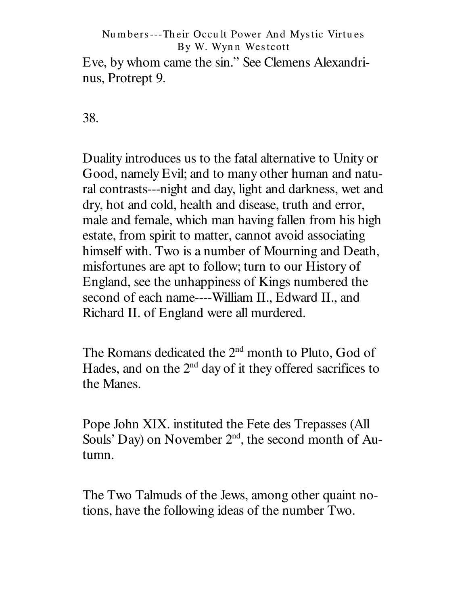Eve, by whom came the sin." See Clemens Alexandrinus, Protrept 9.

38.

Duality introduces us to the fatal alternative to Unity or Good, namely Evil; and to many other human and natural contrasts---night and day, light and darkness, wet and dry, hot and cold, health and disease, truth and error, male and female, which man having fallen from his high estate, from spirit to matter, cannot avoid associating himself with. Two is a number of Mourning and Death, misfortunes are apt to follow; turn to our History of England, see the unhappiness of Kings numbered the second of each name----William II., Edward II., and Richard II. of England were all murdered.

The Romans dedicated the 2<sup>nd</sup> month to Pluto, God of Hades, and on the  $2<sup>nd</sup>$  day of it they offered sacrifices to the Manes.

Pope John XIX. instituted the Fete des Trepasses (All Souls' Day) on November  $2<sup>nd</sup>$ , the second month of Autumn.

The Two Talmuds of the Jews, among other quaint notions, have the following ideas of the number Two.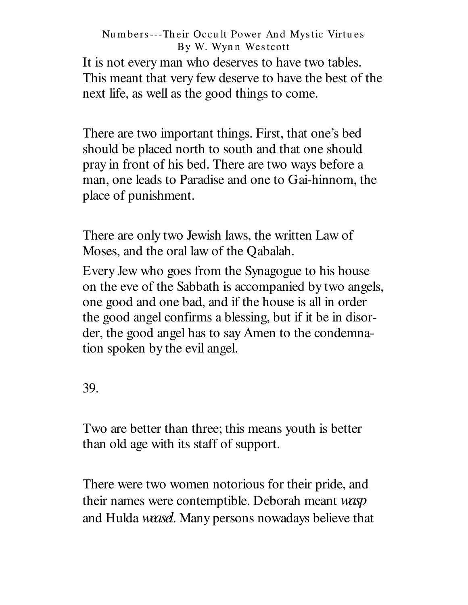It is not every man who deserves to have two tables. This meant that very few deserve to have the best of the next life, as well as the good things to come.

There are two important things. First, that one's bed should be placed north to south and that one should pray in front of his bed. There are two ways before a man, one leads to Paradise and one to Gai-hinnom, the place of punishment.

There are only two Jewish laws, the written Law of Moses, and the oral law of the Qabalah.

Every Jew who goes from the Synagogue to his house on the eve of the Sabbath is accompanied by two angels, one good and one bad, and if the house is all in order the good angel confirms a blessing, but if it be in disorder, the good angel has to say Amen to the condemnation spoken by the evil angel.

39.

Two are better than three; this means youth is better than old age with its staff of support.

There were two women notorious for their pride, and their names were contemptible. Deborah meant *wasp* and Hulda *weasel*. Many persons nowadays believe that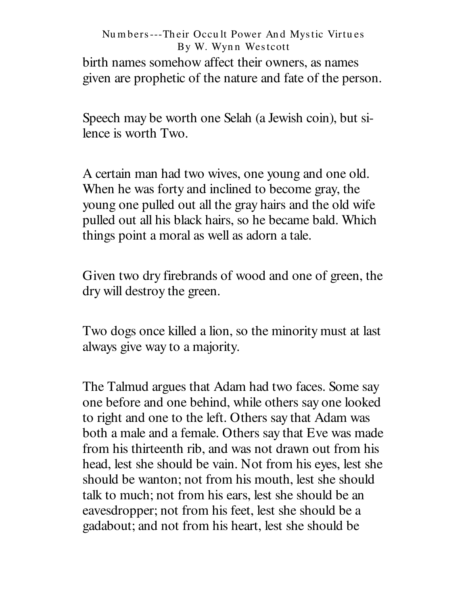## Nu m bers---Th eir Occu lt Power An d Mystic Virtu es By W. Wynn Westcott birth names somehow affect their owners, as names given are prophetic of the nature and fate of the person.

Speech may be worth one Selah (a Jewish coin), but silence is worth Two.

A certain man had two wives, one young and one old. When he was forty and inclined to become gray, the young one pulled out all the gray hairs and the old wife pulled out all his black hairs, so he became bald. Which things point a moral as well as adorn a tale.

Given two dry firebrands of wood and one of green, the dry will destroy the green.

Two dogs once killed a lion, so the minority must at last always give way to a majority.

The Talmud argues that Adam had two faces. Some say one before and one behind, while others say one looked to right and one to the left. Others say that Adam was both a male and a female. Others say that Eve was made from his thirteenth rib, and was not drawn out from his head, lest she should be vain. Not from his eyes, lest she should be wanton; not from his mouth, lest she should talk to much; not from his ears, lest she should be an eavesdropper; not from his feet, lest she should be a gadabout; and not from his heart, lest she should be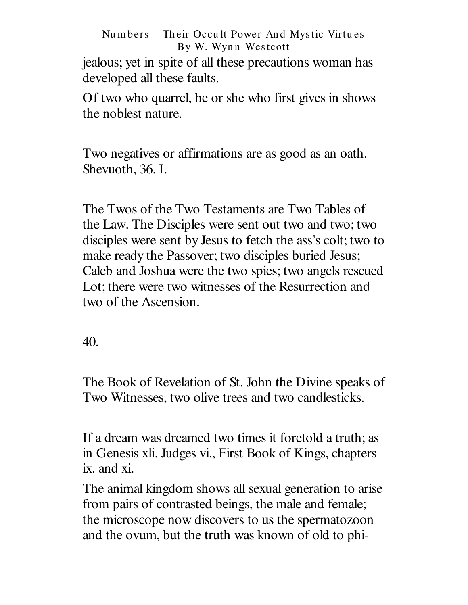jealous; yet in spite of all these precautions woman has developed all these faults.

Of two who quarrel, he or she who first gives in shows the noblest nature.

Two negatives or affirmations are as good as an oath. Shevuoth, 36. I.

The Twos of the Two Testaments are Two Tables of the Law. The Disciples were sent out two and two; two disciples were sent by Jesus to fetch the ass's colt; two to make ready the Passover; two disciples buried Jesus; Caleb and Joshua were the two spies; two angels rescued Lot; there were two witnesses of the Resurrection and two of the Ascension.

40.

The Book of Revelation of St. John the Divine speaks of Two Witnesses, two olive trees and two candlesticks.

If a dream was dreamed two times it foretold a truth; as in Genesis xli. Judges vi., First Book of Kings, chapters ix. and xi.

The animal kingdom shows all sexual generation to arise from pairs of contrasted beings, the male and female; the microscope now discovers to us the spermatozoon and the ovum, but the truth was known of old to phi-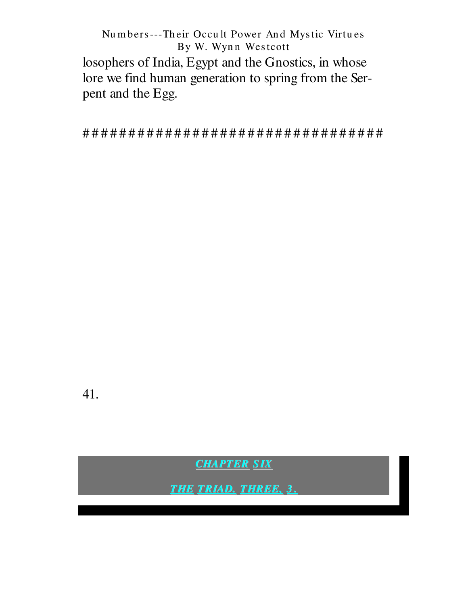losophers of India, Egypt and the Gnostics, in whose lore we find human generation to spring from the Serpent and the Egg.

41.

**CHAPTER SIX** 

**THE TRIAD. THREE, 3.**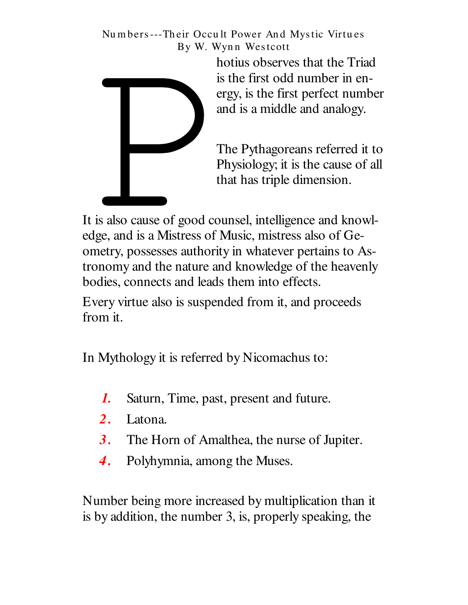

hotius observes that the Triad is the first odd number in energy, is the first perfect number and is a middle and analogy.

The Pythagoreans referred it to Physiology; it is the cause of all that has triple dimension.

It is also cause of good counsel, intelligence and knowledge, and is a Mistress of Music, mistress also of Geometry, possesses authority in whatever pertains to Astronomy and the nature and knowledge of the heavenly bodies, connects and leads them into effects.

Every virtue also is suspended from it, and proceeds from it.

In Mythology it is referred by Nicomachus to:

- Saturn, Time, past, present and future.  $\boldsymbol{I}$ .
- $2<sup>1</sup>$ Latona.
- The Horn of Amalthea, the nurse of Jupiter. 3.
- Polyhymnia, among the Muses. 4.

Number being more increased by multiplication than it is by addition, the number 3, is, properly speaking, the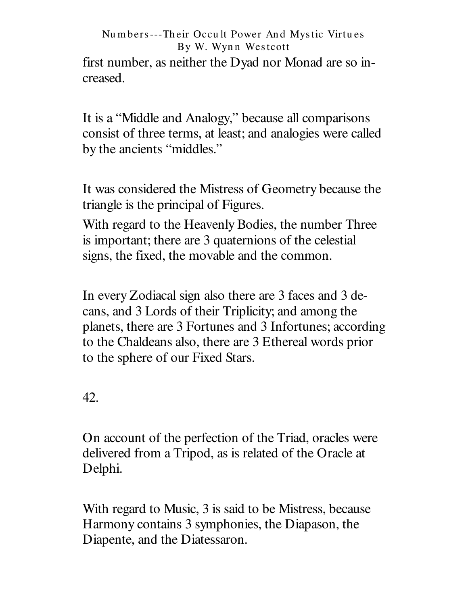first number, as neither the Dyad nor Monad are so increased.

It is a "Middle and Analogy," because all comparisons consist of three terms, at least; and analogies were called by the ancients "middles."

It was considered the Mistress of Geometry because the triangle is the principal of Figures.

With regard to the Heavenly Bodies, the number Three is important; there are 3 quaternions of the celestial signs, the fixed, the movable and the common.

In every Zodiacal sign also there are 3 faces and 3 decans, and 3 Lords of their Triplicity; and among the planets, there are 3 Fortunes and 3 Infortunes; according to the Chaldeans also, there are 3 Ethereal words prior to the sphere of our Fixed Stars.

42.

On account of the perfection of the Triad, oracles were delivered from a Tripod, as is related of the Oracle at Delphi.

With regard to Music, 3 is said to be Mistress, because Harmony contains 3 symphonies, the Diapason, the Diapente, and the Diatessaron.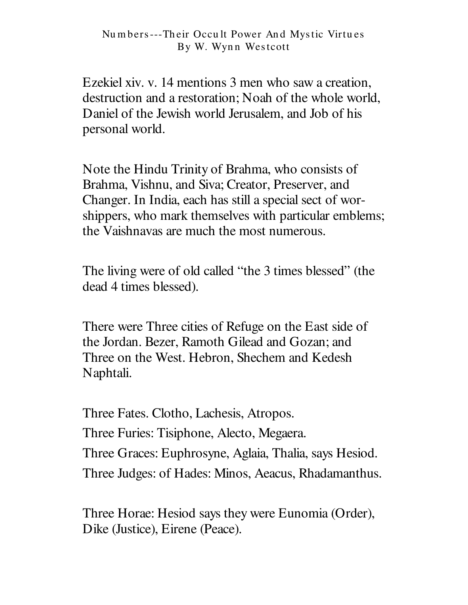Ezekiel xiv. v. 14 mentions 3 men who saw a creation, destruction and a restoration; Noah of the whole world, Daniel of the Jewish world Jerusalem, and Job of his personal world.

Note the Hindu Trinity of Brahma, who consists of Brahma, Vishnu, and Siva; Creator, Preserver, and Changer. In India, each has still a special sect of worshippers, who mark themselves with particular emblems; the Vaishnayas are much the most numerous.

The living were of old called "the 3 times blessed" (the dead 4 times blessed).

There were Three cities of Refuge on the East side of the Jordan. Bezer, Ramoth Gilead and Gozan; and Three on the West. Hebron, Shechem and Kedesh Naphtali.

Three Fates. Clotho, Lachesis, Atropos. Three Furies: Tisiphone, Alecto, Megaera. Three Graces: Euphrosyne, Aglaia, Thalia, says Hesiod. Three Judges: of Hades: Minos, Aeacus, Rhadamanthus.

Three Horae: Hesiod says they were Eunomia (Order), Dike (Justice), Eirene (Peace).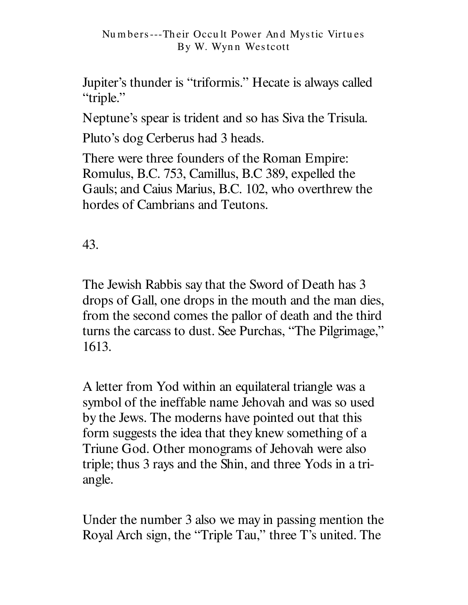Jupiter's thunder is "triformis." Hecate is always called "triple."

Neptune's spear is trident and so has Siva the Trisula.

Pluto's dog Cerberus had 3 heads.

There were three founders of the Roman Empire: Romulus, B.C. 753, Camillus, B.C 389, expelled the Gauls; and Caius Marius, B.C. 102, who overthrew the hordes of Cambrians and Teutons.

43.

The Jewish Rabbis say that the Sword of Death has 3 drops of Gall, one drops in the mouth and the man dies, from the second comes the pallor of death and the third turns the carcass to dust. See Purchas, "The Pilgrimage," 1613.

A letter from Yod within an equilateral triangle was a symbol of the ineffable name Jehovah and was so used by the Jews. The moderns have pointed out that this form suggests the idea that they knew something of a Triune God. Other monograms of Jehovah were also triple; thus 3 rays and the Shin, and three Yods in a triangle.

Under the number 3 also we may in passing mention the Royal Arch sign, the "Triple Tau," three T's united. The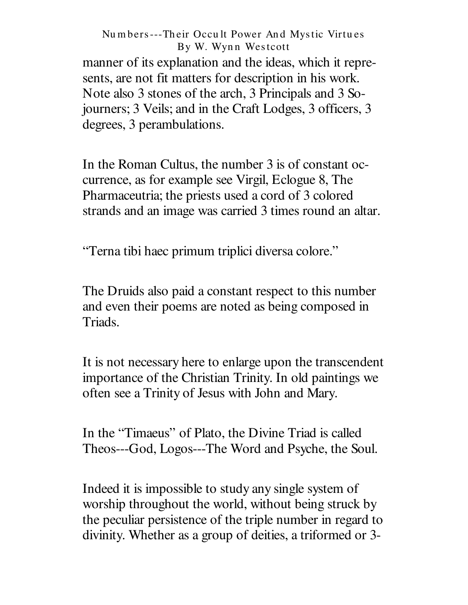manner of its explanation and the ideas, which it represents, are not fit matters for description in his work. Note also 3 stones of the arch, 3 Principals and 3 Sojourners; 3 Veils; and in the Craft Lodges, 3 officers, 3 degrees, 3 perambulations.

In the Roman Cultus, the number 3 is of constant occurrence, as for example see Virgil, Eclogue 8, The Pharmaceutria; the priests used a cord of 3 colored strands and an image was carried 3 times round an altar.

"Terna tibi haec primum triplici diversa colore."

The Druids also paid a constant respect to this number and even their poems are noted as being composed in Triads.

It is not necessary here to enlarge upon the transcendent importance of the Christian Trinity. In old paintings we often see a Trinity of Jesus with John and Mary.

In the "Timaeus" of Plato, the Divine Triad is called Theos---God, Logos---The Word and Psyche, the Soul.

Indeed it is impossible to study any single system of worship throughout the world, without being struck by the peculiar persistence of the triple number in regard to divinity. Whether as a group of deities, a triformed or 3-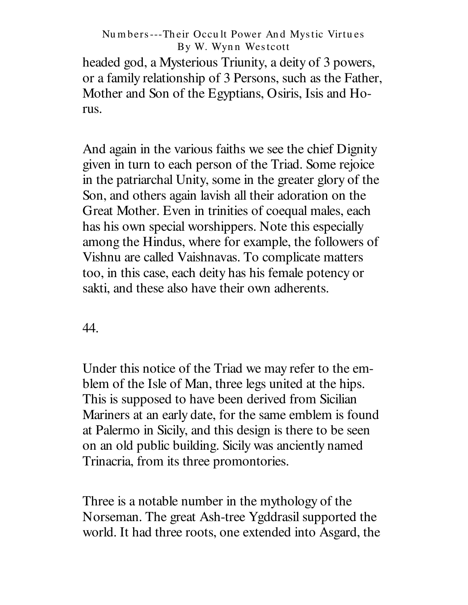headed god, a Mysterious Triunity, a deity of 3 powers, or a family relationship of 3 Persons, such as the Father, Mother and Son of the Egyptians, Osiris, Isis and Horus.

And again in the various faiths we see the chief Dignity given in turn to each person of the Triad. Some rejoice in the patriarchal Unity, some in the greater glory of the Son, and others again lavish all their adoration on the Great Mother. Even in trinities of coequal males, each has his own special worshippers. Note this especially among the Hindus, where for example, the followers of Vishnu are called Vaishnavas. To complicate matters too, in this case, each deity has his female potency or sakti, and these also have their own adherents.

44.

Under this notice of the Triad we may refer to the emblem of the Isle of Man, three legs united at the hips. This is supposed to have been derived from Sicilian Mariners at an early date, for the same emblem is found at Palermo in Sicily, and this design is there to be seen on an old public building. Sicily was anciently named Trinacria, from its three promontories.

Three is a notable number in the mythology of the Norseman. The great Ash-tree Ygddrasil supported the world. It had three roots, one extended into Asgard, the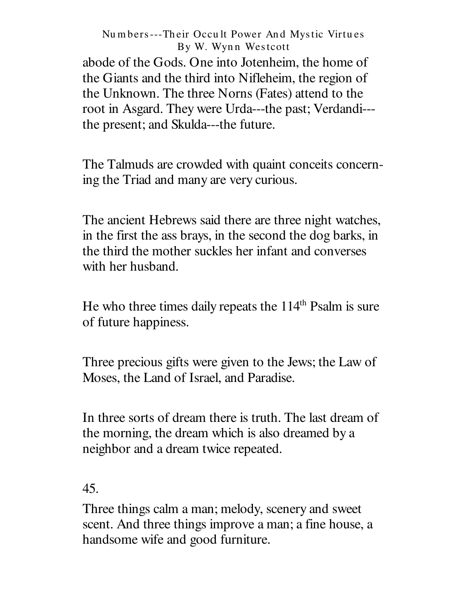abode of the Gods. One into Jotenheim, the home of the Giants and the third into Nifleheim, the region of the Unknown. The three Norns (Fates) attend to the root in Asgard. They were Urda---the past; Verdandi-- the present; and Skulda---the future.

The Talmuds are crowded with quaint conceits concerning the Triad and many are very curious.

The ancient Hebrews said there are three night watches, in the first the ass brays, in the second the dog barks, in the third the mother suckles her infant and converses with her husband.

He who three times daily repeats the 114<sup>th</sup> Psalm is sure of future happiness.

Three precious gifts were given to the Jews; the Law of Moses, the Land of Israel, and Paradise.

In three sorts of dream there is truth. The last dream of the morning, the dream which is also dreamed by a neighbor and a dream twice repeated.

45.

Three things calm a man; melody, scenery and sweet scent. And three things improve a man; a fine house, a handsome wife and good furniture.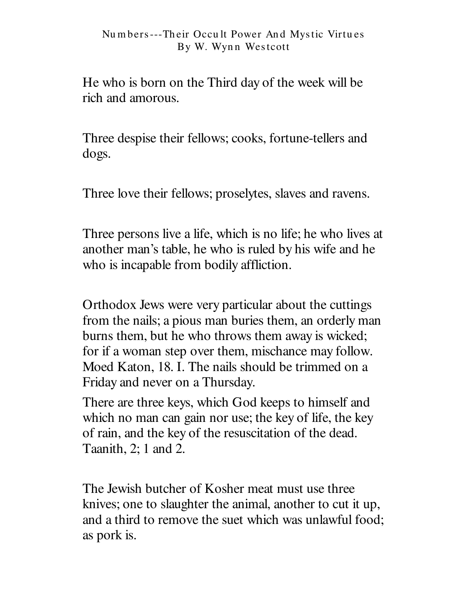He who is born on the Third day of the week will be rich and amorous.

Three despise their fellows; cooks, fortune-tellers and dogs.

Three love their fellows; proselytes, slaves and ravens.

Three persons live a life, which is no life; he who lives at another man's table, he who is ruled by his wife and he who is incapable from bodily affliction.

Orthodox Jews were very particular about the cuttings from the nails; a pious man buries them, an orderly man burns them, but he who throws them away is wicked; for if a woman step over them, mischance may follow. Moed Katon, 18. I. The nails should be trimmed on a Friday and never on a Thursday.

There are three keys, which God keeps to himself and which no man can gain nor use; the key of life, the key of rain, and the key of the resuscitation of the dead. Taanith, 2; 1 and 2.

The Jewish butcher of Kosher meat must use three knives; one to slaughter the animal, another to cut it up, and a third to remove the suet which was unlawful food; as pork is.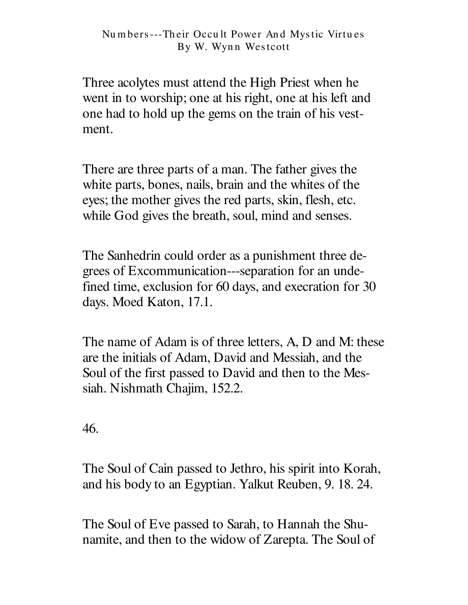Three acolytes must attend the High Priest when he went in to worship; one at his right, one at his left and one had to hold up the gems on the train of his vestment.

There are three parts of a man. The father gives the white parts, bones, nails, brain and the whites of the eyes; the mother gives the red parts, skin, flesh, etc. while God gives the breath, soul, mind and senses.

The Sanhedrin could order as a punishment three degrees of Excommunication---separation for an undefined time, exclusion for 60 days, and execration for 30 days. Moed Katon, 17.1.

The name of Adam is of three letters, A, D and M: these are the initials of Adam, David and Messiah, and the Soul of the first passed to David and then to the Messiah. Nishmath Chajim, 152.2.

46.

The Soul of Cain passed to Jethro, his spirit into Korah, and his body to an Egyptian. Yalkut Reuben, 9. 18. 24.

The Soul of Eve passed to Sarah, to Hannah the Shunamite, and then to the widow of Zarepta. The Soul of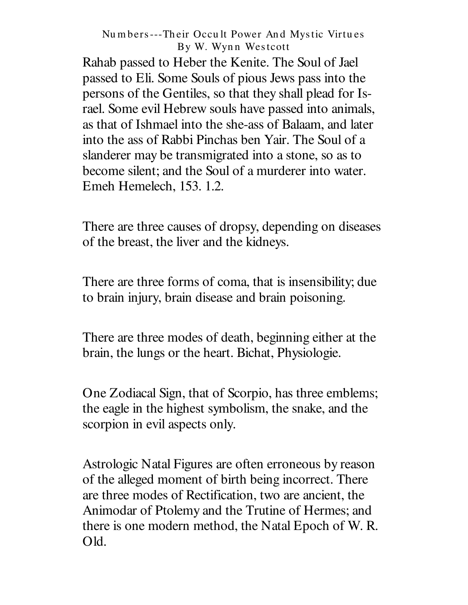Rahab passed to Heber the Kenite. The Soul of Jael passed to Eli. Some Souls of pious Jews pass into the persons of the Gentiles, so that they shall plead for Israel. Some evil Hebrew souls have passed into animals, as that of Ishmael into the she-ass of Balaam, and later into the ass of Rabbi Pinchas ben Yair. The Soul of a slanderer may be transmigrated into a stone, so as to become silent; and the Soul of a murderer into water. Emeh Hemelech, 153. 1.2.

There are three causes of dropsy, depending on diseases of the breast, the liver and the kidneys.

There are three forms of coma, that is insensibility; due to brain injury, brain disease and brain poisoning.

There are three modes of death, beginning either at the brain, the lungs or the heart. Bichat, Physiologie.

One Zodiacal Sign, that of Scorpio, has three emblems; the eagle in the highest symbolism, the snake, and the scorpion in evil aspects only.

Astrologic Natal Figures are often erroneous by reason of the alleged moment of birth being incorrect. There are three modes of Rectification, two are ancient, the Animodar of Ptolemy and the Trutine of Hermes; and there is one modern method, the Natal Epoch of W. R. Old.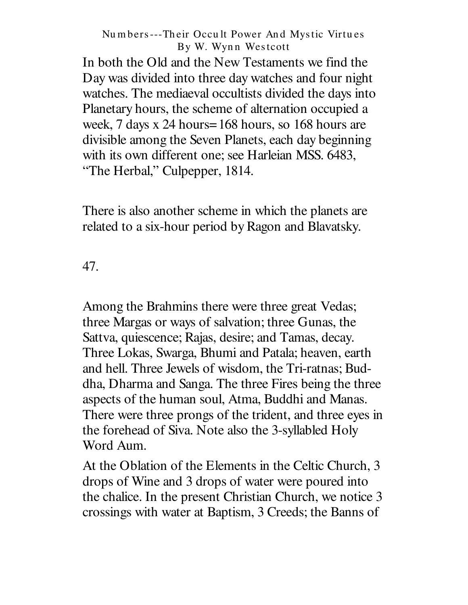In both the Old and the New Testaments we find the Day was divided into three day watches and four night watches. The mediaeval occultists divided the days into Planetary hours, the scheme of alternation occupied a week, 7 days x 24 hours=168 hours, so 168 hours are divisible among the Seven Planets, each day beginning with its own different one; see Harleian MSS. 6483, "The Herbal," Culpepper, 1814.

There is also another scheme in which the planets are related to a six-hour period by Ragon and Blavatsky.

47.

Among the Brahmins there were three great Vedas; three Margas or ways of salvation; three Gunas, the Sattva, quiescence; Rajas, desire; and Tamas, decay. Three Lokas, Swarga, Bhumi and Patala; heaven, earth and hell. Three Jewels of wisdom, the Tri-ratnas; Buddha, Dharma and Sanga. The three Fires being the three aspects of the human soul, Atma, Buddhi and Manas. There were three prongs of the trident, and three eyes in the forehead of Siva. Note also the 3-syllabled Holy Word Aum.

At the Oblation of the Elements in the Celtic Church, 3 drops of Wine and 3 drops of water were poured into the chalice. In the present Christian Church, we notice 3 crossings with water at Baptism, 3 Creeds; the Banns of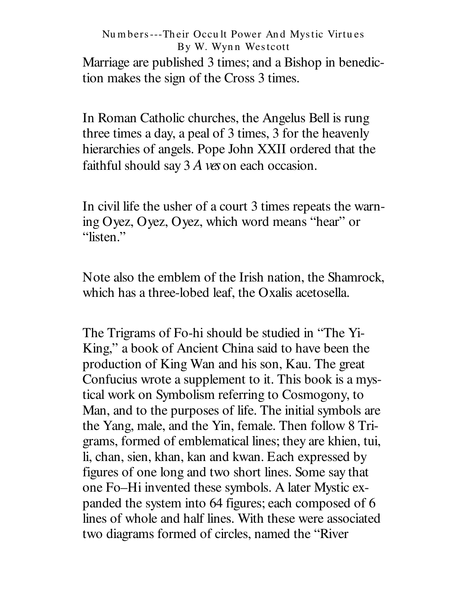## Nu m bers---Th eir Occu lt Power An d Mystic Virtu es By W. Wynn Westcott Marriage are published 3 times; and a Bishop in benediction makes the sign of the Cross 3 times.

In Roman Catholic churches, the Angelus Bell is rung three times a day, a peal of 3 times, 3 for the heavenly hierarchies of angels. Pope John XXII ordered that the faithful should say 3 *Aves* on each occasion.

In civil life the usher of a court 3 times repeats the warning Oyez, Oyez, Oyez, which word means " hear" or "listen."

Note also the emblem of the Irish nation, the Shamrock, which has a three-lobed leaf, the Oxalis acetosella.

The Trigrams of Fo-hi should be studied in "The Yi-King," a book of Ancient China said to have been the production of King Wan and his son, Kau. The great Confucius wrote a supplement to it. This book is a mystical work on Symbolism referring to Cosmogony, to Man, and to the purposes of life. The initial symbols are the Yang, male, and the Yin, female. Then follow 8 Trigrams, formed of emblematical lines; they are khien, tui, li, chan, sien, khan, kan and kwan. Each expressed by figures of one long and two short lines. Some say that one Fo–Hi invented these symbols. A later Mystic expanded the system into 64 figures; each composed of 6 lines of whole and half lines. With these were associated two diagrams formed of circles, named the " River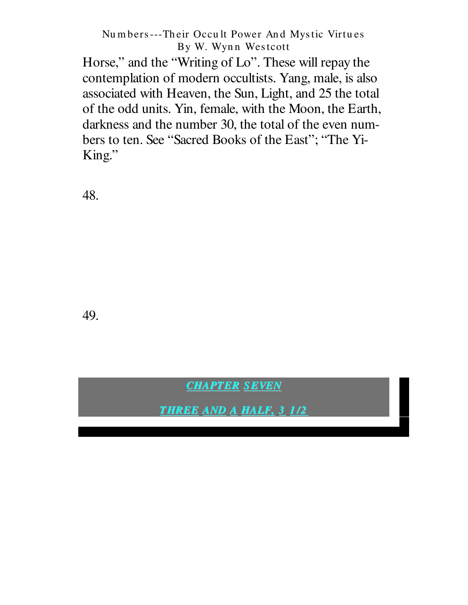Horse," and the "Writing of Lo". These will repay the contemplation of modern occultists. Yang, male, is also associated with Heaven, the Sun, Light, and 25 the total of the odd units. Yin, female, with the Moon, the Earth, darkness and the number 30, the total of the even numbers to ten. See "Sacred Books of the East"; "The Yi-King."

48.

49.

**CHAPTER SEVEN** 

**THREE AND A HALF, 3 1/2**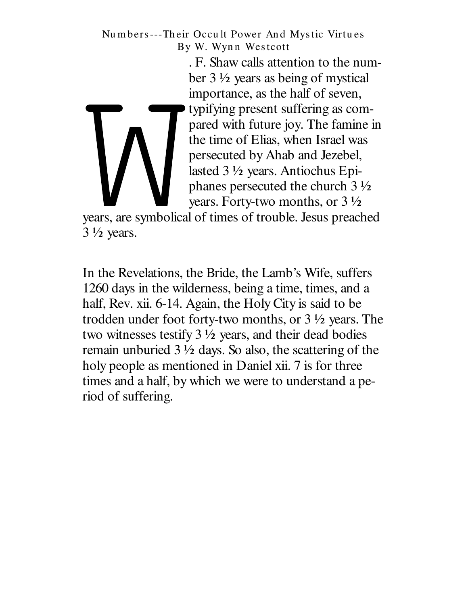> . F. Shaw calls attention to the number 3 ½ years as being of mystical importance, as the half of seven, typifying present suffering as compared with future joy. The famine in the time of Elias, when Israel was persecuted by Ahab and Jezebel, lasted 3 ½ years. Antiochus Epiphanes persecuted the church 3 ½ years. Forty-two months, or 3 ½

years, are symbolical of times of trouble. Jesus preached  $3\frac{1}{2}$  years.

In the Revelations, the Bride, the Lamb's Wife, suffers 1260 days in the wilderness, being a time, times, and a half, Rev. xii. 6-14. Again, the Holy City is said to be trodden under foot forty-two months, or 3 ½ years. The two witnesses testify  $3\frac{1}{2}$  years, and their dead bodies remain unburied  $3\frac{1}{2}$  days. So also, the scattering of the holy people as mentioned in Daniel xii. 7 is for three times and a half, by which we were to understand a period of suffering.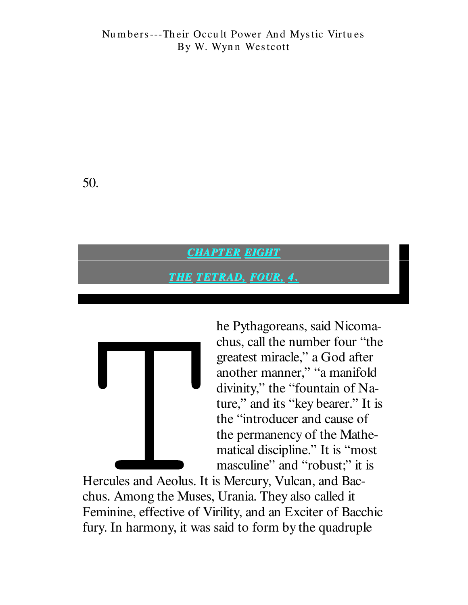50.

### **CHAPTER EIGHT**

### **THE TETRAD, FOUR, 4.**



he Pythagoreans, said Nicomachus, call the number four "the greatest miracle," a God after another manner," "a manifold divinity," the "fountain of Nature," and its "key bearer." It is the "introducer and cause of the permanency of the Mathematical discipline." It is "most masculine" and "robust;" it is

Hercules and Aeolus. It is Mercury, Vulcan, and Bacchus. Among the Muses, Urania. They also called it Feminine, effective of Virility, and an Exciter of Bacchic fury. In harmony, it was said to form by the quadruple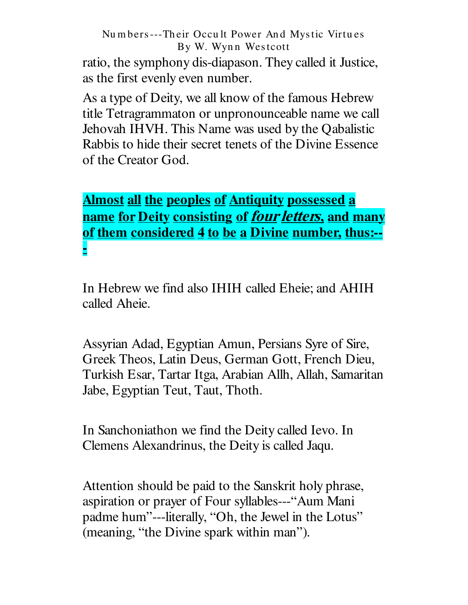ratio, the symphony dis-diapason. They called it Justice, as the first evenly even number.

As a type of Deity, we all know of the famous Hebrew title Tetragrammaton or unpronounceable name we call Jehovah IHVH. This Name was used by the Qabalistic Rabbis to hide their secret tenets of the Divine Essence of the Creator God.

# **Almost all the peoples of Antiquity possessed a** name for Deity consisting of *four letters*, and many of them considered 4 to be a Divine number, thus:--

In Hebrew we find also IHIH called Eheie; and AHIH called Aheie.

Assyrian Adad, Egyptian Amun, Persians Syre of Sire, Greek Theos, Latin Deus, German Gott, French Dieu, Turkish Esar, Tartar Itga, Arabian Allh, Allah, Samaritan Jabe, Egyptian Teut, Taut, Thoth.

In Sanchoniathon we find the Deity called Ievo. In Clemens Alexandrinus, the Deity is called Jaqu.

Attention should be paid to the Sanskrit holy phrase, aspiration or prayer of Four syllables---"Aum Mani padme hum"---literally, "Oh, the Jewel in the Lotus" (meaning, "the Divine spark within man").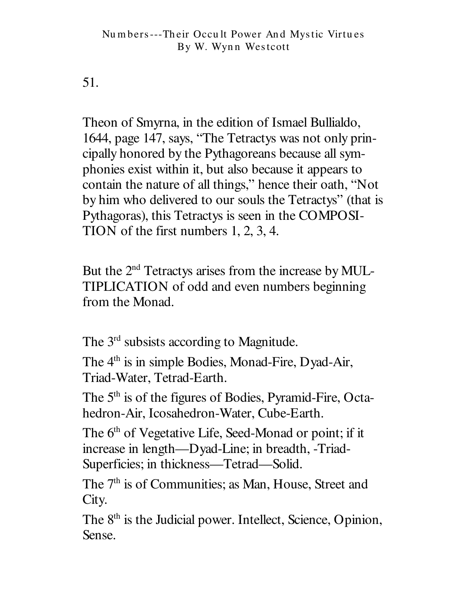51.

Theon of Smyrna, in the edition of Ismael Bullialdo, 1644, page 147, says, "The Tetractys was not only principally honored by the Pythagoreans because all symphonies exist within it, but also because it appears to contain the nature of all things," hence their oath, "Not by him who delivered to our souls the Tetractys" (that is Pythagoras), this Tetractys is seen in the COMPOSI-TION of the first numbers  $1, 2, 3, 4$ .

But the 2<sup>nd</sup> Tetractys arises from the increase by MUL-TIPLICATION of odd and even numbers beginning from the Monad.

The 3<sup>rd</sup> subsists according to Magnitude.

The 4<sup>th</sup> is in simple Bodies, Monad-Fire, Dyad-Air, Triad-Water, Tetrad-Earth.

The 5<sup>th</sup> is of the figures of Bodies, Pyramid-Fire, Octahedron-Air, Icosahedron-Water, Cube-Earth.

The 6<sup>th</sup> of Vegetative Life, Seed-Monad or point; if it increase in length—Dyad-Line; in breadth, -Triad-Superficies; in thickness-Tetrad-Solid.

The 7<sup>th</sup> is of Communities; as Man, House, Street and City.

The 8<sup>th</sup> is the Judicial power. Intellect, Science, Opinion, Sense.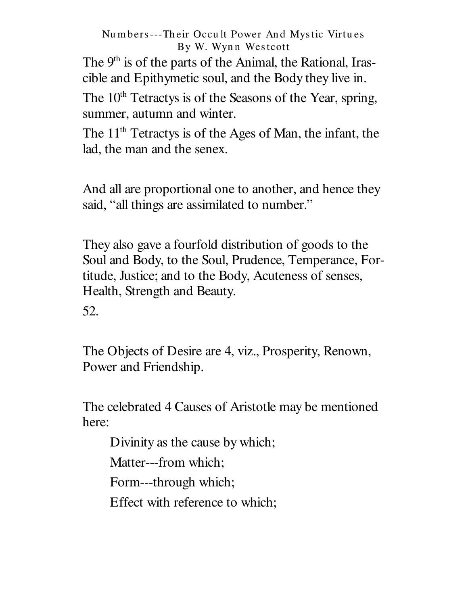The 9<sup>th</sup> is of the parts of the Animal, the Rational, Irascible and Epithymetic soul, and the Body they live in.

The 10<sup>th</sup> Tetractys is of the Seasons of the Year, spring, summer, autumn and winter.

The 11<sup>th</sup> Tetractys is of the Ages of Man, the infant, the lad, the man and the senex.

And all are proportional one to another, and hence they said, "all things are assimilated to number."

They also gave a fourfold distribution of goods to the Soul and Body, to the Soul, Prudence, Temperance, Fortitude, Justice; and to the Body, Acuteness of senses, Health, Strength and Beauty.

52.

The Objects of Desire are 4, viz., Prosperity, Renown, Power and Friendship.

The celebrated 4 Causes of Aristotle may be mentioned here:

Divinity as the cause by which;

Matter---from which:

Form---through which;

Effect with reference to which;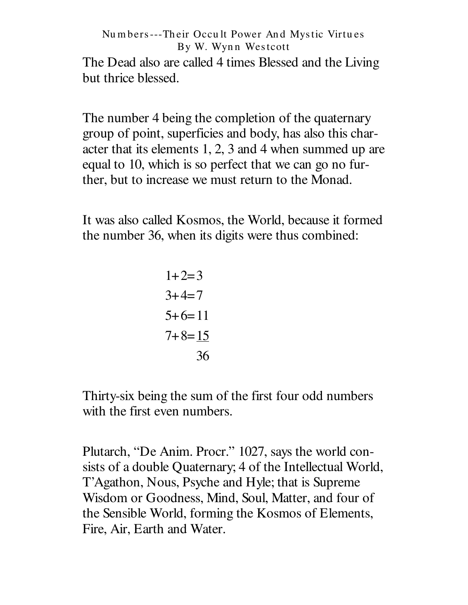The Dead also are called 4 times Blessed and the Living but thrice blessed.

The number 4 being the completion of the quaternary group of point, superficies and body, has also this character that its elements 1, 2, 3 and 4 when summed up are equal to 10, which is so perfect that we can go no further, but to increase we must return to the Monad.

It was also called Kosmos, the World, because it formed the number 36, when its digits were thus combined:

$$
1+2=3
$$
  

$$
3+4=7
$$
  

$$
5+6=11
$$
  

$$
7+8=15
$$
  

$$
36
$$

Thirty-six being the sum of the first four odd numbers with the first even numbers.

Plutarch, "De Anim. Procr." 1027, says the world consists of a double Quaternary; 4 of the Intellectual World, T'Agathon, Nous, Psyche and Hyle; that is Supreme Wisdom or Goodness, Mind, Soul, Matter, and four of the Sensible World, forming the Kosmos of Elements, Fire, Air, Earth and Water.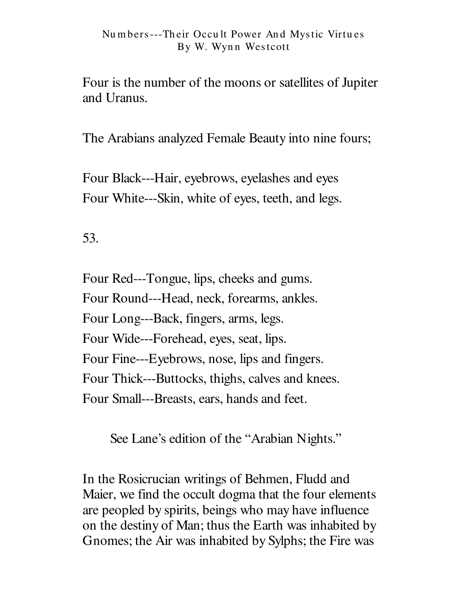Four is the number of the moons or satellities of Jupiter and Uranus.

The Arabians analyzed Female Beauty into nine fours;

Four Black---Hair, eyebrows, eyelashes and eyes Four White---Skin, white of eyes, teeth, and legs.

53.

Four Red---Tongue, lips, cheeks and gums. Four Round---Head, neck, forearms, ankles. Four Long---Back, fingers, arms, legs. Four Wide---Forehead, eyes, seat, lips. Four Fine---Eyebrows, nose, lips and fingers. Four Thick---Buttocks, thighs, calves and knees. Four Small---Breasts, ears, hands and feet.

See Lane's edition of the "Arabian Nights."

In the Rosicrucian writings of Behmen, Fludd and Maier, we find the occult dogma that the four elements are peopled by spirits, beings who may have influence on the destiny of Man; thus the Earth was inhabited by Gnomes; the Air was inhabited by Sylphs; the Fire was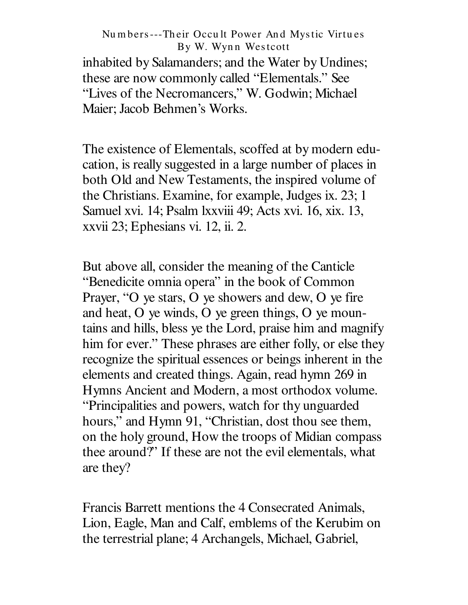inhabited by Salamanders; and the Water by Undines; these are now commonly called "Elementals." See "Lives of the Necromancers," W. Godwin; Michael Maier; Jacob Behmen's Works.

The existence of Elementals, scoffed at by modern education, is really suggested in a large number of places in both Old and New Testaments, the inspired volume of the Christians. Examine, for example, Judges ix. 23; 1 Samuel xvi. 14; Psalm lxxviii 49; Acts xvi. 16, xix. 13, xxvii 23; Ephesians vi. 12, ii. 2.

But above all, consider the meaning of the Canticle "Benedicite omnia opera" in the book of Common Prayer, "O ye stars, O ye showers and dew, O ye fire and heat, O ye winds, O ye green things, O ye mountains and hills, bless ye the Lord, praise him and magnify him for ever." These phrases are either folly, or else they recognize the spiritual essences or beings inherent in the elements and created things. Again, read hymn 269 in Hymns Ancient and Modern, a most orthodox volume. "Principalities and powers, watch for thy unguarded hours," and Hymn 91, "Christian, dost thou see them, on the holy ground, How the troops of Midian compass thee around?" If these are not the evil elementals, what are they?

Francis Barrett mentions the 4 Consecrated Animals, Lion, Eagle, Man and Calf, emblems of the Kerubim on the terrestrial plane; 4 Archangels, Michael, Gabriel,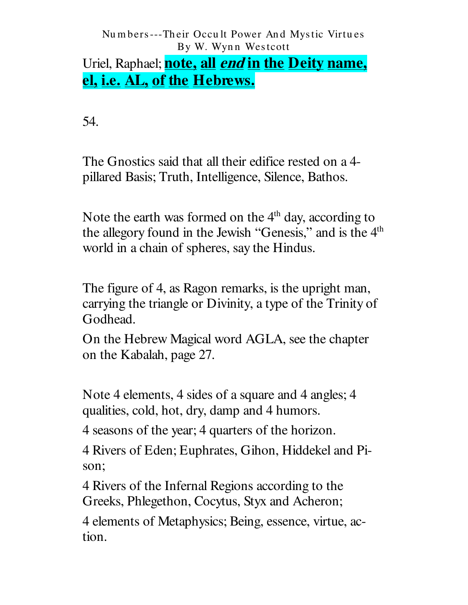## Uriel, Raphael; **note, all** *end* in the Deity name, el, i.e. AL, of the Hebrews.

54.

The Gnostics said that all their edifice rested on a 4pillared Basis; Truth, Intelligence, Silence, Bathos.

Note the earth was formed on the 4<sup>th</sup> day, according to the allegory found in the Jewish "Genesis," and is the 4<sup>th</sup> world in a chain of spheres, say the Hindus.

The figure of 4, as Ragon remarks, is the upright man, carrying the triangle or Divinity, a type of the Trinity of Godhead.

On the Hebrew Magical word AGLA, see the chapter on the Kabalah, page 27.

Note 4 elements, 4 sides of a square and 4 angles; 4 qualities, cold, hot, dry, damp and 4 humors.

4 seasons of the year; 4 quarters of the horizon.

4 Rivers of Eden; Euphrates, Gihon, Hiddekel and Pison;

4 Rivers of the Infernal Regions according to the Greeks, Phlegethon, Cocytus, Styx and Acheron;

4 elements of Metaphysics; Being, essence, virtue, action.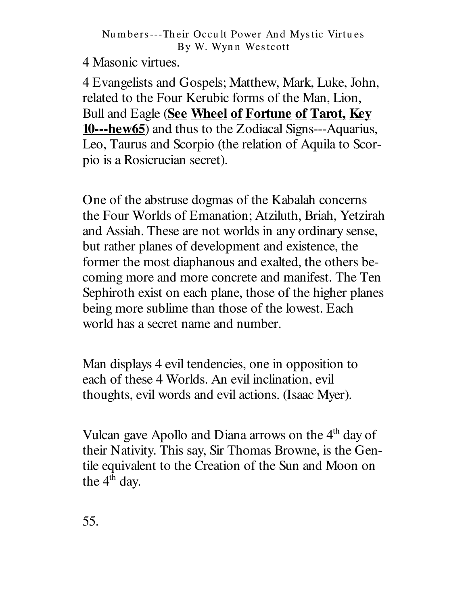4 Masonic virtues.

4 Evangelists and Gospels; Matthew, Mark, Luke, John, related to the Four Kerubic forms of the Man, Lion, Bull and Eagle (See Wheel of Fortune of Tarot, Key **10---hew65**) and thus to the Zodiacal Signs---Aquarius, Leo, Taurus and Scorpio (the relation of Aquila to Scorpio is a Rosicrucian secret).

One of the abstruse dogmas of the Kabalah concerns the Four Worlds of Emanation; Atziluth, Briah, Yetzirah and Assiah. These are not worlds in any ordinary sense, but rather planes of development and existence, the former the most diaphanous and exalted, the others becoming more and more concrete and manifest. The Ten Sephiroth exist on each plane, those of the higher planes being more sublime than those of the lowest. Each world has a secret name and number.

Man displays 4 evil tendencies, one in opposition to each of these 4 Worlds. An evil inclination, evil thoughts, evil words and evil actions. (Isaac Myer).

Vulcan gave Apollo and Diana arrows on the 4<sup>th</sup> day of their Nativity. This say, Sir Thomas Browne, is the Gentile equivalent to the Creation of the Sun and Moon on the 4<sup>th</sup> day.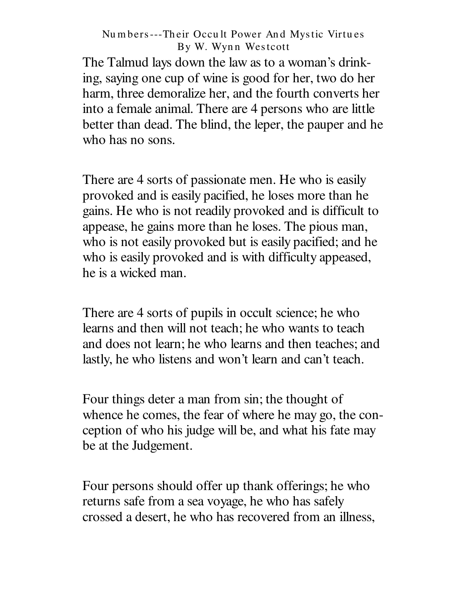The Talmud lays down the law as to a woman's drinking, saying one cup of wine is good for her, two do her harm, three demoralize her, and the fourth converts her into a female animal. There are 4 persons who are little better than dead. The blind, the leper, the pauper and he who has no sons.

There are 4 sorts of passionate men. He who is easily provoked and is easily pacified, he loses more than he gains. He who is not readily provoked and is difficult to appease, he gains more than he loses. The pious man, who is not easily provoked but is easily pacified; and he who is easily provoked and is with difficulty appeased, he is a wicked man.

There are 4 sorts of pupils in occult science; he who learns and then will not teach; he who wants to teach and does not learn; he who learns and then teaches; and lastly, he who listens and won't learn and can't teach.

Four things deter a man from sin; the thought of whence he comes, the fear of where he may go, the conception of who his judge will be, and what his fate may be at the Judgement.

Four persons should offer up thank offerings; he who returns safe from a sea voyage, he who has safely crossed a desert, he who has recovered from an illness,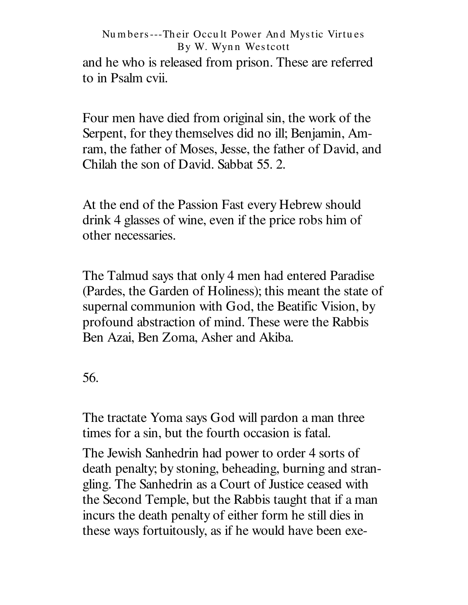and he who is released from prison. These are referred to in Psalm cvii.

Four men have died from original sin, the work of the Serpent, for they themselves did no ill; Benjamin, Amram, the father of Moses, Jesse, the father of David, and Chilah the son of David. Sabbat 55, 2.

At the end of the Passion Fast every Hebrew should drink 4 glasses of wine, even if the price robs him of other necessaries.

The Talmud says that only 4 men had entered Paradise (Pardes, the Garden of Holiness); this meant the state of supernal communion with God, the Beatific Vision, by profound abstraction of mind. These were the Rabbis Ben Azai, Ben Zoma, Asher and Akiba.

56.

The tractate Yoma says God will pardon a man three times for a sin, but the fourth occasion is fatal.

The Jewish Sanhedrin had power to order 4 sorts of death penalty; by stoning, beheading, burning and strangling. The Sanhedrin as a Court of Justice ceased with the Second Temple, but the Rabbis taught that if a man incurs the death penalty of either form he still dies in these ways fortuitously, as if he would have been exe-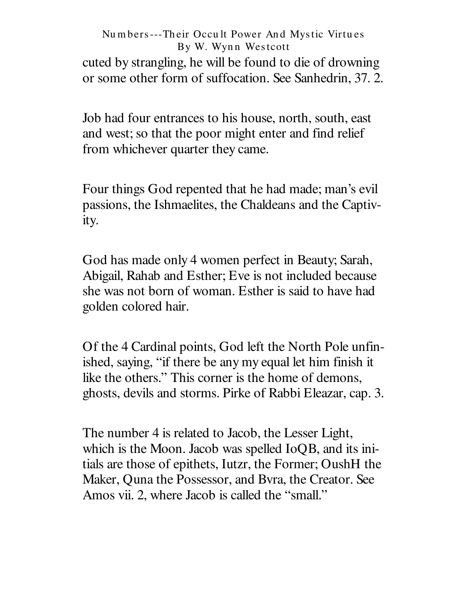cuted by strangling, he will be found to die of drowning or some other form of suffocation. See Sanhedrin, 37.2.

Job had four entrances to his house, north, south, east and west; so that the poor might enter and find relief from whichever quarter they came.

Four things God repented that he had made; man's evil passions, the Ishmaelites, the Chaldeans and the Captivity.

God has made only 4 women perfect in Beauty; Sarah, Abigail, Rahab and Esther; Eve is not included because she was not born of woman. Esther is said to have had golden colored hair.

Of the 4 Cardinal points, God left the North Pole unfinished, saying, "if there be any my equal let him finish it like the others." This corner is the home of demons, ghosts, devils and storms. Pirke of Rabbi Eleazar, cap. 3.

The number 4 is related to Jacob, the Lesser Light, which is the Moon. Jacob was spelled IoOB, and its initials are those of epithets, Iutzr, the Former; OushH the Maker, Quna the Possessor, and Byra, the Creator. See Amos vii. 2, where Jacob is called the "small."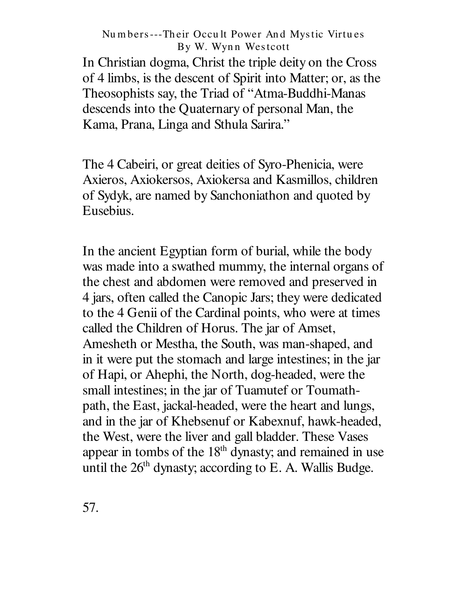In Christian dogma, Christ the triple deity on the Cross of 4 limbs, is the descent of Spirit into Matter; or, as the Theosophists say, the Triad of "Atma-Buddhi-Manas" descends into the Quaternary of personal Man, the Kama, Prana, Linga and Sthula Sarira."

The 4 Cabeiri, or great deities of Syro-Phenicia, were Axieros, Axiokersos, Axiokersa and Kasmillos, children of Sydyk, are named by Sanchoniathon and quoted by Eusebius.

In the ancient Egyptian form of burial, while the body was made into a swathed mummy, the internal organs of the chest and abdomen were removed and preserved in 4 jars, often called the Canopic Jars; they were dedicated to the 4 Genii of the Cardinal points, who were at times called the Children of Horus. The jar of Amset, Amesheth or Mestha, the South, was man-shaped, and in it were put the stomach and large intestines; in the jar of Hapi, or Ahephi, the North, dog-headed, were the small intestines; in the jar of Tuamutef or Toumathpath, the East, jackal-headed, were the heart and lungs, and in the jar of Khebsenuf or Kabexnuf, hawk-headed, the West, were the liver and gall bladder. These Vases appear in tombs of the 18<sup>th</sup> dynasty; and remained in use until the 26<sup>th</sup> dynasty; according to E. A. Wallis Budge.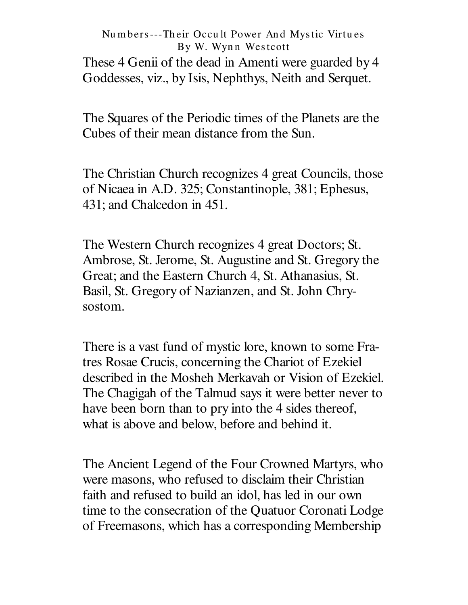These 4 Genii of the dead in Amenti were guarded by 4 Goddesses, viz., by Isis, Nephthys, Neith and Serquet.

The Squares of the Periodic times of the Planets are the Cubes of their mean distance from the Sun.

The Christian Church recognizes 4 great Councils, those of Nicaea in A.D. 325; Constantinople, 381; Ephesus, 431; and Chalcedon in 451.

The Western Church recognizes 4 great Doctors; St. Ambrose, St. Jerome, St. Augustine and St. Gregory the Great; and the Eastern Church 4, St. Athanasius, St. Basil, St. Gregory of Nazianzen, and St. John Chrysostom.

There is a vast fund of mystic lore, known to some Fratres Rosae Crucis, concerning the Chariot of Ezekiel described in the Mosheh Merkavah or Vision of Ezekiel. The Chagigah of the Talmud says it were better never to have been born than to pry into the 4 sides thereof, what is above and below, before and behind it.

The Ancient Legend of the Four Crowned Martyrs, who were masons, who refused to disclaim their Christian faith and refused to build an idol, has led in our own time to the consecration of the Quatuor Coronati Lodge of Freemasons, which has a corresponding Membership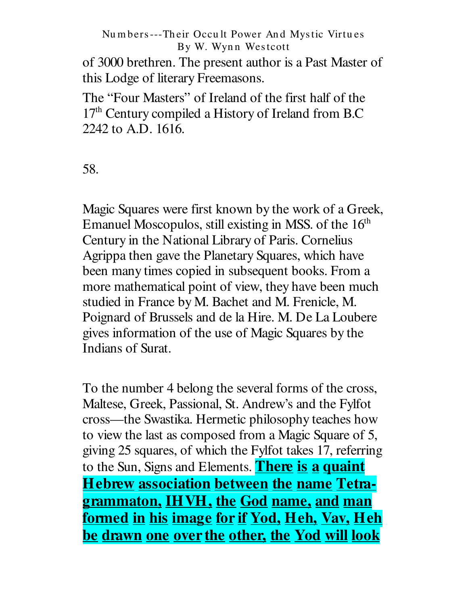of 3000 brethren. The present author is a Past Master of this Lodge of literary Freemasons.

The "Four Masters" of Ireland of the first half of the 17<sup>th</sup> Century compiled a History of Ireland from B.C 2242 to A.D. 1616.

58.

Magic Squares were first known by the work of a Greek, Emanuel Moscopulos, still existing in MSS. of the 16<sup>th</sup> Century in the National Library of Paris. Cornelius Agrippa then gave the Planetary Squares, which have been many times copied in subsequent books. From a more mathematical point of view, they have been much studied in France by M. Bachet and M. Frenicle, M. Poignard of Brussels and de la Hire. M. De La Loubere gives information of the use of Magic Squares by the Indians of Surat.

To the number 4 belong the several forms of the cross, Maltese, Greek, Passional, St. Andrew's and the Fylfot cross— the Swastika. Hermetic philosophy teaches how to view the last as composed from a Magic Square of 5, giving 25 squares, of which the Fylfot takes 17, referring to the Sun, Signs and Elements. **There is a quaint Hebrew association between the name Tetragrammaton, IHVH, the God name, and man formed in his image for if Yod, Heh, Vav, Heh be drawn one over the other, the Yod will look**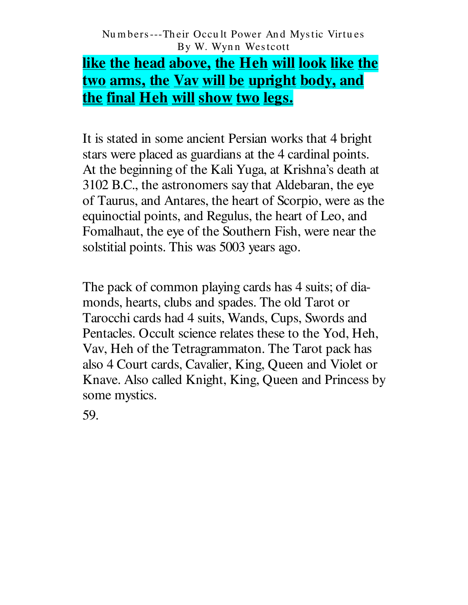# <u>like the head above, the Heh will look like the </u> <u>two arms, the Vav will be upright body, and</u> the final Heh will show two legs.

It is stated in some ancient Persian works that 4 bright stars were placed as guardians at the 4 cardinal points. At the beginning of the Kali Yuga, at Krishna's death at 3102 B.C., the astronomers say that Aldebaran, the eye of Taurus, and Antares, the heart of Scorpio, were as the equinoctial points, and Regulus, the heart of Leo, and Fomalhaut, the eye of the Southern Fish, were near the solstitial points. This was 5003 years ago.

The pack of common playing cards has 4 suits; of diamonds, hearts, clubs and spades. The old Tarot or Tarocchi cards had 4 suits, Wands, Cups, Swords and Pentacles. Occult science relates these to the Yod, Heh, Vav, Heh of the Tetragrammaton. The Tarot pack has also 4 Court cards, Cavalier, King, Queen and Violet or Knave. Also called Knight, King, Queen and Princess by some mystics.

59.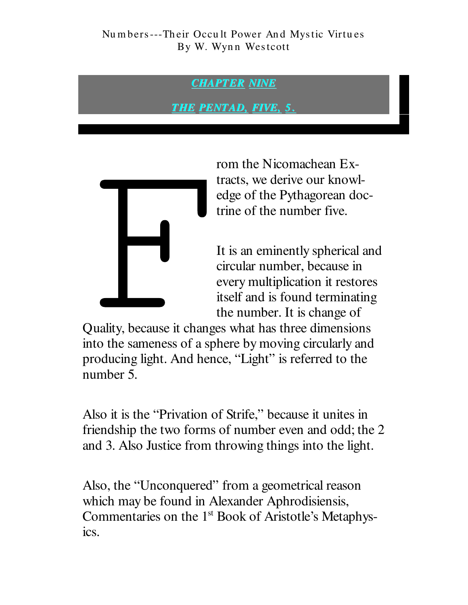### **CHAPTER NINE**

<u>THE PENTAD, FIVE, 5.</u>



rom the Nicomachean Extracts, we derive our knowledge of the Pythagorean doctrine of the number five.

It is an eminently spherical and circular number, because in every multiplication it restores itself and is found terminating the number. It is change of

Quality, because it changes what has three dimensions into the sameness of a sphere by moving circularly and producing light. And hence, "Light" is referred to the number 5.

Also it is the "Privation of Strife," because it unites in friendship the two forms of number even and odd; the 2 and 3. Also Justice from throwing things into the light.

Also, the "Unconquered" from a geometrical reason which may be found in Alexander Aphrodisiensis, Commentaries on the 1<sup>st</sup> Book of Aristotle's Metaphysics.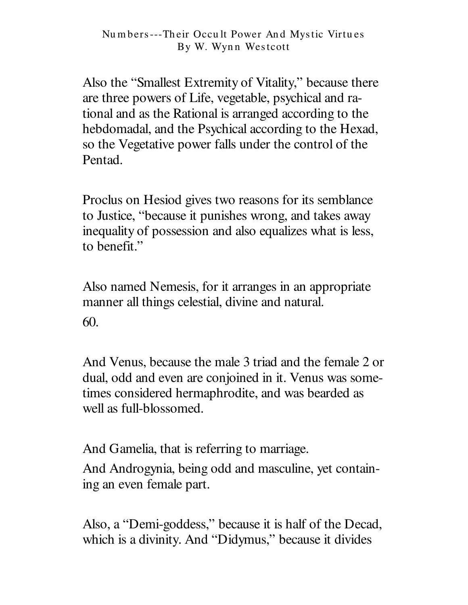Also the "Smallest Extremity of Vitality," because there are three powers of Life, vegetable, psychical and rational and as the Rational is arranged according to the hebdomadal, and the Psychical according to the Hexad, so the Vegetative power falls under the control of the Pentad.

Proclus on Hesiod gives two reasons for its semblance to Justice, "because it punishes wrong, and takes away inequality of possession and also equalizes what is less, to benefit."

Also named Nemesis, for it arranges in an appropriate manner all things celestial, divine and natural. 60.

And Venus, because the male 3 triad and the female 2 or dual, odd and even are conjoined in it. Venus was sometimes considered hermaphrodite, and was bearded as well as full-blossomed.

And Gamelia, that is referring to marriage.

And Androgynia, being odd and masculine, yet containing an even female part.

Also, a "Demi-goddess," because it is half of the Decad, which is a divinity. And "Didymus," because it divides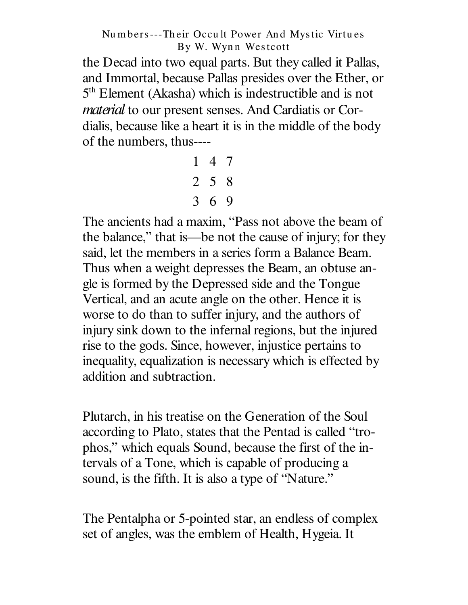the Decad into two equal parts. But they called it Pallas, and Immortal, because Pallas presides over the Ether, or 5<sup>th</sup> Element (Akasha) which is indestructible and is not material to our present senses. And Cardiatis or Cordialis, because like a heart it is in the middle of the body of the numbers, thus----

> $147$  $2 \t5 \t8$  $3\quad 6\quad 9$

The ancients had a maxim, "Pass not above the beam of the balance," that is—be not the cause of injury; for they said, let the members in a series form a Balance Beam. Thus when a weight depresses the Beam, an obtuse angle is formed by the Depressed side and the Tongue Vertical, and an acute angle on the other. Hence it is worse to do than to suffer injury, and the authors of injury sink down to the infernal regions, but the injured rise to the gods. Since, however, injustice pertains to inequality, equalization is necessary which is effected by addition and subtraction.

Plutarch, in his treatise on the Generation of the Soul according to Plato, states that the Pentad is called "trophos," which equals Sound, because the first of the intervals of a Tone, which is capable of producing a sound, is the fifth. It is also a type of "Nature."

The Pentalpha or 5-pointed star, an endless of complex set of angles, was the emblem of Health, Hygeia. It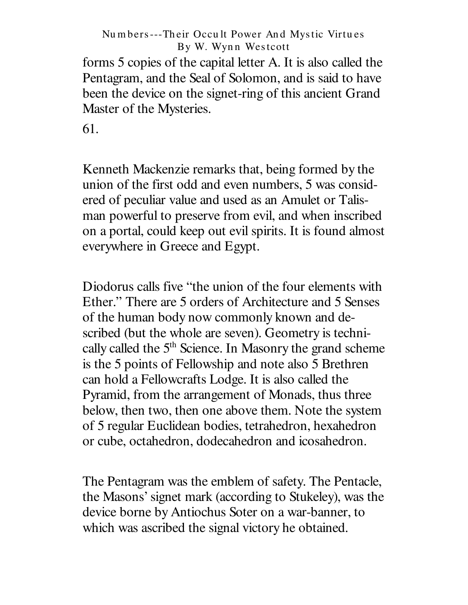forms 5 copies of the capital letter A. It is also called the Pentagram, and the Seal of Solomon, and is said to have been the device on the signet-ring of this ancient Grand Master of the Mysteries.

61.

Kenneth Mackenzie remarks that, being formed by the union of the first odd and even numbers, 5 was considered of peculiar value and used as an Amulet or Talisman powerful to preserve from evil, and when inscribed on a portal, could keep out evil spirits. It is found almost everywhere in Greece and Egypt.

Diodorus calls five "the union of the four elements with Ether." There are 5 orders of Architecture and 5 Senses of the human body now commonly known and described (but the whole are seven). Geometry is technically called the 5<sup>th</sup> Science. In Masonry the grand scheme is the 5 points of Fellowship and note also 5 Brethren can hold a Fellowcrafts Lodge. It is also called the Pyramid, from the arrangement of Monads, thus three below, then two, then one above them. Note the system of 5 regular Euclidean bodies, tetrahedron, hexahedron or cube, octahedron, dodecahedron and icosahedron.

The Pentagram was the emblem of safety. The Pentacle, the Masons' signet mark (according to Stukeley), was the device borne by Antiochus Soter on a war-banner, to which was ascribed the signal victory he obtained.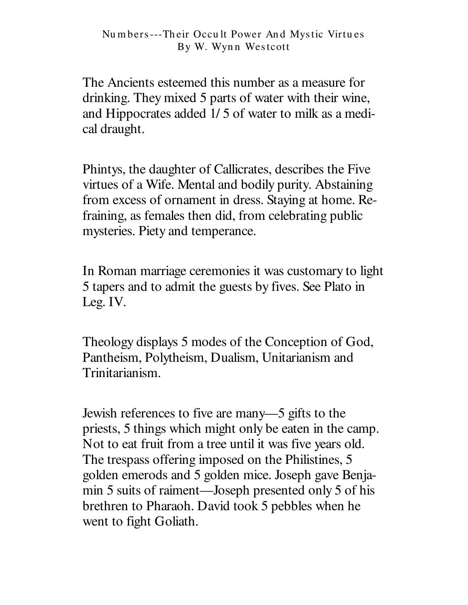The Ancients esteemed this number as a measure for drinking. They mixed 5 parts of water with their wine, and Hippocrates added 1/ 5 of water to milk as a medical draught.

Phintys, the daughter of Callicrates, describes the Five virtues of a Wife. Mental and bodily purity. Abstaining from excess of ornament in dress. Staying at home. Refraining, as females then did, from celebrating public mysteries. Piety and temperance.

In Roman marriage ceremonies it was customary to light 5 tapers and to admit the guests by fives. See Plato in Leg. IV.

Theology displays 5 modes of the Conception of God, Pantheism, Polytheism, Dualism, Unitarianism and Trinitarianism.

Jewish references to five are many— 5 gifts to the priests, 5 things which might only be eaten in the camp. Not to eat fruit from a tree until it was five years old. The trespass offering imposed on the Philistines, 5 golden emerods and 5 golden mice. Joseph gave Benjamin 5 suits of raiment— Joseph presented only 5 of his brethren to Pharaoh. David took 5 pebbles when he went to fight Goliath.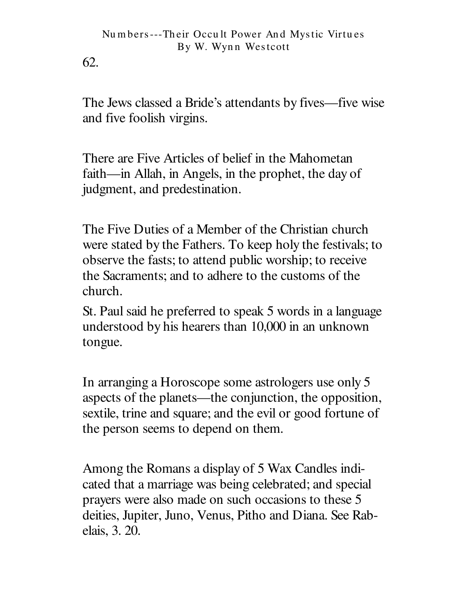62.

The Jews classed a Bride's attendants by fives—five wise and five foolish virgins.

There are Five Articles of belief in the Mahometan faith—in Allah, in Angels, in the prophet, the day of judgment, and predestination.

The Five Duties of a Member of the Christian church were stated by the Fathers. To keep holy the festivals; to observe the fasts; to attend public worship; to receive the Sacraments; and to adhere to the customs of the church.

St. Paul said he preferred to speak 5 words in a language understood by his hearers than 10,000 in an unknown tongue.

In arranging a Horoscope some astrologers use only 5 aspects of the planets—the conjunction, the opposition, sextile, trine and square; and the evil or good fortune of the person seems to depend on them.

Among the Romans a display of 5 Wax Candles indicated that a marriage was being celebrated; and special prayers were also made on such occasions to these 5 deities, Jupiter, Juno, Venus, Pitho and Diana. See Rabelais, 3. 20.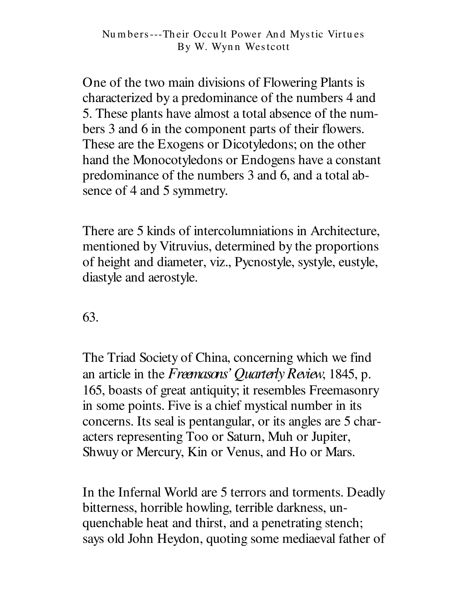One of the two main divisions of Flowering Plants is characterized by a predominance of the numbers 4 and 5. These plants have almost a total absence of the numbers 3 and 6 in the component parts of their flowers. These are the Exogens or Dicotyledons; on the other hand the Monocotyledons or Endogens have a constant predominance of the numbers 3 and 6, and a total absence of 4 and 5 symmetry.

There are 5 kinds of intercolumniations in Architecture. mentioned by Vitruvius, determined by the proportions of height and diameter, viz., Pycnostyle, systyle, eustyle, diastyle and aerostyle.

63.

The Triad Society of China, concerning which we find an article in the Freemasons' Quarterly Review, 1845, p. 165, boasts of great antiquity; it resembles Freemasonry in some points. Five is a chief mystical number in its concerns. Its seal is pentangular, or its angles are 5 characters representing Too or Saturn, Muh or Jupiter, Shwuy or Mercury, Kin or Venus, and Ho or Mars.

In the Infernal World are 5 terrors and torments. Deadly bitterness, horrible howling, terrible darkness, unquenchable heat and thirst, and a penetrating stench; says old John Heydon, quoting some mediaeval father of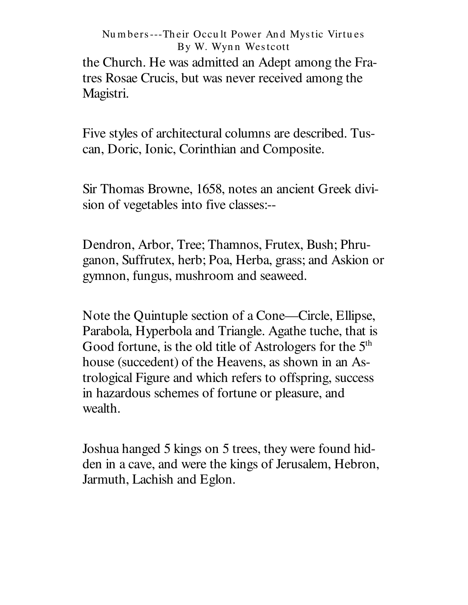the Church. He was admitted an Adept among the Fratres Rosae Crucis, but was never received among the Magistri.

Five styles of architectural columns are described. Tuscan, Doric, Ionic, Corinthian and Composite.

Sir Thomas Browne, 1658, notes an ancient Greek division of vegetables into five classes:--

Dendron, Arbor, Tree; Thamnos, Frutex, Bush; Phruganon, Suffrutex, herb; Poa, Herba, grass; and Askion or gymnon, fungus, mushroom and seaweed.

Note the Quintuple section of a Cone—Circle, Ellipse, Parabola, Hyperbola and Triangle. Agathe tuche, that is Good fortune, is the old title of Astrologers for the 5<sup>th</sup> house (succedent) of the Heavens, as shown in an Astrological Figure and which refers to offspring, success in hazardous schemes of fortune or pleasure, and wealth.

Joshua hanged 5 kings on 5 trees, they were found hidden in a cave, and were the kings of Jerusalem, Hebron, Jarmuth, Lachish and Eglon.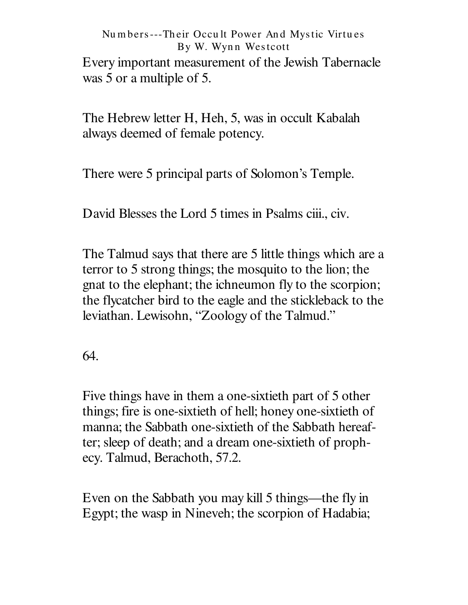### Nu m bers---Th eir Occu lt Power An d Mystic Virtu es By W. Wynn Westcott Every important measurement of the Jewish Tabernacle was 5 or a multiple of 5.

The Hebrew letter H, Heh, 5, was in occult Kabalah always deemed of female potency.

There were 5 principal parts of Solomon's Temple.

David Blesses the Lord 5 times in Psalms ciii., civ.

The Talmud says that there are 5 little things which are a terror to 5 strong things; the mosquito to the lion; the gnat to the elephant; the ichneumon fly to the scorpion; the flycatcher bird to the eagle and the stickleback to the leviathan. Lewisohn, "Zoology of the Talmud."

64.

Five things have in them a one-sixtieth part of 5 other things; fire is one-sixtieth of hell; honey one-sixtieth of manna; the Sabbath one-sixtieth of the Sabbath hereafter; sleep of death; and a dream one-sixtieth of prophecy. Talmud, Berachoth, 57.2.

Even on the Sabbath you may kill 5 things— the fly in Egypt; the wasp in Nineveh; the scorpion of Hadabia;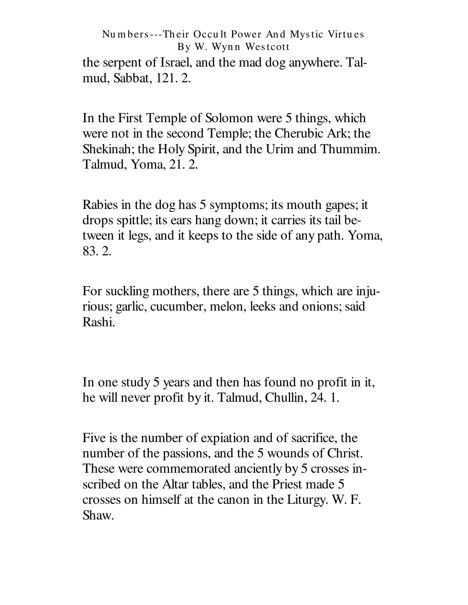the serpent of Israel, and the mad dog anywhere. Talmud, Sabbat, 121. 2.

In the First Temple of Solomon were 5 things, which were not in the second Temple; the Cherubic Ark; the Shekinah; the Holy Spirit, and the Urim and Thummim. Talmud, Yoma, 21. 2.

Rabies in the dog has 5 symptoms; its mouth gapes; it drops spittle; its ears hang down; it carries its tail between it legs, and it keeps to the side of any path. Yoma, 83. 2.

For suckling mothers, there are 5 things, which are injurious; garlic, cucumber, melon, leeks and onions; said Rashi.

In one study 5 years and then has found no profit in it, he will never profit by it. Talmud, Chullin, 24. 1.

Five is the number of expiation and of sacrifice, the number of the passions, and the 5 wounds of Christ. These were commemorated anciently by 5 crosses inscribed on the Altar tables, and the Priest made 5 crosses on himself at the canon in the Liturgy. W. F. Shaw.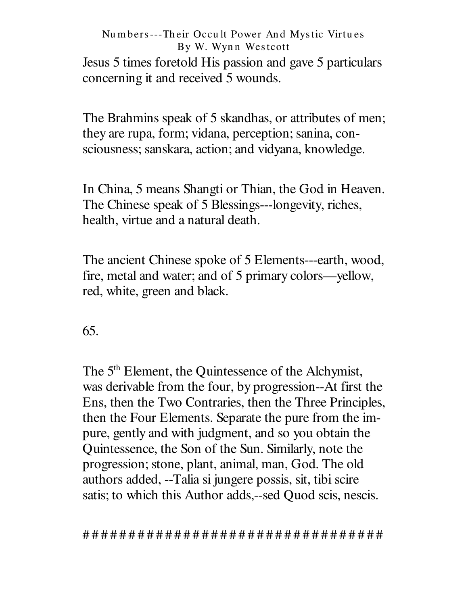### Numbers---Their Occult Power And Mystic Virtues By W. Wynn Westcott Jesus 5 times foretold His passion and gave 5 particulars concerning it and received 5 wounds.

The Brahmins speak of 5 skandhas, or attributes of men; they are rupa, form; vidana, perception; sanina, consciousness; sanskara, action; and vidyana, knowledge.

In China, 5 means Shangti or Thian, the God in Heaven. The Chinese speak of 5 Blessings---longevity, riches, health, virtue and a natural death.

The ancient Chinese spoke of 5 Elements---earth, wood, fire, metal and water; and of 5 primary colors—yellow, red, white, green and black.

65.

The 5<sup>th</sup> Element, the Quintessence of the Alchymist, was derivable from the four, by progression--At first the Ens, then the Two Contraries, then the Three Principles, then the Four Elements. Separate the pure from the impure, gently and with judgment, and so you obtain the Quintessence, the Son of the Sun. Similarly, note the progression; stone, plant, animal, man, God. The old authors added, --Talia si jungere possis, sit, tibi scire satis; to which this Author adds,--sed Quod scis, nescis.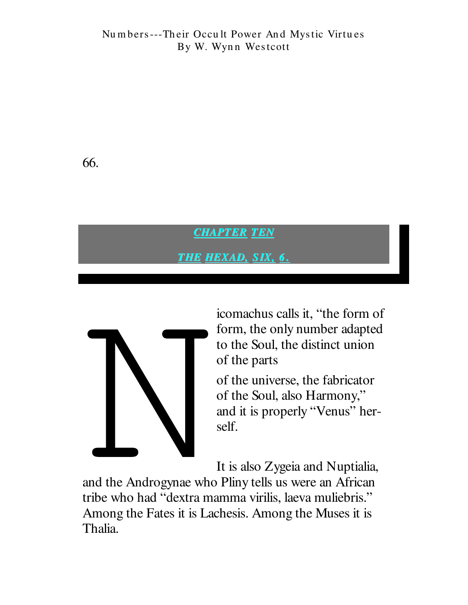66.

**CHAPTER TEN** 

THE HEXAD, SIX, 6.



icomachus calls it, "the form of form, the only number adapted to the Soul, the distinct union of the parts

of the universe, the fabricator of the Soul, also Harmony," and it is properly "Venus" herself.

It is also Zygeia and Nuptialia,

and the Androgynae who Pliny tells us were an African tribe who had "dextra mamma virilis, laeva muliebris." Among the Fates it is Lachesis. Among the Muses it is Thalia.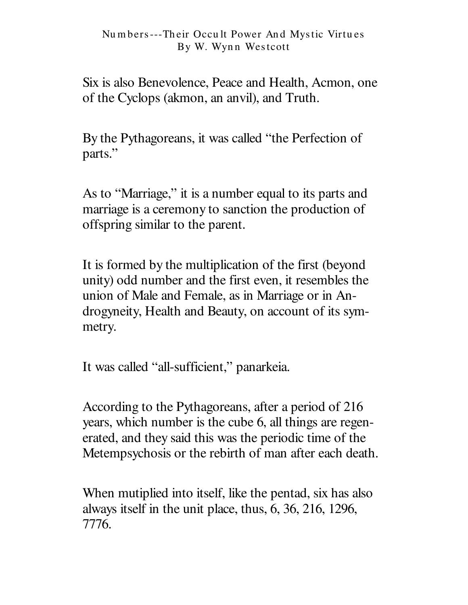Six is also Benevolence, Peace and Health, Acmon, one of the Cyclops (akmon, an anvil), and Truth.

By the Pythagoreans, it was called "the Perfection of parts."

As to "Marriage," it is a number equal to its parts and marriage is a ceremony to sanction the production of offspring similar to the parent.

It is formed by the multiplication of the first (beyond unity) odd number and the first even, it resembles the union of Male and Female, as in Marriage or in Androgyneity, Health and Beauty, on account of its symmetry.

It was called "all-sufficient," panarkeia.

According to the Pythagoreans, after a period of 216 years, which number is the cube 6, all things are regenerated, and they said this was the periodic time of the Metemps proposition of man after each death.

When mutiplied into itself, like the pentad, six has also always itself in the unit place, thus, 6, 36, 216, 1296, 7776.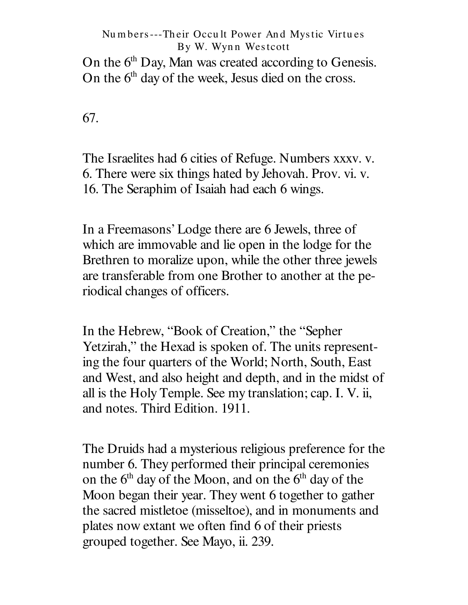On the 6<sup>th</sup> Day, Man was created according to Genesis. On the 6<sup>th</sup> day of the week, Jesus died on the cross.

67.

The Israelites had 6 cities of Refuge. Numbers xxxv. v. 6. There were six things hated by Jehovah. Prov. vi. v. 16. The Seraphim of Isaiah had each 6 wings.

In a Freemasons' Lodge there are 6 Jewels, three of which are immovable and lie open in the lodge for the Brethren to moralize upon, while the other three jewels are transferable from one Brother to another at the periodical changes of officers.

In the Hebrew, "Book of Creation," the " Sepher Yetzirah," the Hexad is spoken of. The units representing the four quarters of the World; North, South, East and West, and also height and depth, and in the midst of all is the Holy Temple. See my translation; cap. I. V. ii, and notes. Third Edition. 1911.

The Druids had a mysterious religious preference for the number 6. They performed their principal ceremonies on the  $6<sup>th</sup>$  day of the Moon, and on the  $6<sup>th</sup>$  day of the Moon began their year. They went 6 together to gather the sacred mistletoe (misseltoe), and in monuments and plates now extant we often find 6 of their priests grouped together. See Mayo, ii. 239.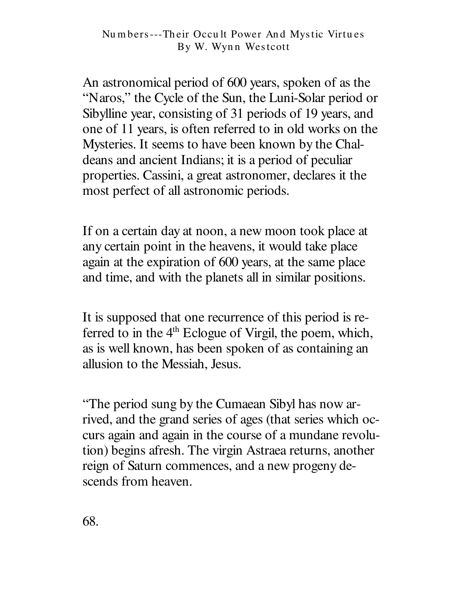An astronomical period of 600 years, spoken of as the "Naros," the Cycle of the Sun, the Luni-Solar period or Sibylline year, consisting of 31 periods of 19 years, and one of 11 years, is often referred to in old works on the Mysteries. It seems to have been known by the Chaldeans and ancient Indians; it is a period of peculiar properties. Cassini, a great astronomer, declares it the most perfect of all astronomic periods.

If on a certain day at noon, a new moon took place at any certain point in the heavens, it would take place again at the expiration of 600 years, at the same place and time, and with the planets all in similar positions.

It is supposed that one recurrence of this period is referred to in the 4<sup>th</sup> Eclogue of Virgil, the poem, which, as is well known, has been spoken of as containing an allusion to the Messiah, Jesus.

"The period sung by the Cumaean Sibyl has now arrived, and the grand series of ages (that series which occurs again and again in the course of a mundane revolution) begins afresh. The virgin Astraea returns, another reign of Saturn commences, and a new progeny descends from heaven.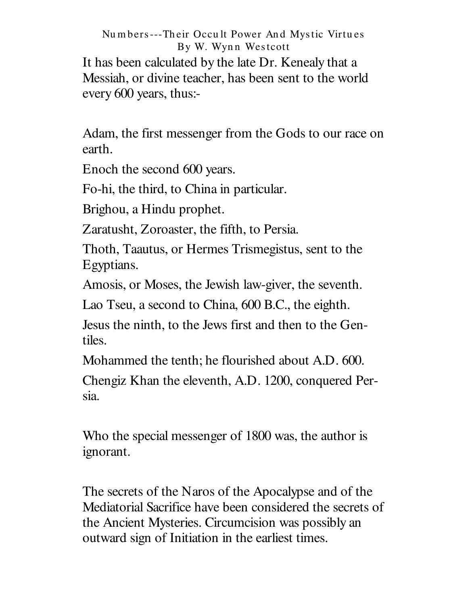It has been calculated by the late Dr. Kenealy that a Messiah, or divine teacher, has been sent to the world every 600 years, thus:-

Adam, the first messenger from the Gods to our race on earth.

Enoch the second 600 years.

Fo-hi, the third, to China in particular.

Brighou, a Hindu prophet.

Zaratusht, Zoroaster, the fifth, to Persia.

Thoth, Taautus, or Hermes Trismegistus, sent to the Egyptians.

Amosis, or Moses, the Jewish law-giver, the seventh.

Lao Tseu, a second to China, 600 B.C., the eighth.

Jesus the ninth, to the Jews first and then to the Gentiles.

Mohammed the tenth; he flourished about A.D. 600.

Chengiz Khan the eleventh, A.D. 1200, conquered Persia.

Who the special messenger of 1800 was, the author is ignorant.

The secrets of the Naros of the Apocalypse and of the Mediatorial Sacrifice have been considered the secrets of the Ancient Mysteries. Circumcision was possibly an outward sign of Initiation in the earliest times.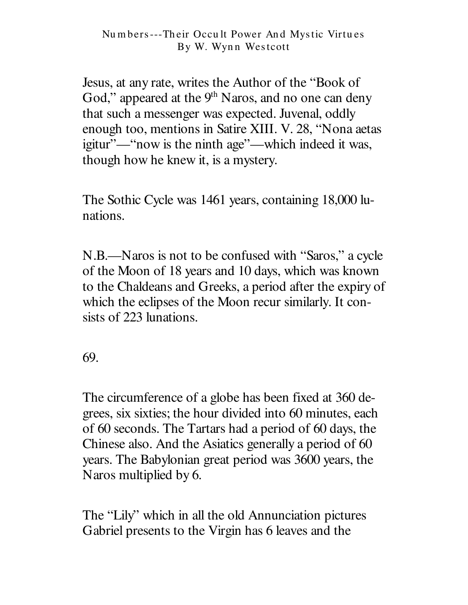Jesus, at any rate, writes the Author of the "Book of God," appeared at the 9<sup>th</sup> Naros, and no one can deny that such a messenger was expected. Juvenal, oddly enough too, mentions in Satire XIII. V. 28, "Nona aetas igitur"—"now is the ninth age"—which indeed it was, though how he knew it, is a mystery.

The Sothic Cycle was 1461 years, containing 18,000 lunations.

N.B.—Naros is not to be confused with "Saros," a cycle of the Moon of 18 years and 10 days, which was known to the Chaldeans and Greeks, a period after the expiry of which the eclipses of the Moon recur similarly. It consists of 223 lunations.

69.

The circumference of a globe has been fixed at 360 degrees, six sixties; the hour divided into 60 minutes, each of 60 seconds. The Tartars had a period of 60 days, the Chinese also. And the Asiatics generally a period of 60 years. The Babylonian great period was 3600 years, the Naros multiplied by 6.

The "Lily" which in all the old Annunciation pictures Gabriel presents to the Virgin has 6 leaves and the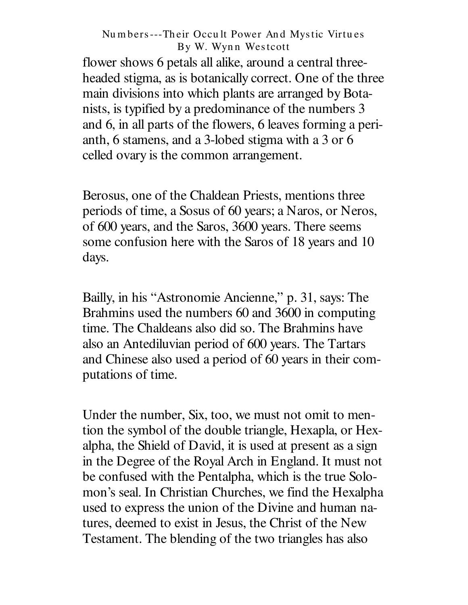flower shows 6 petals all alike, around a central threeheaded stigma, as is botanically correct. One of the three main divisions into which plants are arranged by Botanists, is typified by a predominance of the numbers 3 and 6, in all parts of the flowers, 6 leaves forming a perianth, 6 stamens, and a 3-lobed stigma with a 3 or 6 celled ovary is the common arrangement.

Berosus, one of the Chaldean Priests, mentions three periods of time, a Sosus of 60 years; a Naros, or Neros, of 600 years, and the Saros, 3600 years. There seems some confusion here with the Saros of 18 years and 10 days.

Bailly, in his "Astronomie Ancienne," p. 31, says: The Brahmins used the numbers 60 and 3600 in computing time. The Chaldeans also did so. The Brahmins have also an Antediluvian period of 600 years. The Tartars and Chinese also used a period of 60 years in their computations of time.

Under the number, Six, too, we must not omit to mention the symbol of the double triangle, Hexapla, or Hexalpha, the Shield of David, it is used at present as a sign in the Degree of the Royal Arch in England. It must not be confused with the Pentalpha, which is the true Solomon's seal. In Christian Churches, we find the Hexalpha used to express the union of the Divine and human natures, deemed to exist in Jesus, the Christ of the New Testament. The blending of the two triangles has also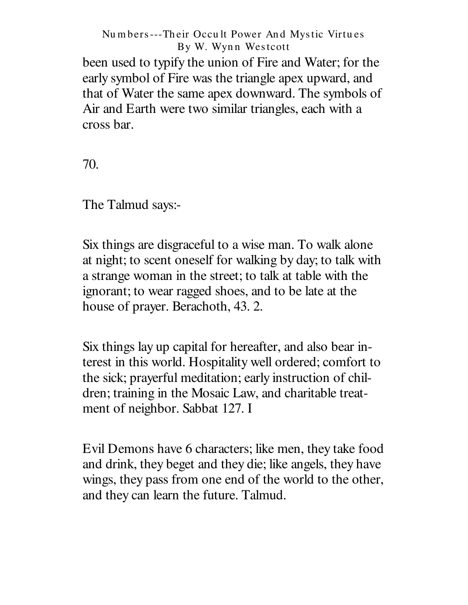been used to typify the union of Fire and Water; for the early symbol of Fire was the triangle apex upward, and that of Water the same apex downward. The symbols of Air and Earth were two similar triangles, each with a cross bar.

70.

The Talmud says:-

Six things are disgraceful to a wise man. To walk alone at night; to scent oneself for walking by day; to talk with a strange woman in the street; to talk at table with the ignorant; to wear ragged shoes, and to be late at the house of prayer. Berachoth, 43. 2.

Six things lay up capital for hereafter, and also bear interest in this world. Hospitality well ordered; comfort to the sick; prayerful meditation; early instruction of children; training in the Mosaic Law, and charitable treatment of neighbor. Sabbat 127. I

Evil Demons have 6 characters; like men, they take food and drink, they beget and they die; like angels, they have wings, they pass from one end of the world to the other, and they can learn the future. Talmud.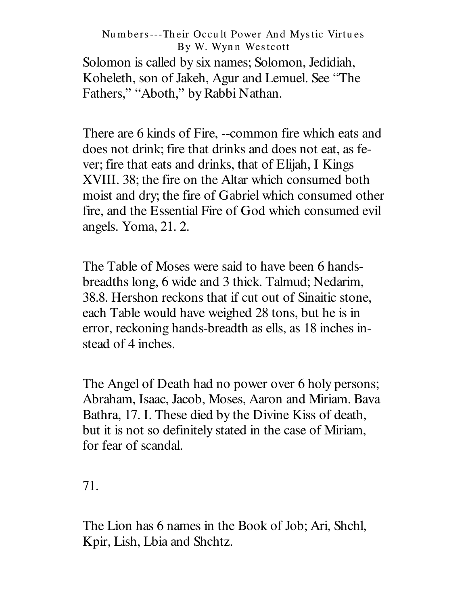Solomon is called by six names; Solomon, Jedidiah, Koheleth, son of Jakeh, Agur and Lemuel. See "The Fathers," "Aboth," by Rabbi Nathan.

There are 6 kinds of Fire, --common fire which eats and does not drink; fire that drinks and does not eat, as fever; fire that eats and drinks, that of Elijah, I Kings XVIII. 38; the fire on the Altar which consumed both moist and dry; the fire of Gabriel which consumed other fire, and the Essential Fire of God which consumed evil angels. Yoma, 21. 2.

The Table of Moses were said to have been 6 handsbreadths long, 6 wide and 3 thick. Talmud; Nedarim, 38.8. Hershon reckons that if cut out of Sinaitic stone, each Table would have weighed 28 tons, but he is in error, reckoning hands-breadth as ells, as 18 inches instead of 4 inches.

The Angel of Death had no power over 6 holy persons; Abraham, Isaac, Jacob, Moses, Aaron and Miriam. Bava Bathra, 17. I. These died by the Divine Kiss of death, but it is not so definitely stated in the case of Miriam, for fear of scandal.

71.

The Lion has 6 names in the Book of Job; Ari, Shchl, Kpir, Lish, Lbia and Shchtz.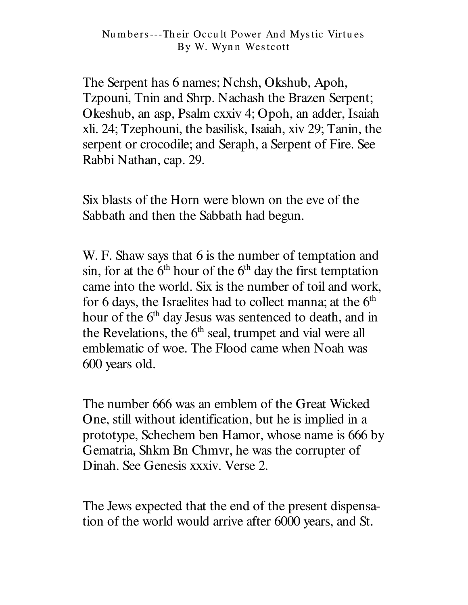The Serpent has 6 names; Nchsh, Okshub, Apoh, Tzpouni, Tnin and Shrp. Nachash the Brazen Serpent; Okeshub, an asp, Psalm cxxiv 4; Opoh, an adder, Isaiah xli. 24; Tzephouni, the basilisk, Isaiah, xiv 29; Tanin, the serpent or crocodile; and Seraph, a Serpent of Fire. See Rabbi Nathan, cap. 29.

Six blasts of the Horn were blown on the eve of the Sabbath and then the Sabbath had begun.

W. F. Shaw says that 6 is the number of temptation and sin, for at the  $6<sup>th</sup>$  hour of the  $6<sup>th</sup>$  day the first temptation came into the world. Six is the number of toil and work, for 6 days, the Israelites had to collect manna; at the  $6<sup>th</sup>$ hour of the 6<sup>th</sup> day Jesus was sentenced to death, and in the Revelations, the 6<sup>th</sup> seal, trumpet and vial were all emblematic of woe. The Flood came when Noah was 600 years old.

The number 666 was an emblem of the Great Wicked One, still without identification, but he is implied in a prototype, Schechem ben Hamor, whose name is 666 by Gematria, Shkm Bn Chmvr, he was the corrupter of Dinah. See Genesis xxxiv. Verse 2.

The Jews expected that the end of the present dispensation of the world would arrive after 6000 years, and St.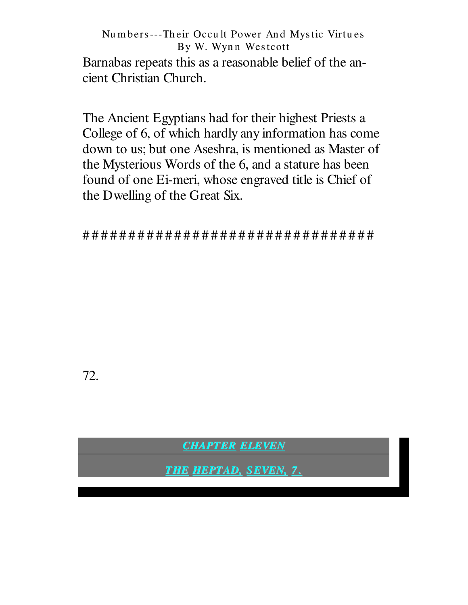Barnabas repeats this as a reasonable belief of the ancient Christian Church.

The Ancient Egyptians had for their highest Priests a College of 6, of which hardly any information has come down to us; but one Aseshra, is mentioned as Master of the Mysterious Words of the 6, and a stature has been found of one Ei-meri, whose engraved title is Chief of the Dwelling of the Great Six.

72.

**CHAPTER ELEVEN** 

**THE HEPTAD, SEVEN, 7.**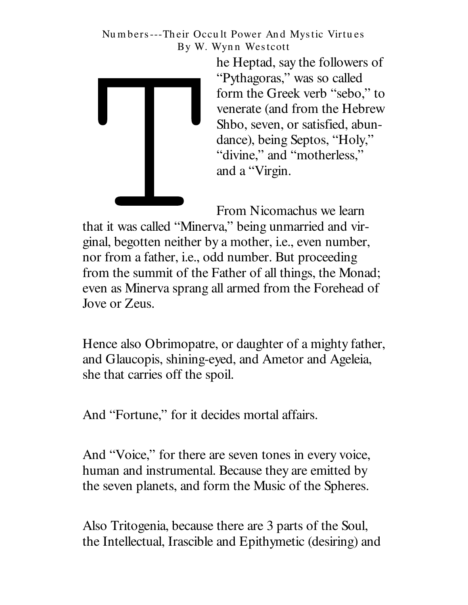

he Heptad, say the followers of "Pythagoras," was so called form the Greek verb "sebo," to venerate (and from the Hebrew Shbo, seven, or satisfied, abundance), being Septos, "Holy," "divine," and "motherless," and a "Virgin.

From Nicomachus we learn that it was called "Minerva," being unmarried and virginal, begotten neither by a mother, *i.e.*, even number, nor from a father, i.e., odd number. But proceeding from the summit of the Father of all things, the Monad; even as Minerva sprang all armed from the Forehead of Jove or Zeus.

Hence also Obrimopatre, or daughter of a mighty father, and Glaucopis, shining-eyed, and Ametor and Ageleia, she that carries off the spoil.

And "Fortune," for it decides mortal affairs.

And "Voice," for there are seven tones in every voice, human and instrumental. Because they are emitted by the seven planets, and form the Music of the Spheres.

Also Tritogenia, because there are 3 parts of the Soul, the Intellectual, Irascible and Epithymetic (desiring) and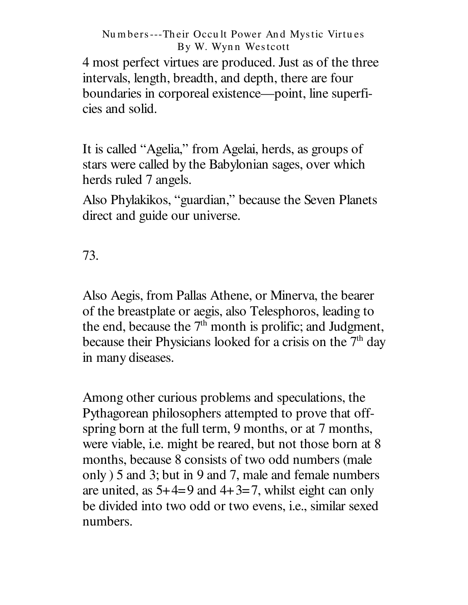4 most perfect virtues are produced. Just as of the three intervals, length, breadth, and depth, there are four boundaries in corporeal existence— point, line superficies and solid.

It is called "Agelia," from Agelai, herds, as groups of stars were called by the Babylonian sages, over which herds ruled 7 angels.

Also Phylakikos, " guardian," because the Seven Planets direct and guide our universe.

73.

Also Aegis, from Pallas Athene, or Minerva, the bearer of the breastplate or aegis, also Telesphoros, leading to the end, because the  $7<sup>th</sup>$  month is prolific; and Judgment, because their Physicians looked for a crisis on the 7<sup>th</sup> day in many diseases.

Among other curious problems and speculations, the Pythagorean philosophers attempted to prove that offspring born at the full term, 9 months, or at 7 months, were viable, i.e. might be reared, but not those born at 8 months, because 8 consists of two odd numbers (male only ) 5 and 3; but in 9 and 7, male and female numbers are united, as  $5+4=9$  and  $4+3=7$ , whilst eight can only be divided into two odd or two evens, i.e., similar sexed numbers.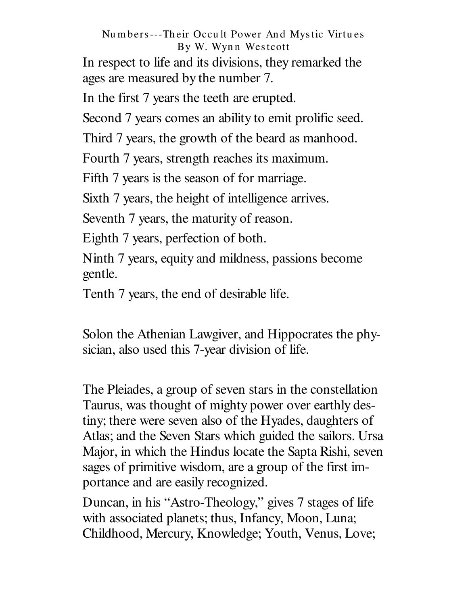In respect to life and its divisions, they remarked the ages are measured by the number 7.

In the first 7 years the teeth are erupted.

Second 7 years comes an ability to emit prolific seed.

Third 7 years, the growth of the beard as manhood.

Fourth 7 years, strength reaches its maximum.

Fifth 7 years is the season of for marriage.

Sixth 7 years, the height of intelligence arrives.

Seventh 7 years, the maturity of reason.

Eighth 7 years, perfection of both.

Ninth 7 years, equity and mildness, passions become gentle.

Tenth 7 years, the end of desirable life.

Solon the Athenian Lawgiver, and Hippocrates the physician, also used this 7-year division of life.

The Pleiades, a group of seven stars in the constellation Taurus, was thought of mighty power over earthly destiny; there were seven also of the Hyades, daughters of Atlas; and the Seven Stars which guided the sailors. Ursa Major, in which the Hindus locate the Sapta Rishi, seven sages of primitive wisdom, are a group of the first importance and are easily recognized.

Duncan, in his "Astro-Theology," gives 7 stages of life with associated planets; thus, Infancy, Moon, Luna; Childhood, Mercury, Knowledge; Youth, Venus, Love;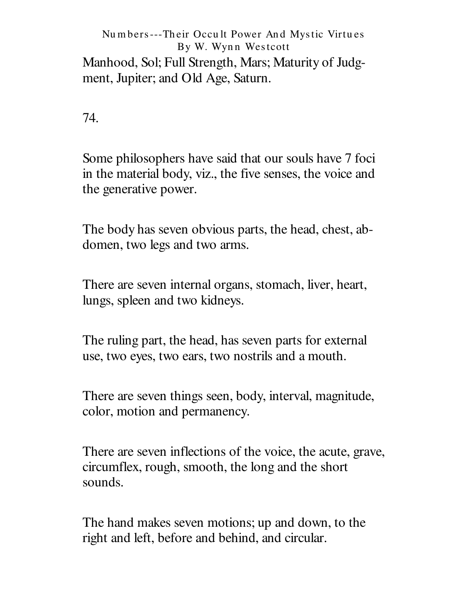Manhood, Sol; Full Strength, Mars; Maturity of Judgment, Jupiter; and Old Age, Saturn.

74.

Some philosophers have said that our souls have 7 foci in the material body, viz., the five senses, the voice and the generative power.

The body has seven obvious parts, the head, chest, abdomen, two legs and two arms.

There are seven internal organs, stomach, liver, heart, lungs, spleen and two kidneys.

The ruling part, the head, has seven parts for external use, two eyes, two ears, two nostrils and a mouth.

There are seven things seen, body, interval, magnitude, color, motion and permanency.

There are seven inflections of the voice, the acute, grave, circumflex, rough, smooth, the long and the short sounds.

The hand makes seven motions; up and down, to the right and left, before and behind, and circular.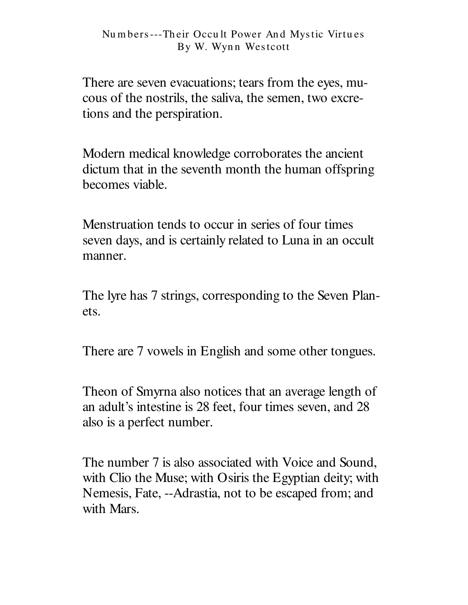There are seven evacuations; tears from the eyes, mucous of the nostrils, the saliva, the semen, two excretions and the perspiration.

Modern medical knowledge corroborates the ancient dictum that in the seventh month the human offspring becomes viable.

Menstruation tends to occur in series of four times seven days, and is certainly related to Luna in an occult manner.

The lyre has 7 strings, corresponding to the Seven Planets.

There are 7 vowels in English and some other tongues.

Theon of Smyrna also notices that an average length of an adult's intestine is 28 feet, four times seven, and 28 also is a perfect number.

The number 7 is also associated with Voice and Sound. with Clio the Muse; with Osiris the Egyptian deity; with Nemesis, Fate, --Adrastia, not to be escaped from; and with Mars.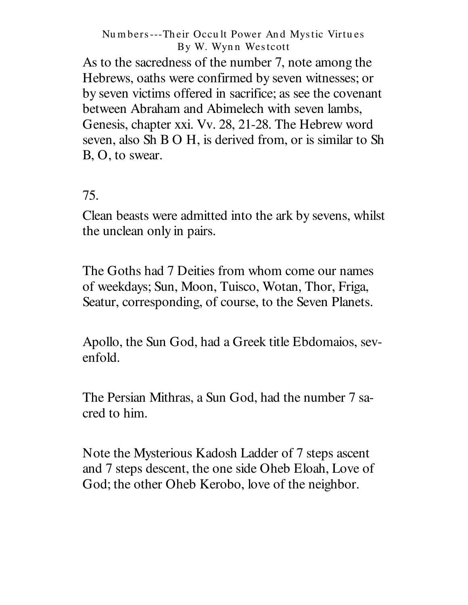As to the sacredness of the number 7, note among the Hebrews, oaths were confirmed by seven witnesses; or by seven victims offered in sacrifice; as see the covenant between Abraham and Abimelech with seven lambs, Genesis, chapter xxi. Vv. 28, 21-28. The Hebrew word seven, also Sh B O H, is derived from, or is similar to Sh B, O, to swear.

## 75.

Clean beasts were admitted into the ark by sevens, whilst the unclean only in pairs.

The Goths had 7 Deities from whom come our names of weekdays; Sun, Moon, Tuisco, Wotan, Thor, Friga, Seatur, corresponding, of course, to the Seven Planets.

Apollo, the Sun God, had a Greek title Ebdomaios, sevenfold.

The Persian Mithras, a Sun God, had the number 7 sacred to him.

Note the Mysterious Kadosh Ladder of 7 steps ascent and 7 steps descent, the one side Oheb Eloah, Love of God; the other Oheb Kerobo, love of the neighbor.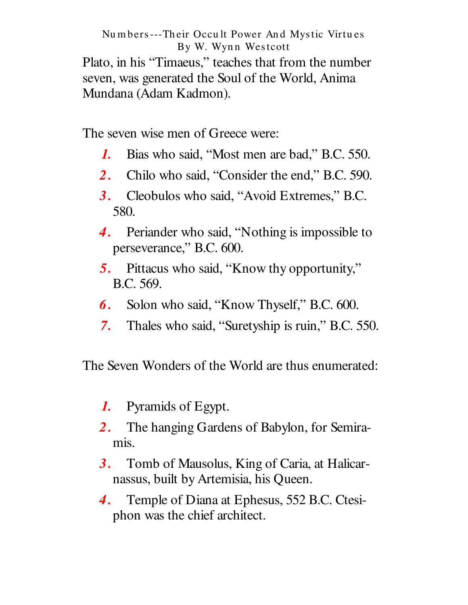Plato, in his "Timaeus," teaches that from the number seven, was generated the Soul of the World, Anima Mundana (Adam Kadmon).

The seven wise men of Greece were:

- Bias who said, "Most men are bad," B.C. 550.  $\boldsymbol{I}$ .
- Chilo who said, "Consider the end," B.C. 590.  $2_{-}$
- 3. Cleobulos who said, "Avoid Extremes," B.C. 580.
- 4. Periander who said, "Nothing is impossible to perseverance," B.C. 600.
- 5. Pittacus who said, "Know thy opportunity," B.C. 569.
- Solon who said, "Know Thyself," B.C. 600. 6.
- Thales who said, "Suretyship is ruin," B.C. 550.  $7.$

The Seven Wonders of the World are thus enumerated:

- Pyramids of Egypt.  $\boldsymbol{I}$ .
- The hanging Gardens of Babylon, for Semira-2. mis.
- Tomb of Mausolus, King of Caria, at Halicar- $3.$ nassus, built by Artemisia, his Queen.
- Temple of Diana at Ephesus, 552 B.C. Ctesi-4. phon was the chief architect.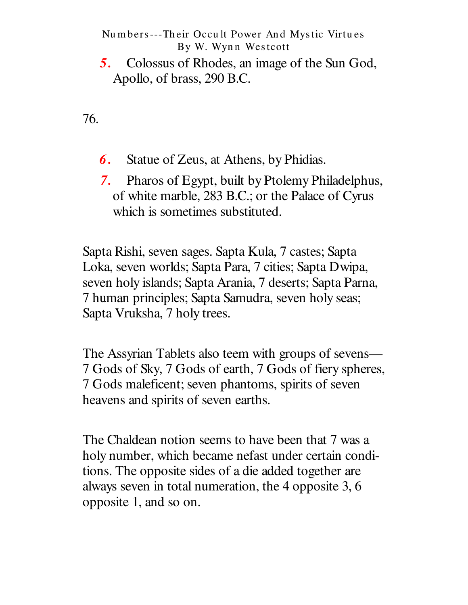5. Colossus of Rhodes, an image of the Sun God, Apollo, of brass, 290 B.C.

76.

- 6. Statue of Zeus, at Athens, by Phidias.
- Pharos of Egypt, built by Ptolemy Philadelphus, 7. of white marble, 283 B.C.; or the Palace of Cyrus which is sometimes substituted.

Sapta Rishi, seven sages. Sapta Kula, 7 castes; Sapta Loka, seven worlds; Sapta Para, 7 cities; Sapta Dwipa, seven holy islands; Sapta Arania, 7 deserts; Sapta Parna, 7 human principles; Sapta Samudra, seven holy seas; Sapta Vruksha, 7 holy trees.

The Assyrian Tablets also teem with groups of sevens— 7 Gods of Sky, 7 Gods of earth, 7 Gods of fiery spheres, 7 Gods maleficent; seven phantoms, spirits of seven heavens and spirits of seven earths.

The Chaldean notion seems to have been that 7 was a holy number, which became nefast under certain conditions. The opposite sides of a die added together are always seven in total numeration, the 4 opposite 3, 6 opposite 1, and so on.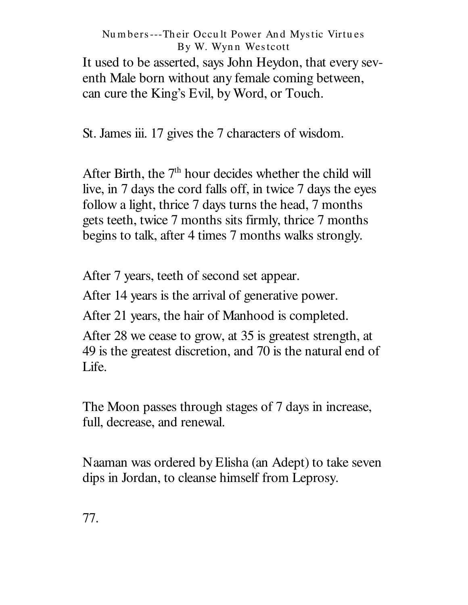It used to be asserted, says John Heydon, that every seventh Male born without any female coming between, can cure the King's Evil, by Word, or Touch.

St. James iii. 17 gives the 7 characters of wisdom.

After Birth, the 7<sup>th</sup> hour decides whether the child will live, in 7 days the cord falls off, in twice 7 days the eyes follow a light, thrice 7 days turns the head, 7 months gets teeth, twice 7 months sits firmly, thrice 7 months begins to talk, after 4 times 7 months walks strongly.

After 7 years, teeth of second set appear.

After 14 years is the arrival of generative power.

After 21 years, the hair of Manhood is completed.

After 28 we cease to grow, at 35 is greatest strength, at 49 is the greatest discretion, and 70 is the natural end of Life.

The Moon passes through stages of 7 days in increase, full, decrease, and renewal.

Naaman was ordered by Elisha (an Adept) to take seven dips in Jordan, to cleanse himself from Leprosy.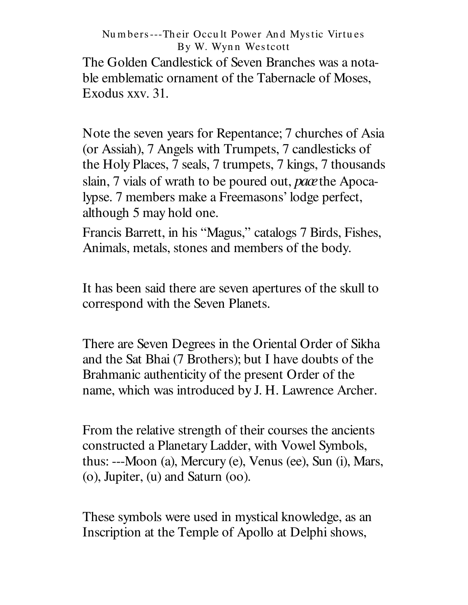The Golden Candlestick of Seven Branches was a notable emblematic ornament of the Tabernacle of Moses, Exodus xxv. 31.

Note the seven years for Repentance; 7 churches of Asia (or Assiah), 7 Angels with Trumpets, 7 candlesticks of the Holy Places, 7 seals, 7 trumpets, 7 kings, 7 thousands slain, 7 vials of wrath to be poured out, *pace*the Apocalypse. 7 members make a Freemasons' lodge perfect, although 5 may hold one.

Francis Barrett, in his "Magus," catalogs 7 Birds, Fishes, Animals, metals, stones and members of the body.

It has been said there are seven apertures of the skull to correspond with the Seven Planets.

There are Seven Degrees in the Oriental Order of Sikha and the Sat Bhai (7 Brothers); but I have doubts of the Brahmanic authenticity of the present Order of the name, which was introduced by J. H. Lawrence Archer.

From the relative strength of their courses the ancients constructed a Planetary Ladder, with Vowel Symbols, thus: ---Moon (a), Mercury (e), Venus (ee), Sun (i), Mars, (o), Jupiter, (u) and Saturn (oo).

These symbols were used in mystical knowledge, as an Inscription at the Temple of Apollo at Delphi shows,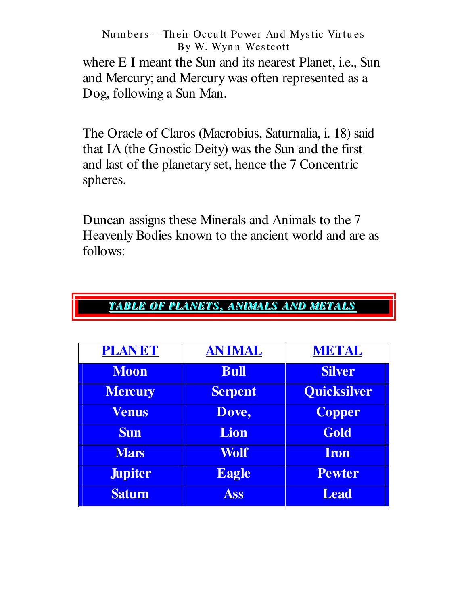where E I meant the Sun and its nearest Planet, i.e., Sun and Mercury; and Mercury was often represented as a Dog, following a Sun Man.

The Oracle of Claros (Macrobius, Saturnalia, i. 18) said that IA (the Gnostic Deity) was the Sun and the first and last of the planetary set, hence the 7 Concentric spheres.

Duncan assigns these Minerals and Animals to the 7 Heavenly Bodies known to the ancient world and are as follows:

| <b>PLANET</b>  | <b>ANIMAL</b>  | <b>METAL</b>       |
|----------------|----------------|--------------------|
| <b>Moon</b>    | <b>Bull</b>    | <b>Silver</b>      |
| <b>Mercury</b> | <b>Serpent</b> | <b>Quicksilver</b> |
| <b>Venus</b>   | Dove,          | <b>Copper</b>      |
| <b>Sun</b>     | Lion           | Gold               |
| <b>Mars</b>    | Wolf           | Iron               |
| <b>Jupiter</b> | <b>Eagle</b>   | <b>Pewter</b>      |
| <b>Satum</b>   | <b>Ass</b>     | <b>Lead</b>        |

## TABLE OF PLANETS, ANIMALS AND METALS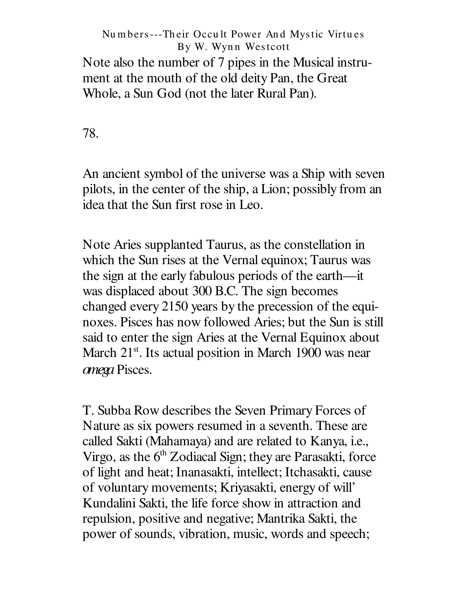### Nu m bers---Th eir Occu lt Power An d Mystic Virtu es By W. Wynn Westcott Note also the number of 7 pipes in the Musical instrument at the mouth of the old deity Pan, the Great

Whole, a Sun God (not the later Rural Pan).

78.

An ancient symbol of the universe was a Ship with seven pilots, in the center of the ship, a Lion; possibly from an idea that the Sun first rose in Leo.

Note Aries supplanted Taurus, as the constellation in which the Sun rises at the Vernal equinox; Taurus was the sign at the early fabulous periods of the earth— it was displaced about 300 B.C. The sign becomes changed every 2150 years by the precession of the equinoxes. Pisces has now followed Aries; but the Sun is still said to enter the sign Aries at the Vernal Equinox about March 21<sup>st</sup>. Its actual position in March 1900 was near *omega* Pisces.

T. Subba Row describes the Seven Primary Forces of Nature as six powers resumed in a seventh. These are called Sakti (Mahamaya) and are related to Kanya, i.e., Virgo, as the 6<sup>th</sup> Zodiacal Sign; they are Parasakti, force of light and heat; Inanasakti, intellect; Itchasakti, cause of voluntary movements; Kriyasakti, energy of will' Kundalini Sakti, the life force show in attraction and repulsion, positive and negative; Mantrika Sakti, the power of sounds, vibration, music, words and speech;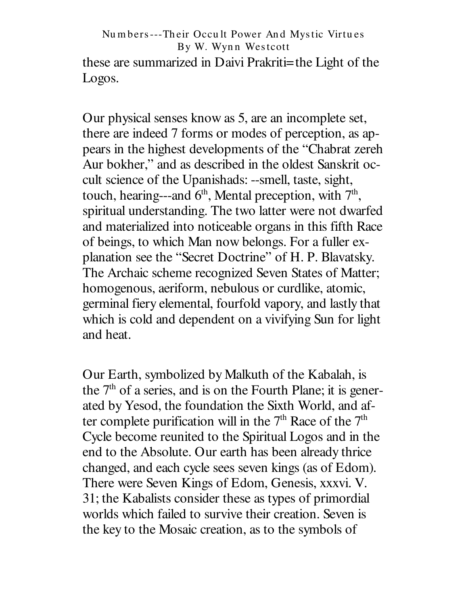Nu m bers---Th eir Occu lt Power An d Mystic Virtu es By W. Wynn Westcott these are summarized in Daivi Prakriti=the Light of the Logos.

Our physical senses know as 5, are an incomplete set, there are indeed 7 forms or modes of perception, as appears in the highest developments of the " Chabrat zereh Aur bokher," and as described in the oldest Sanskrit occult science of the Upanishads: --smell, taste, sight, touch, hearing---and  $6<sup>th</sup>$ , Mental preception, with  $7<sup>th</sup>$ , spiritual understanding. The two latter were not dwarfed and materialized into noticeable organs in this fifth Race of beings, to which Man now belongs. For a fuller explanation see the " Secret Doctrine" of H. P. Blavatsky. The Archaic scheme recognized Seven States of Matter; homogenous, aeriform, nebulous or curdlike, atomic, germinal fiery elemental, fourfold vapory, and lastly that which is cold and dependent on a vivifying Sun for light and heat.

Our Earth, symbolized by Malkuth of the Kabalah, is the  $7<sup>th</sup>$  of a series, and is on the Fourth Plane; it is generated by Yesod, the foundation the Sixth World, and after complete purification will in the  $7<sup>th</sup>$  Race of the  $7<sup>th</sup>$ Cycle become reunited to the Spiritual Logos and in the end to the Absolute. Our earth has been already thrice changed, and each cycle sees seven kings (as of Edom). There were Seven Kings of Edom, Genesis, xxxvi. V. 31; the Kabalists consider these as types of primordial worlds which failed to survive their creation. Seven is the key to the Mosaic creation, as to the symbols of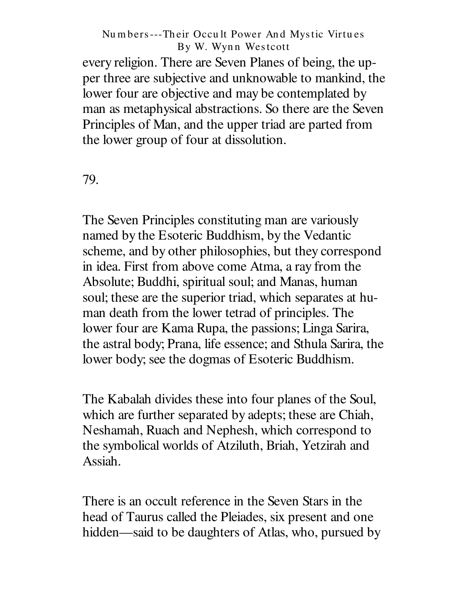every religion. There are Seven Planes of being, the upper three are subjective and unknowable to mankind, the lower four are objective and may be contemplated by man as metaphysical abstractions. So there are the Seven Principles of Man, and the upper triad are parted from the lower group of four at dissolution.

79.

The Seven Principles constituting man are variously named by the Esoteric Buddhism, by the Vedantic scheme, and by other philosophies, but they correspond in idea. First from above come Atma, a ray from the Absolute; Buddhi, spiritual soul; and Manas, human soul; these are the superior triad, which separates at human death from the lower tetrad of principles. The lower four are Kama Rupa, the passions; Linga Sarira, the astral body; Prana, life essence; and Sthula Sarira, the lower body; see the dogmas of Esoteric Buddhism.

The Kabalah divides these into four planes of the Soul, which are further separated by adepts; these are Chiah, Neshamah, Ruach and Nephesh, which correspond to the symbolical worlds of Atziluth, Briah, Yetzirah and Assiah.

There is an occult reference in the Seven Stars in the head of Taurus called the Pleiades, six present and one hidden—said to be daughters of Atlas, who, pursued by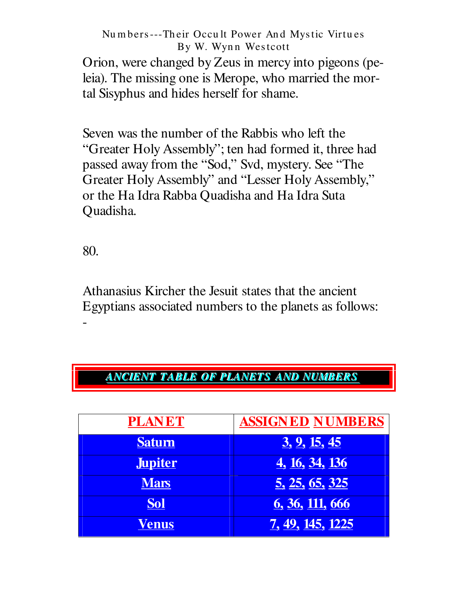Orion, were changed by Zeus in mercy into pigeons (peleia). The missing one is Merope, who married the mortal Sisyphus and hides herself for shame.

Seven was the number of the Rabbis who left the "Greater Holy Assembly"; ten had formed it, three had passed away from the "Sod," Svd, mystery. See "The Greater Holy Assembly" and "Lesser Holy Assembly," or the Ha Idra Rabba Quadisha and Ha Idra Suta Quadisha.

80.

Athanasius Kircher the Jesuit states that the ancient Egyptians associated numbers to the planets as follows: -

# *AANNCCIIEENNTT TTAABBLLEE OOFF PPLLAANNEETTSS AANNDD NNUUMMBBEERRSS*

| <b>PLANET</b>  | <b>ASSIGNED NUMBERS</b> |
|----------------|-------------------------|
| <b>Saturn</b>  | <u>3, 9, 15, 45</u>     |
| <b>Jupiter</b> | <u>4, 16, 34, 136</u>   |
| <b>Mars</b>    | <u>5, 25, 65, 325</u>   |
| <b>Sol</b>     | <u>6, 36, 111, 666</u>  |
| Venus          | <u>7, 49, 145, 1225</u> |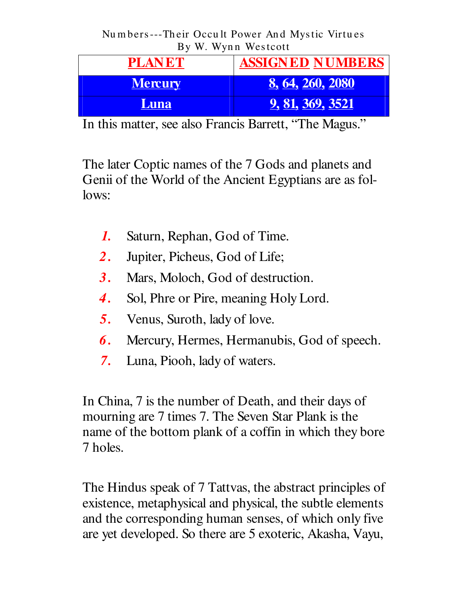| <b>PLANET</b>  | <b>ASSIGNED NUMBERS</b> |
|----------------|-------------------------|
| <b>Mercury</b> | <u>8, 64, 260, 2080</u> |
| <b>Luna</b>    | <u>9, 81, 369, 3521</u> |

In this matter, see also Francis Barrett, "The Magus."

The later Coptic names of the 7 Gods and planets and Genii of the World of the Ancient Egyptians are as fol $lows$ :

- 1. Saturn, Rephan, God of Time.
- $2.$ Jupiter, Picheus, God of Life;
- Mars, Moloch, God of destruction.  $3.$
- Sol, Phre or Pire, meaning Holy Lord. 4.
- $5.$ Venus, Suroth, lady of love.
- 6. Mercury, Hermes, Hermanubis, God of speech.
- $7.$ Luna, Piooh, lady of waters.

In China, 7 is the number of Death, and their days of mourning are 7 times 7. The Seven Star Plank is the name of the bottom plank of a coffin in which they bore 7 holes.

The Hindus speak of 7 Tattvas, the abstract principles of existence, metaphysical and physical, the subtle elements and the corresponding human senses, of which only five are yet developed. So there are 5 exoteric, Akasha, Vayu,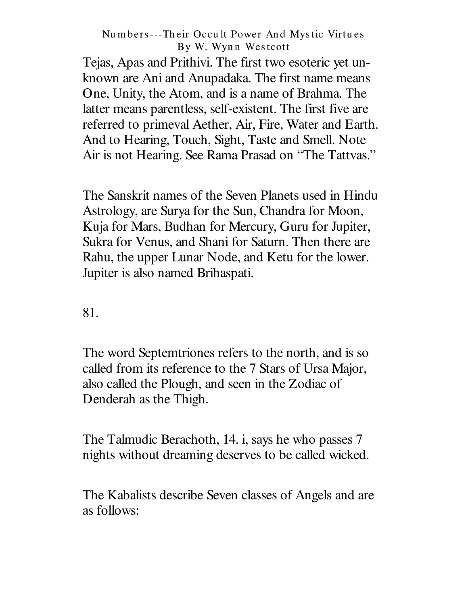Tejas, Apas and Prithivi. The first two esoteric yet unknown are Ani and Anupadaka. The first name means One, Unity, the Atom, and is a name of Brahma. The latter means parentless, self-existent. The first five are referred to primeval Aether, Air, Fire, Water and Earth. And to Hearing, Touch, Sight, Taste and Smell. Note Air is not Hearing. See Rama Prasad on " The Tattvas."

The Sanskrit names of the Seven Planets used in Hindu Astrology, are Surya for the Sun, Chandra for Moon, Kuja for Mars, Budhan for Mercury, Guru for Jupiter, Sukra for Venus, and Shani for Saturn. Then there are Rahu, the upper Lunar Node, and Ketu for the lower. Jupiter is also named Brihaspati.

81.

The word Septemtriones refers to the north, and is so called from its reference to the 7 Stars of Ursa Major, also called the Plough, and seen in the Zodiac of Denderah as the Thigh.

The Talmudic Berachoth, 14. i, says he who passes 7 nights without dreaming deserves to be called wicked.

The Kabalists describe Seven classes of Angels and are as follows: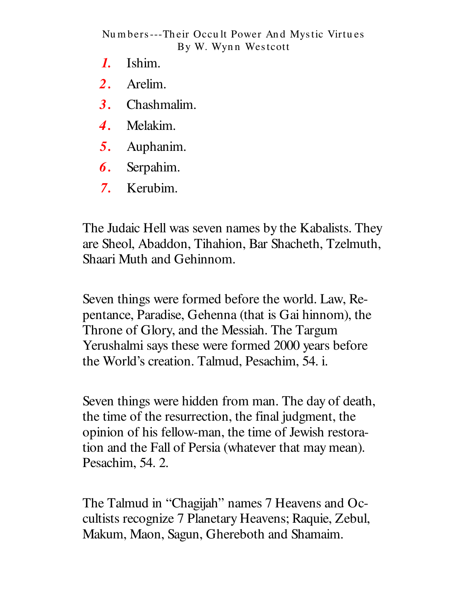- Ishim.  $\boldsymbol{l}$ .
- $2.$ Arelim.
- Chashmalim. **3.**
- Melakim.  $\boldsymbol{4}$ .
- $5<sub>1</sub>$ Auphanim.
- 6. Serpahim.
- Kerubim.  $7.$

The Judaic Hell was seven names by the Kabalists. They are Sheol, Abaddon, Tihahion, Bar Shacheth, Tzelmuth, Shaari Muth and Gehinnom.

Seven things were formed before the world. Law, Repentance, Paradise, Gehenna (that is Gai hinnom), the Throne of Glory, and the Messiah. The Targum Yerushalmi says these were formed 2000 years before the World's creation. Talmud, Pesachim, 54. i.

Seven things were hidden from man. The day of death, the time of the resurrection, the final judgment, the opinion of his fellow-man, the time of Jewish restoration and the Fall of Persia (whatever that may mean). Pesachim, 54.2.

The Talmud in "Chagijah" names 7 Heavens and Occultists recognize 7 Planetary Heavens; Raquie, Zebul, Makum, Maon, Sagun, Ghereboth and Shamaim.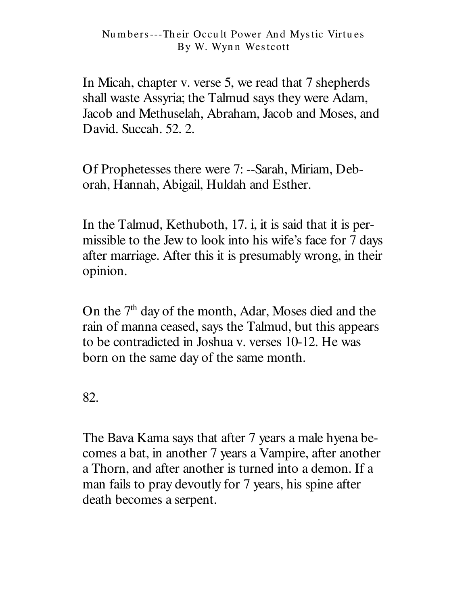In Micah, chapter v. verse 5, we read that 7 shepherds shall waste Assyria; the Talmud says they were Adam, Jacob and Methuselah, Abraham, Jacob and Moses, and David. Succah. 52. 2.

Of Prophetesses there were 7: --Sarah, Miriam, Deborah, Hannah, Abigail, Huldah and Esther.

In the Talmud, Kethuboth, 17. i, it is said that it is permissible to the Jew to look into his wife's face for 7 days after marriage. After this it is presumably wrong, in their opinion.

On the 7<sup>th</sup> day of the month, Adar, Moses died and the rain of manna ceased, says the Talmud, but this appears to be contradicted in Joshua v. verses 10-12. He was born on the same day of the same month.

82.

The Bava Kama says that after 7 years a male hyena becomes a bat, in another 7 years a Vampire, after another a Thorn, and after another is turned into a demon. If a man fails to pray devoutly for 7 years, his spine after death becomes a serpent.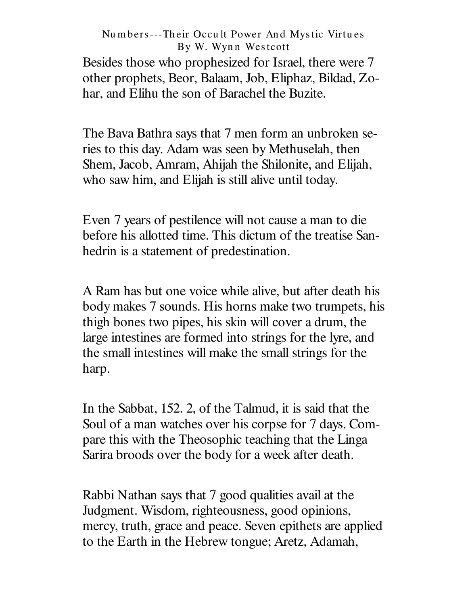Besides those who prophesized for Israel, there were 7 other prophets, Beor, Balaam, Job, Eliphaz, Bildad, Zohar, and Elihu the son of Barachel the Buzite.

The Bava Bathra says that 7 men form an unbroken series to this day. Adam was seen by Methuselah, then Shem, Jacob, Amram, Ahijah the Shilonite, and Elijah, who saw him, and Elijah is still alive until today.

Even 7 years of pestilence will not cause a man to die before his allotted time. This dictum of the treatise Sanhedrin is a statement of predestination.

A Ram has but one voice while alive, but after death his body makes 7 sounds. His horns make two trumpets, his thigh bones two pipes, his skin will cover a drum, the large intestines are formed into strings for the lyre, and the small intestines will make the small strings for the harp.

In the Sabbat, 152. 2, of the Talmud, it is said that the Soul of a man watches over his corpse for 7 days. Compare this with the Theosophic teaching that the Linga Sarira broods over the body for a week after death.

Rabbi Nathan says that 7 good qualities avail at the Judgment. Wisdom, righteousness, good opinions, mercy, truth, grace and peace. Seven epithets are applied to the Earth in the Hebrew tongue; Aretz, Adamah,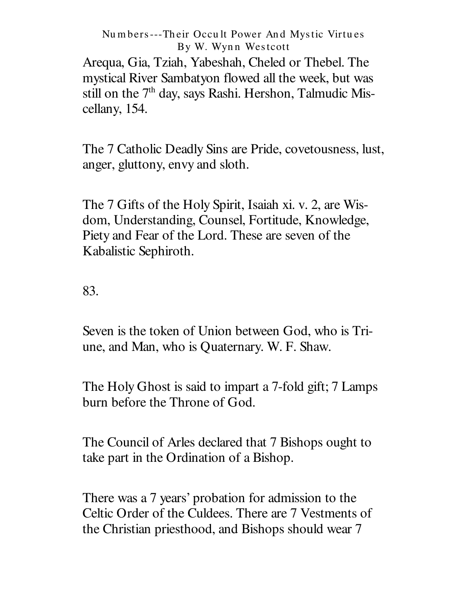Arequa, Gia, Tziah, Yabeshah, Cheled or Thebel. The mystical River Sambatyon flowed all the week, but was still on the 7<sup>th</sup> day, says Rashi. Hershon, Talmudic Miscellany, 154.

The 7 Catholic Deadly Sins are Pride, covetousness, lust, anger, gluttony, envy and sloth.

The 7 Gifts of the Holy Spirit, Isaiah xi. v. 2, are Wisdom, Understanding, Counsel, Fortitude, Knowledge, Piety and Fear of the Lord. These are seven of the Kabalistic Sephiroth.

83.

Seven is the token of Union between God, who is Triune, and Man, who is Quaternary. W. F. Shaw.

The Holy Ghost is said to impart a 7-fold gift; 7 Lamps burn before the Throne of God.

The Council of Arles declared that 7 Bishops ought to take part in the Ordination of a Bishop.

There was a 7 years' probation for admission to the Celtic Order of the Culdees. There are 7 Vestments of the Christian priesthood, and Bishops should wear 7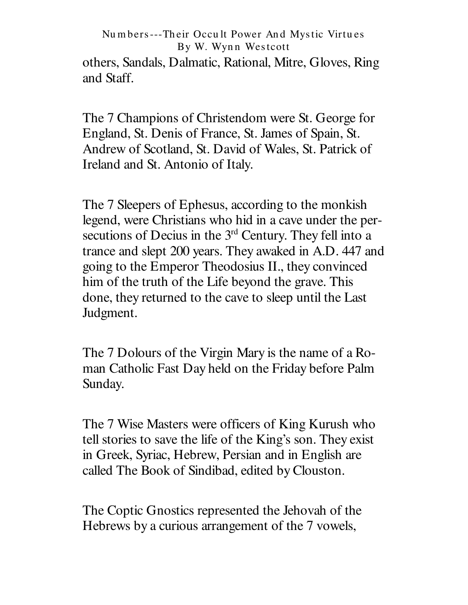others, Sandals, Dalmatic, Rational, Mitre, Gloves, Ring and Staff.

The 7 Champions of Christendom were St. George for England, St. Denis of France, St. James of Spain, St. Andrew of Scotland, St. David of Wales, St. Patrick of Ireland and St. Antonio of Italy.

The 7 Sleepers of Ephesus, according to the monkish legend, were Christians who hid in a cave under the persecutions of Decius in the  $3<sup>rd</sup>$  Century. They fell into a trance and slept 200 years. They awaked in A.D. 447 and going to the Emperor Theodosius II., they convinced him of the truth of the Life beyond the grave. This done, they returned to the cave to sleep until the Last Judgment.

The 7 Dolours of the Virgin Mary is the name of a Roman Catholic Fast Day held on the Friday before Palm Sunday.

The 7 Wise Masters were officers of King Kurush who tell stories to save the life of the King's son. They exist in Greek, Syriac, Hebrew, Persian and in English are called The Book of Sindibad, edited byClouston.

The Coptic Gnostics represented the Jehovah of the Hebrews by a curious arrangement of the 7 vowels,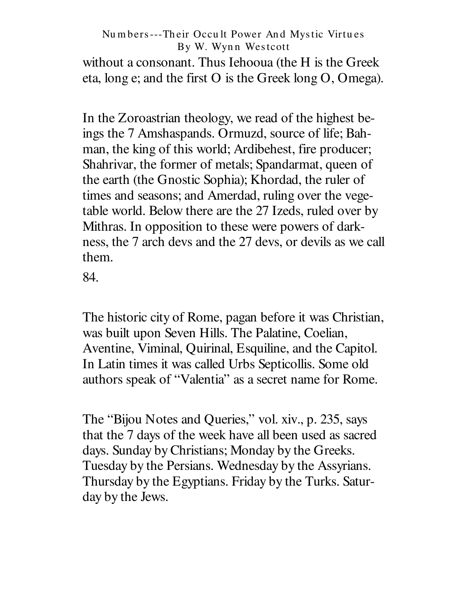### Numbers---Their Occult Power And Mystic Virtues By W. Wynn Westcott without a consonant. Thus Iehooua (the H is the Greek eta, long e; and the first O is the Greek long O, Omega).

In the Zoroastrian theology, we read of the highest beings the 7 Amshaspands. Ormuzd, source of life; Bahman, the king of this world; Ardibehest, fire producer; Shahrivar, the former of metals; Spandarmat, queen of the earth (the Gnostic Sophia); Khordad, the ruler of times and seasons; and Amerdad, ruling over the vegetable world. Below there are the 27 Izeds, ruled over by Mithras. In opposition to these were powers of darkness, the 7 arch devs and the 27 devs, or devils as we call them.

84.

The historic city of Rome, pagan before it was Christian, was built upon Seven Hills. The Palatine, Coelian, Aventine, Viminal, Quirinal, Esquiline, and the Capitol. In Latin times it was called Urbs Septicollis. Some old authors speak of "Valentia" as a secret name for Rome.

The "Bijou Notes and Queries," vol. xiv., p. 235, says that the 7 days of the week have all been used as sacred days. Sunday by Christians; Monday by the Greeks. Tuesday by the Persians. Wednesday by the Assyrians. Thursday by the Egyptians. Friday by the Turks. Saturday by the Jews.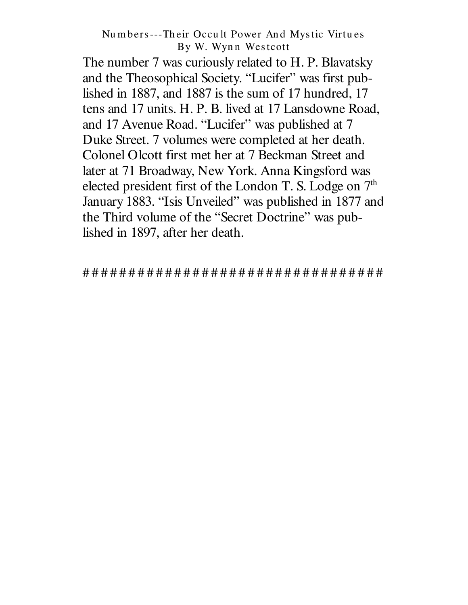The number 7 was curiously related to H. P. Blavatsky and the Theosophical Society. "Lucifer" was first published in 1887, and 1887 is the sum of 17 hundred, 17 tens and 17 units. H. P. B. lived at 17 Lansdowne Road, and 17 Avenue Road. "Lucifer" was published at 7 Duke Street. 7 volumes were completed at her death. Colonel Olcott first met her at 7 Beckman Street and later at 71 Broadway, New York. Anna Kingsford was elected president first of the London T. S. Lodge on 7<sup>th</sup> January 1883. "Isis Unveiled" was published in 1877 and the Third volume of the "Secret Doctrine" was published in 1897, after her death.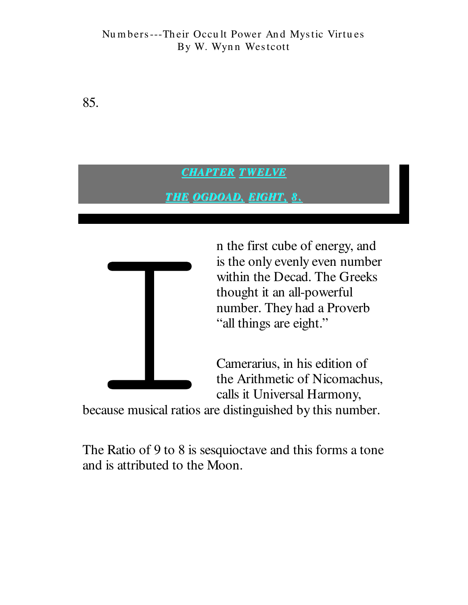85.

### **CHAPTER TWELVE**

### **THE OGDOAD, EIGHT, 8.**



n the first cube of energy, and is the only evenly even number within the Decad. The Greeks thought it an all-powerful number. They had a Proverb "all things are eight."

Camerarius, in his edition of the Arithmetic of Nicomachus, calls it Universal Harmony,

because musical ratios are distinguished by this number.

The Ratio of 9 to 8 is sesquioctave and this forms a tone and is attributed to the Moon.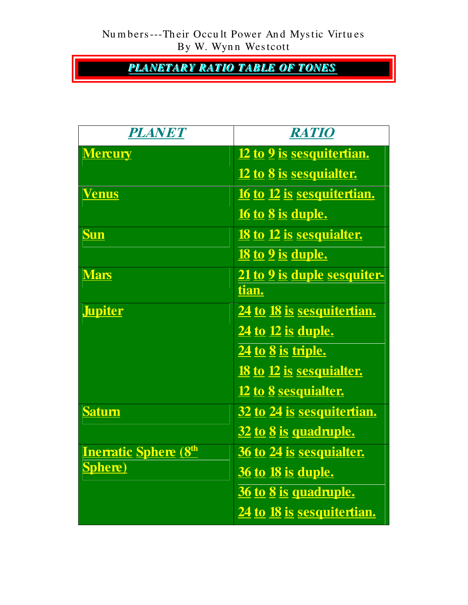**PLANETARY RATIO TABLE OF TONES** 

| <b>PLANET</b>                | <b>RATIO</b>                       |
|------------------------------|------------------------------------|
| <b>Mercury</b>               | 12 to 9 is sesquitertian.          |
|                              | <u>12 to 8 is sesquialter.</u>     |
| <b>Venus</b>                 | <u>16 to 12 is sesquitertian.</u>  |
|                              | <u>16 to 8 is duple.</u>           |
| Sun                          | <u>18 to 12 is sesquialter.</u>    |
|                              | <u>18 to 9 is duple.</u>           |
| <b>Mars</b>                  | <u>21 to 9 is duple sesquiter-</u> |
|                              | tian.                              |
| <b>Jupiter</b>               | 24 to 18 is sesquitertian.         |
|                              | 24 to 12 is duple.                 |
|                              | 24 to 8 is triple.                 |
|                              | <u>18 to 12 is sesquialter.</u>    |
|                              | <u>12 to 8 sesquialter.</u>        |
| <b>Saturn</b>                | <u>32 to 24 is sesquitertian.</u>  |
|                              | 32 to 8 is quadruple.              |
| <b>Inerratic Sphere (8th</b> | <u>36 to 24 is sesquialter.</u>    |
| <b>Sphere</b> )              | <b>36 to 18 is duple.</b>          |
|                              | 36 to 8 is quadruple.              |
|                              | <u>24 to 18 is sesquitertian.</u>  |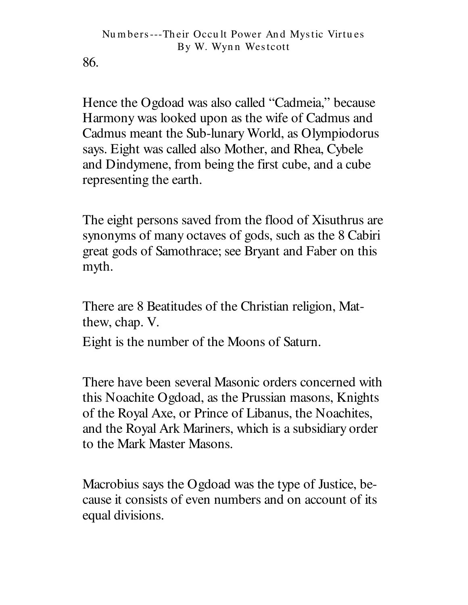86.

Hence the Ogdoad was also called "Cadmeia," because Harmony was looked upon as the wife of Cadmus and Cadmus meant the Sub-lunary World, as Olympiodorus says. Eight was called also Mother, and Rhea, Cybele and Dindymene, from being the first cube, and a cube representing the earth.

The eight persons saved from the flood of Xisuthrus are. synonyms of many octaves of gods, such as the 8 Cabiri great gods of Samothrace; see Bryant and Faber on this myth.

There are 8 Beatitudes of the Christian religion, Matthew, chap. V.

Eight is the number of the Moons of Saturn.

There have been several Masonic orders concerned with this Noachite Ogdoad, as the Prussian masons, Knights of the Royal Axe, or Prince of Libanus, the Noachites, and the Royal Ark Mariners, which is a subsidiary order to the Mark Master Masons.

Macrobius says the Ogdoad was the type of Justice, because it consists of even numbers and on account of its equal divisions.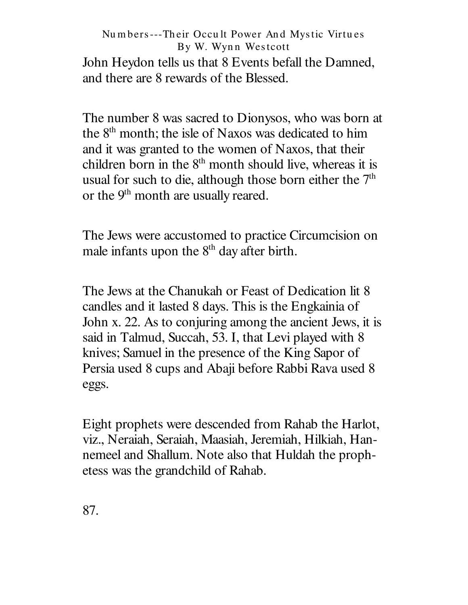### Numbers---Their Occult Power And Mystic Virtues By W. Wynn Westcott John Heydon tells us that 8 Events befall the Damned, and there are 8 rewards of the Blessed.

The number 8 was sacred to Dionysos, who was born at the 8<sup>th</sup> month; the isle of Naxos was dedicated to him and it was granted to the women of Naxos, that their children born in the  $8<sup>th</sup>$  month should live, whereas it is usual for such to die, although those born either the 7<sup>th</sup> or the 9<sup>th</sup> month are usually reared.

The Jews were accustomed to practice Circumcision on male infants upon the 8<sup>th</sup> day after birth.

The Jews at the Chanukah or Feast of Dedication lit 8 candles and it lasted 8 days. This is the Engkainia of John x. 22. As to conjuring among the ancient Jews, it is said in Talmud, Succah, 53. I, that Levi played with 8 knives; Samuel in the presence of the King Sapor of Persia used 8 cups and Abaji before Rabbi Rava used 8 eggs.

Eight prophets were descended from Rahab the Harlot, viz., Neraiah, Seraiah, Maasiah, Jeremiah, Hilkiah, Hannemeel and Shallum. Note also that Huldah the prophetess was the grandchild of Rahab.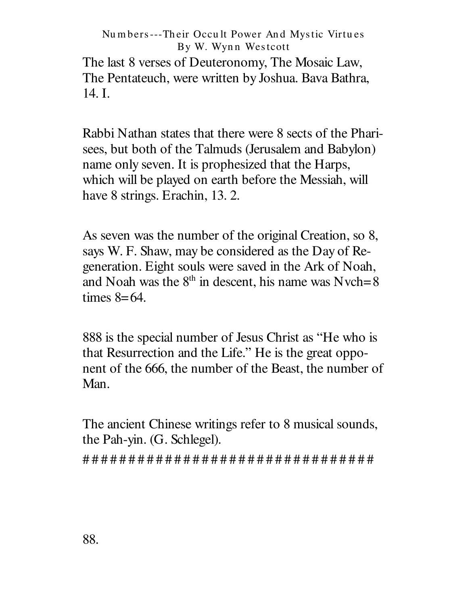The last 8 verses of Deuteronomy, The Mosaic Law, The Pentateuch, were written by Joshua. Bava Bathra,  $14. I.$ 

Rabbi Nathan states that there were 8 sects of the Pharisees, but both of the Talmuds (Jerusalem and Babylon) name only seven. It is prophesized that the Harps, which will be played on earth before the Messiah, will have 8 strings. Erachin, 13. 2.

As seven was the number of the original Creation, so 8, says W. F. Shaw, may be considered as the Day of Regeneration. Eight souls were saved in the Ark of Noah, and Noah was the  $8<sup>th</sup>$  in descent, his name was Nvch=8 times  $8=64$ .

888 is the special number of Jesus Christ as "He who is that Resurrection and the Life." He is the great opponent of the 666, the number of the Beast, the number of Man.

The ancient Chinese writings refer to 8 musical sounds, the Pah-yin. (G. Schlegel).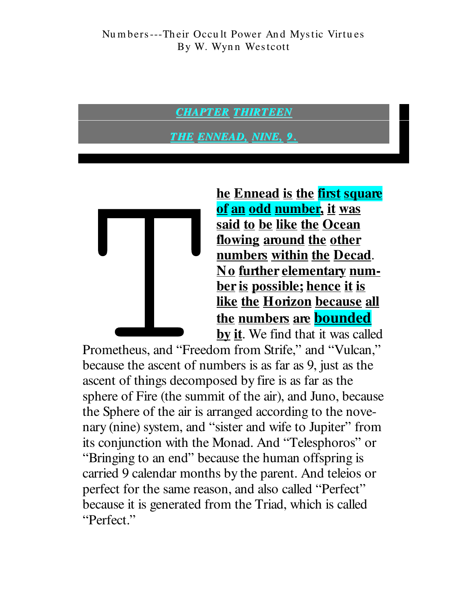### **CHAPTER THIRTEEN**

<u>THE ENNEAD, NINE, 9</u>



he Ennead is the first square of an odd number, it was said to be like the Ocean flowing around the other numbers within the Decad. No further elementary number is possible; hence it is like the Horizon because all the numbers are **bounded** by it. We find that it was called

Prometheus, and "Freedom from Strife," and "Vulcan," because the ascent of numbers is as far as 9, just as the ascent of things decomposed by fire is as far as the sphere of Fire (the summit of the air), and Juno, because the Sphere of the air is arranged according to the novenary (nine) system, and "sister and wife to Jupiter" from its conjunction with the Monad. And "Telesphoros" or "Bringing to an end" because the human offspring is carried 9 calendar months by the parent. And telejos or perfect for the same reason, and also called "Perfect" because it is generated from the Triad, which is called "Perfect."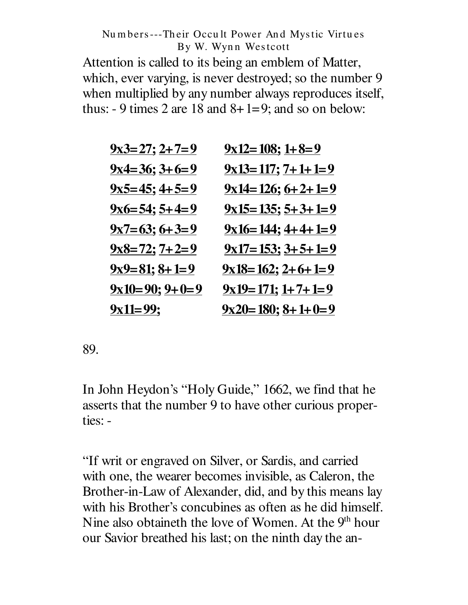Attention is called to its being an emblem of Matter, which, ever varying, is never destroyed; so the number 9 when multiplied by any number always reproduces itself, thus:  $-9$  times 2 are 18 and  $8+1=9$ ; and so on below:

| $9x3=27; 2+7=9$     | $9x12=108$ ; $1+8=9$   |
|---------------------|------------------------|
| $9x4=36$ ; $3+6=9$  | $9x13=117$ ; $7+1+1=9$ |
| $9x5=45$ ; $4+5=9$  | $9x14=126$ ; $6+2+1=9$ |
| $9x6=54$ ; $5+4=9$  | $9x15=135$ ; $5+3+1=9$ |
| $9x7=63; 6+3=9$     | $9x16=144$ ; $4+4+1=9$ |
| $9x8=72$ ; $7+2=9$  | $9x17=153$ ; $3+5+1=9$ |
| $9x9=81$ ; $8+1=9$  | $9x18=162$ ; $2+6+1=9$ |
| $9x10=90$ ; $9+0=9$ | $9x19=171$ ; $1+7+1=9$ |
| $9x11=99;$          | $9x20=180$ ; $8+1+0=9$ |

89.

In John Heydon's "Holy Guide," 1662, we find that he asserts that the number 9 to have other curious properties: -

"If writ or engraved on Silver, or Sardis, and carried with one, the wearer becomes invisible, as Caleron, the Brother-in-Law of Alexander, did, and by this means lay with his Brother's concubines as often as he did himself. Nine also obtaineth the love of Women. At the 9<sup>th</sup> hour our Savior breathed his last; on the ninth day the an-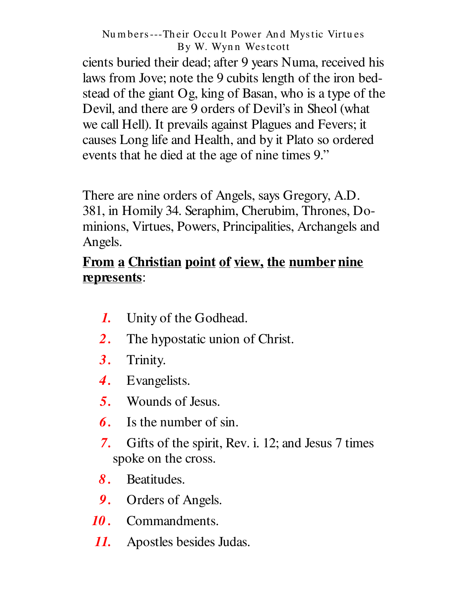cients buried their dead; after 9 years Numa, received his laws from Jove; note the 9 cubits length of the iron bedstead of the giant Og, king of Basan, who is a type of the Devil, and there are 9 orders of Devil's in Sheol (what we call Hell). It prevails against Plagues and Fevers; it causes Long life and Health, and by it Plato so ordered events that he died at the age of nine times 9."

There are nine orders of Angels, says Gregory, A.D. 381, in Homily 34. Seraphim, Cherubim, Thrones, Dominions, Virtues, Powers, Principalities, Archangels and Angels.

# From a Christian point of view, the number nine represents:

- Unity of the Godhead.  $\boldsymbol{l}$ .
- $2<sub>1</sub>$ The hypostatic union of Christ.
- Trinity. 3.
- Evangelists.  $\boldsymbol{A}$ .
- Wounds of Jesus.  $5<sub>1</sub>$
- 6. Is the number of sin.
- $7<sub>1</sub>$ Gifts of the spirit, Rev. i. 12; and Jesus 7 times spoke on the cross.
- 8. Beatitudes.
- 9. Orders of Angels.
- Commandments. 10.
- $\boldsymbol{\mathit{11}}$ . Apostles besides Judas.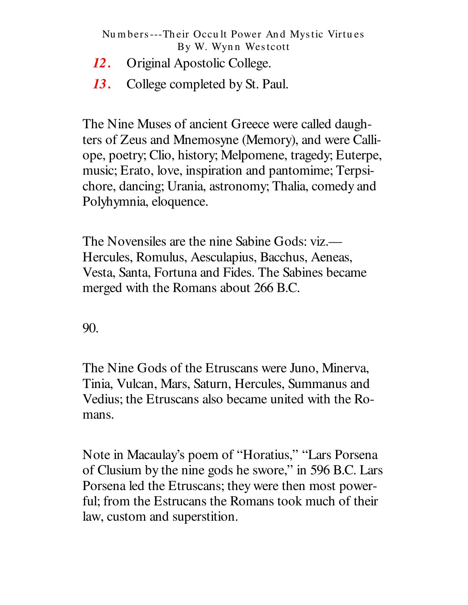- *12 .* Original Apostolic College.
- *13 .* College completed by St. Paul.

The Nine Muses of ancient Greece were called daughters of Zeus and Mnemosyne (Memory), and were Calliope, poetry; Clio, history; Melpomene, tragedy; Euterpe, music; Erato, love, inspiration and pantomime; Terpsichore, dancing; Urania, astronomy; Thalia, comedy and Polyhymnia, eloquence.

The Novensiles are the nine Sabine Gods: viz.— Hercules, Romulus, Aesculapius, Bacchus, Aeneas, Vesta, Santa, Fortuna and Fides. The Sabines became merged with the Romans about 266 B.C.

90.

The Nine Gods of the Etruscans were Juno, Minerva, Tinia, Vulcan, Mars, Saturn, Hercules, Summanus and Vedius; the Etruscans also became united with the Romans.

Note in Macaulay's poem of "Horatius," "Lars Porsena of Clusium by the nine gods he swore," in 596 B.C. Lars Porsena led the Etruscans; they were then most powerful; from the Estrucans the Romans took much of their law, custom and superstition.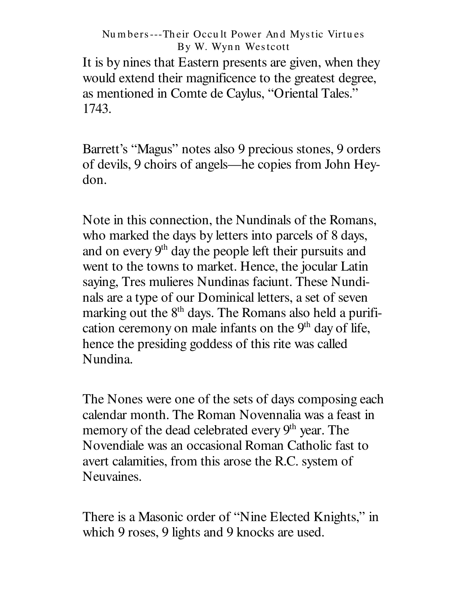It is by nines that Eastern presents are given, when they would extend their magnificence to the greatest degree, as mentioned in Comte de Caylus, "Oriental Tales." 1743.

Barrett's "Magus" notes also 9 precious stones, 9 orders of devils, 9 choirs of angels— he copies from John Heydon.

Note in this connection, the Nundinals of the Romans, who marked the days by letters into parcels of 8 days, and on every 9<sup>th</sup> day the people left their pursuits and went to the towns to market. Hence, the jocular Latin saying, Tres mulieres Nundinas faciunt. These Nundinals are a type of our Dominical letters, a set of seven marking out the 8<sup>th</sup> days. The Romans also held a purification ceremony on male infants on the 9<sup>th</sup> day of life, hence the presiding goddess of this rite was called Nundina.

The Nones were one of the sets of days composing each calendar month. The Roman Novennalia was a feast in memory of the dead celebrated every 9<sup>th</sup> year. The Novendiale was an occasional Roman Catholic fast to avert calamities, from this arose the R.C. system of Neuvaines.

There is a Masonic order of "Nine Elected Knights," in which 9 roses, 9 lights and 9 knocks are used.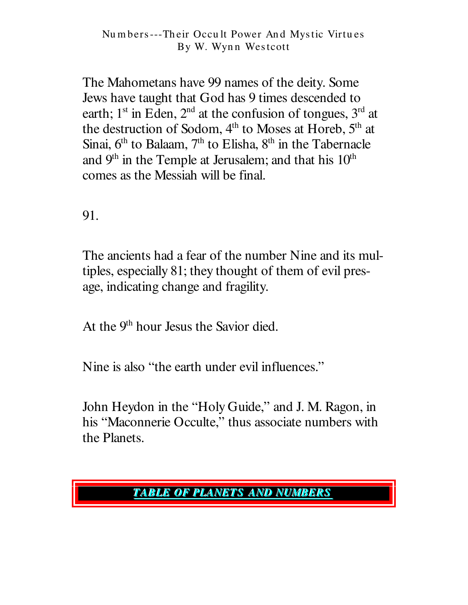The Mahometans have 99 names of the deity. Some Jews have taught that God has 9 times descended to earth;  $1<sup>st</sup>$  in Eden,  $2<sup>nd</sup>$  at the confusion of tongues,  $3<sup>rd</sup>$  at the destruction of Sodom, 4<sup>th</sup> to Moses at Horeb, 5<sup>th</sup> at Sinai,  $6<sup>th</sup>$  to Balaam,  $7<sup>th</sup>$  to Elisha,  $8<sup>th</sup>$  in the Tabernacle and  $9<sup>th</sup>$  in the Temple at Jerusalem; and that his  $10<sup>th</sup>$ comes as the Messiah will be final.

91.

The ancients had a fear of the number Nine and its multiples, especially 81; they thought of them of evil presage, indicating change and fragility.

At the 9<sup>th</sup> hour Jesus the Savior died.

Nine is also "the earth under evil influences."

John Heydon in the "Holy Guide," and J. M. Ragon, in his "Maconnerie Occulte," thus associate numbers with the Planets.

## **TABLE OF PLANETS AND NUMBERS**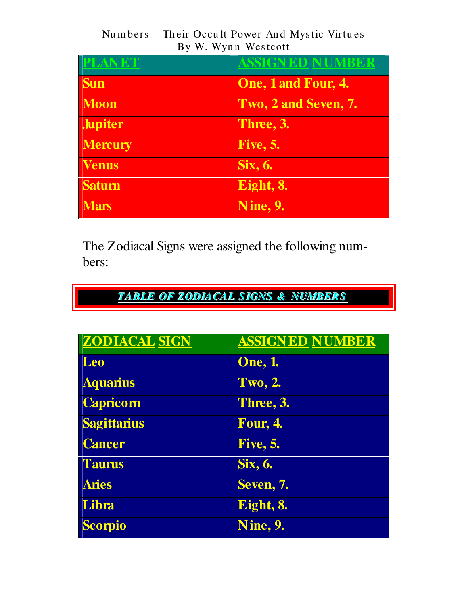| <b>PLANET</b>  | <b>ASSIGNED NUMBER</b>     |
|----------------|----------------------------|
| <b>Sun</b>     | <b>One, 1 and Four, 4.</b> |
| <b>Moon</b>    | Two, 2 and Seven, 7.       |
| <b>Jupiter</b> | Three, 3.                  |
| <b>Mercury</b> | <b>Five, 5.</b>            |
| <b>Venus</b>   | Six, 6.                    |
| <b>Saturn</b>  | Eight, 8.                  |
| <b>Mars</b>    | <b>Nine, 9.</b>            |

The Zodiacal Signs were assigned the following numbers:

**TABLE OF ZODIACAL SIGNS & NUMBERS** 

| <b>ZODIACAL SIGN</b> | <b>ASSIGNED NUMBER</b> |
|----------------------|------------------------|
| Leo                  | <b>One</b> , 1.        |
| <b>Aquarius</b>      | <b>Two, 2.</b>         |
| <b>Capricorn</b>     | Three, 3.              |
| <b>Sagittarius</b>   | <b>Four, 4.</b>        |
| <b>Cancer</b>        | <b>Five, 5.</b>        |
| <b>Taurus</b>        | Six, 6.                |
| <b>Aries</b>         | Seven, 7.              |
| Libra                | Eight, 8.              |
| <b>Scorpio</b>       | Nine, 9.               |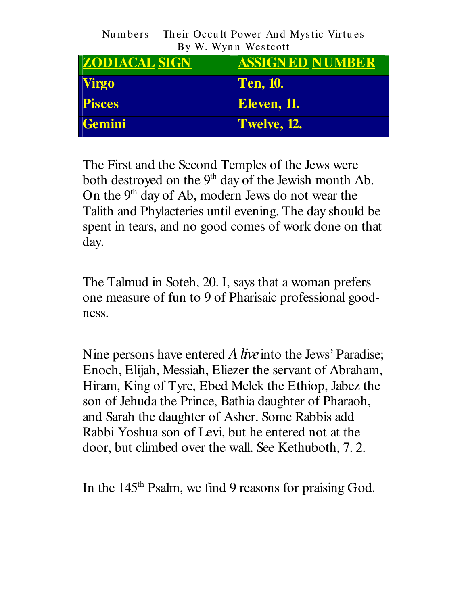| <b>ZODIACAL SIGN</b> | <b>ASSIGNED NUMBER</b> |
|----------------------|------------------------|
| Virgo                | <b>Ten, 10.</b>        |
| <b>Pisces</b>        | <b>Eleven, 11.</b>     |
| Gemini               | Twelve, 12.            |

The First and the Second Temples of the Jews were both destroyed on the 9<sup>th</sup> day of the Jewish month Ab. On the 9<sup>th</sup> day of Ab, modern Jews do not wear the Talith and Phylacteries until evening. The day should be spent in tears, and no good comes of work done on that day.

The Talmud in Soteh, 20. I, says that a woman prefers one measure of fun to 9 of Pharisaic professional goodness.

Nine persons have entered *Alive*into the Jews' Paradise; Enoch, Elijah, Messiah, Eliezer the servant of Abraham, Hiram, King of Tyre, Ebed Melek the Ethiop, Jabez the son of Jehuda the Prince, Bathia daughter of Pharaoh, and Sarah the daughter of Asher. Some Rabbis add Rabbi Yoshua son of Levi, but he entered not at the door, but climbed over the wall. See Kethuboth, 7. 2.

In the 145<sup>th</sup> Psalm, we find 9 reasons for praising God.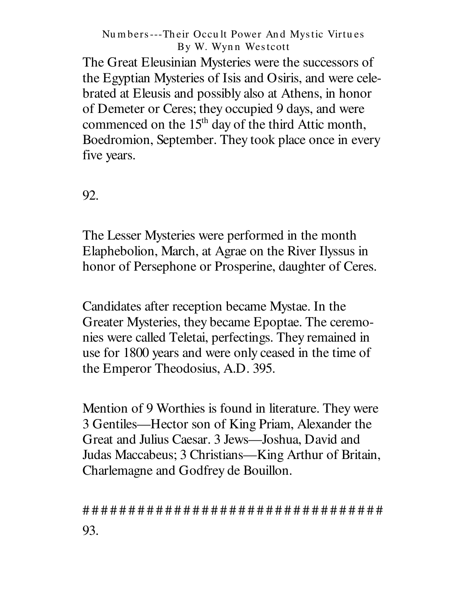The Great Eleusinian Mysteries were the successors of the Egyptian Mysteries of Isis and Osiris, and were celebrated at Eleusis and possibly also at Athens, in honor of Demeter or Ceres; they occupied 9 days, and were commenced on the 15<sup>th</sup> day of the third Attic month, Boedromion, September. They took place once in every five years.

92.

The Lesser Mysteries were performed in the month Elaphebolion, March, at Agrae on the River Ilyssus in honor of Persephone or Prosperine, daughter of Ceres.

Candidates after reception became Mystae. In the Greater Mysteries, they became Epoptae. The ceremonies were called Teletai, perfectings. They remained in use for 1800 years and were only ceased in the time of the Emperor Theodosius, A.D. 395.

Mention of 9 Worthies is found in literature. They were 3 Gentiles—Hector son of King Priam, Alexander the Great and Julius Caesar. 3 Jews—Joshua, David and Judas Maccabeus; 3 Christians—King Arthur of Britain, Charlemagne and Godfrey de Bouillon.

93.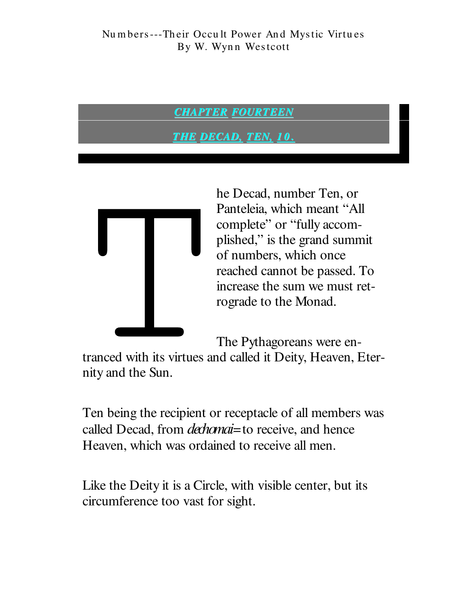### **CHAPTER FOURTEEN**

<u>THE DECAD, TEN, 10.</u>



he Decad, number Ten, or Panteleia, which meant "All complete" or "fully accomplished," is the grand summit of numbers, which once reached cannot be passed. To increase the sum we must retrograde to the Monad.

The Pythagoreans were en-

tranced with its virtues and called it Deity, Heaven, Eternity and the Sun.

Ten being the recipient or receptacle of all members was called Decad, from *dechanai*=to receive, and hence Heaven, which was ordained to receive all men.

Like the Deity it is a Circle, with visible center, but its circumference too vast for sight.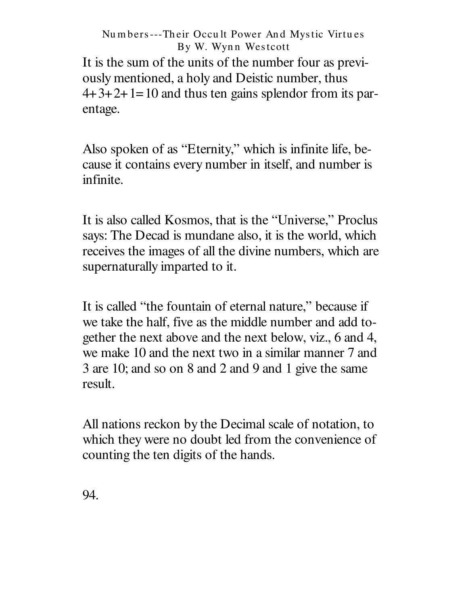It is the sum of the units of the number four as previously mentioned, a holy and Deistic number, thus  $4+3+2+1=10$  and thus ten gains splendor from its parentage.

Also spoken of as "Eternity," which is infinite life, because it contains every number in itself, and number is infinite.

It is also called Kosmos, that is the "Universe," Proclus says: The Decad is mundane also, it is the world, which receives the images of all the divine numbers, which are supernaturally imparted to it.

It is called "the fountain of eternal nature," because if we take the half, five as the middle number and add together the next above and the next below, viz., 6 and 4, we make 10 and the next two in a similar manner 7 and 3 are 10; and so on 8 and 2 and 9 and 1 give the same result.

All nations reckon by the Decimal scale of notation, to which they were no doubt led from the convenience of counting the ten digits of the hands.

94.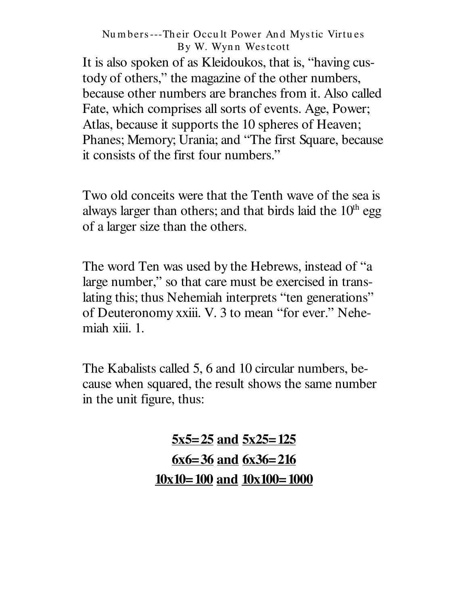It is also spoken of as Kleidoukos, that is, "having custody of others," the magazine of the other numbers, because other numbers are branches from it. Also called Fate, which comprises all sorts of events. Age, Power; Atlas, because it supports the 10 spheres of Heaven; Phanes; Memory; Urania; and "The first Square, because it consists of the first four numbers."

Two old conceits were that the Tenth wave of the sea is always larger than others; and that birds laid the  $10<sup>th</sup>$  egg of a larger size than the others.

The word Ten was used by the Hebrews, instead of "a large number," so that care must be exercised in translating this; thus Nehemiah interprets "ten generations" of Deuteronomy xxiii. V. 3 to mean "for ever." Nehemiah xiii. 1.

The Kabalists called 5, 6 and 10 circular numbers, because when squared, the result shows the same number in the unit figure, thus:

> $5x5=25$  and  $5x25=125$  $6x6=36$  and  $6x36=216$  $10x10=100$  and  $10x100=1000$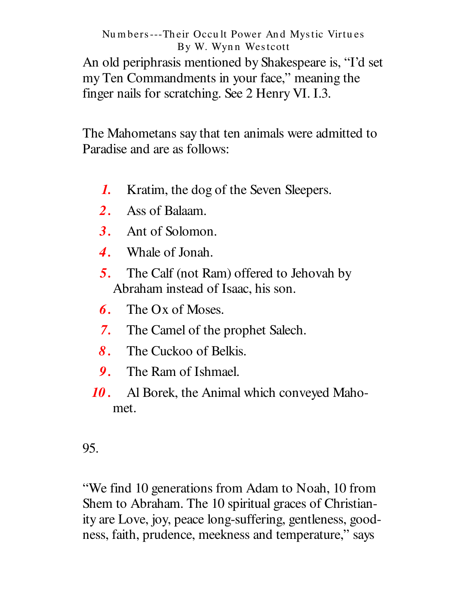An old periphrasis mentioned by Shakespeare is, "I'd set my Ten Commandments in your face," meaning the finger nails for scratching. See 2 Henry VI. I.3.

The Mahometans say that ten animals were admitted to Paradise and are as follows:

- $\boldsymbol{l}$ . Kratim, the dog of the Seven Sleepers.
- $2.$ Ass of Balaam.
- 3. Ant of Solomon.
- $\boldsymbol{4}$ . Whale of Jonah.
- The Calf (not Ram) offered to Jehovah by  $5<sub>1</sub>$ Abraham instead of Isaac, his son.
- The Ox of Moses. 6.
- $7.$ The Camel of the prophet Salech.
- $\mathbf{8}_{1}$ The Cuckoo of Belkis.
- 9. The Ram of Ishmael.
- Al Borek, the Animal which conveyed Maho-10. met.

95.

"We find 10 generations from Adam to Noah, 10 from Shem to Abraham. The 10 spiritual graces of Christianity are Love, joy, peace long-suffering, gentleness, goodness, faith, prudence, meekness and temperature," says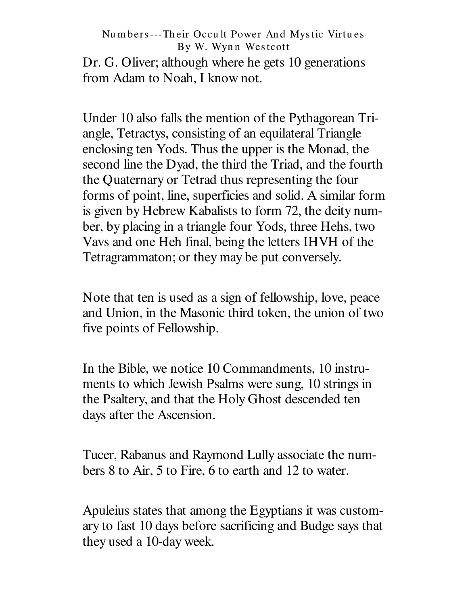Dr. G. Oliver; although where he gets 10 generations from Adam to Noah, I know not.

Under 10 also falls the mention of the Pythagorean Triangle, Tetractys, consisting of an equilateral Triangle enclosing ten Yods. Thus the upper is the Monad, the second line the Dyad, the third the Triad, and the fourth the Quaternary or Tetrad thus representing the four forms of point, line, superficies and solid. A similar form is given by Hebrew Kabalists to form 72, the deity number, by placing in a triangle four Yods, three Hehs, two Vavs and one Heh final, being the letters IHVH of the Tetragrammaton; or they may be put conversely.

Note that ten is used as a sign of fellowship, love, peace and Union, in the Masonic third token, the union of two five points of Fellowship.

In the Bible, we notice 10 Commandments, 10 instruments to which Jewish Psalms were sung, 10 strings in the Psaltery, and that the Holy Ghost descended ten days after the Ascension.

Tucer, Rabanus and Raymond Lully associate the numbers 8 to Air, 5 to Fire, 6 to earth and 12 to water.

Apuleius states that among the Egyptians it was customary to fast 10 days before sacrificing and Budge says that they used a 10-day week.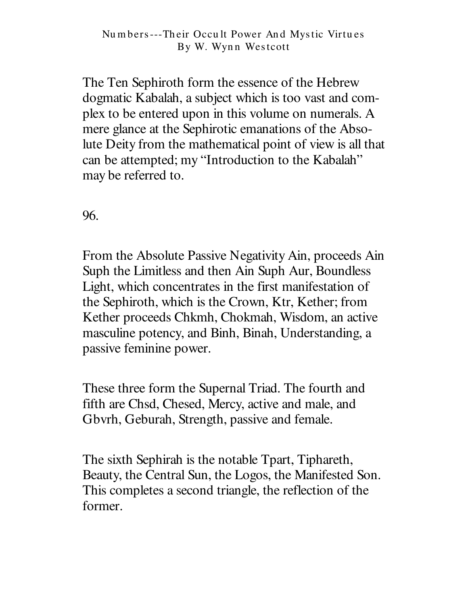The Ten Sephiroth form the essence of the Hebrew dogmatic Kabalah, a subject which is too vast and complex to be entered upon in this volume on numerals. A mere glance at the Sephirotic emanations of the Absolute Deity from the mathematical point of view is all that can be attempted; my "Introduction to the Kabalah" may be referred to.

96.

From the Absolute Passive Negativity Ain, proceeds Ain Suph the Limitless and then Ain Suph Aur, Boundless Light, which concentrates in the first manifestation of the Sephiroth, which is the Crown, Ktr, Kether; from Kether proceeds Chkmh, Chokmah, Wisdom, an active masculine potency, and Binh, Binah, Understanding, a passive feminine power.

These three form the Supernal Triad. The fourth and fifth are Chsd, Chesed, Mercy, active and male, and Gbyrh, Geburah, Strength, passive and female.

The sixth Sephirah is the notable Tpart, Tiphareth, Beauty, the Central Sun, the Logos, the Manifested Son. This completes a second triangle, the reflection of the former.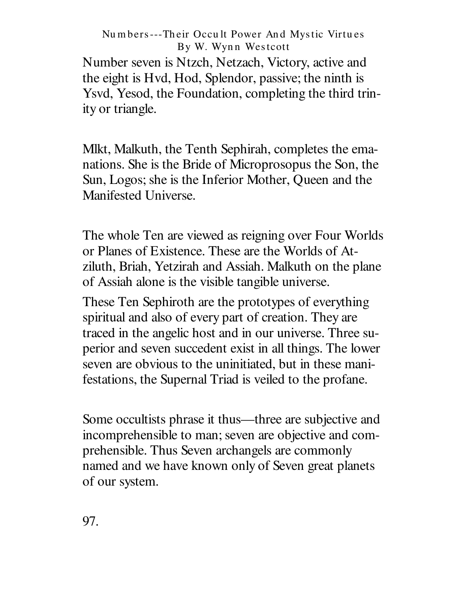Number seven is Ntzch, Netzach, Victory, active and the eight is Hvd, Hod, Splendor, passive; the ninth is Ysvd, Yesod, the Foundation, completing the third trinity or triangle.

Mlkt, Malkuth, the Tenth Sephirah, completes the emanations. She is the Bride of Microprosopus the Son, the Sun, Logos; she is the Inferior Mother, Queen and the Manifested Universe.

The whole Ten are viewed as reigning over Four Worlds or Planes of Existence. These are the Worlds of Atziluth, Briah, Yetzirah and Assiah. Malkuth on the plane of Assiah alone is the visible tangible universe.

These Ten Sephiroth are the prototypes of everything spiritual and also of every part of creation. They are traced in the angelic host and in our universe. Three superior and seven succedent exist in all things. The lower seven are obvious to the uninitiated, but in these manifestations, the Supernal Triad is veiled to the profane.

Some occultists phrase it thus—three are subjective and incomprehensible to man; seven are objective and comprehensible. Thus Seven archangels are commonly named and we have known only of Seven great planets of our system.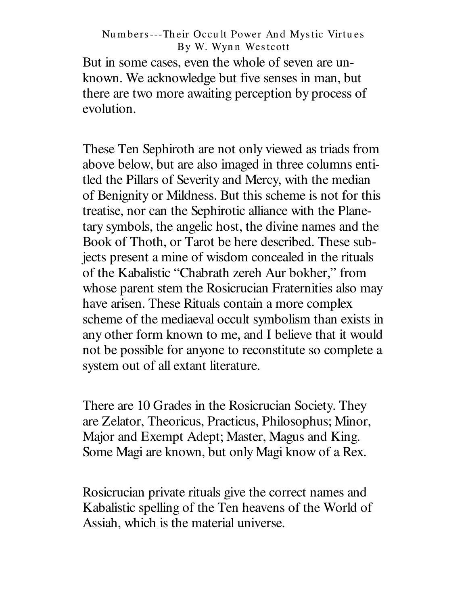But in some cases, even the whole of seven are unknown. We acknowledge but five senses in man, but there are two more awaiting perception by process of evolution.

These Ten Sephiroth are not only viewed as triads from above below, but are also imaged in three columns entitled the Pillars of Severity and Mercy, with the median of Benignity or Mildness. But this scheme is not for this treatise, nor can the Sephirotic alliance with the Planetary symbols, the angelic host, the divine names and the Book of Thoth, or Tarot be here described. These subjects present a mine of wisdom concealed in the rituals of the Kabalistic "Chabrath zereh Aur bokher," from whose parent stem the Rosicrucian Fraternities also may have arisen. These Rituals contain a more complex scheme of the mediaeval occult symbolism than exists in any other form known to me, and I believe that it would not be possible for anyone to reconstitute so complete a system out of all extant literature.

There are 10 Grades in the Rosicrucian Society. They are Zelator, Theoricus, Practicus, Philosophus; Minor, Major and Exempt Adept; Master, Magus and King. Some Magi are known, but only Magi know of a Rex.

Rosicrucian private rituals give the correct names and Kabalistic spelling of the Ten heavens of the World of Assiah, which is the material universe.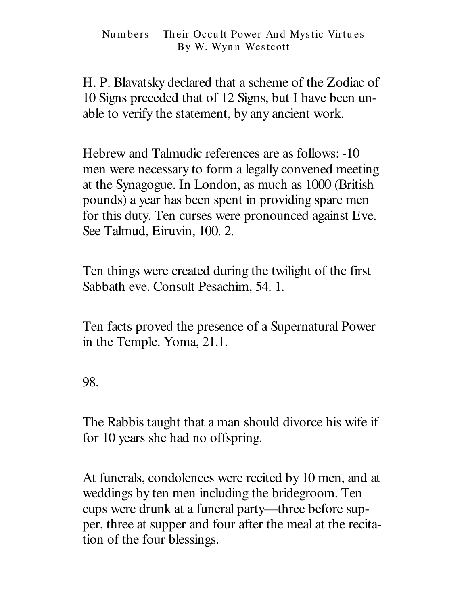H. P. Blavatsky declared that a scheme of the Zodiac of 10 Signs preceded that of 12 Signs, but I have been unable to verify the statement, by any ancient work.

Hebrew and Talmudic references are as follows: -10 men were necessary to form a legally convened meeting at the Synagogue. In London, as much as 1000 (British pounds) a year has been spent in providing spare men for this duty. Ten curses were pronounced against Eve. See Talmud, Eiruvin, 100. 2.

Ten things were created during the twilight of the first Sabbath eve. Consult Pesachim, 54. 1.

Ten facts proved the presence of a Supernatural Power in the Temple. Yoma, 21.1.

98.

The Rabbis taught that a man should divorce his wife if for 10 years she had no offspring.

At funerals, condolences were recited by 10 men, and at weddings by ten men including the bridegroom. Ten cups were drunk at a funeral party— three before supper, three at supper and four after the meal at the recitation of the four blessings.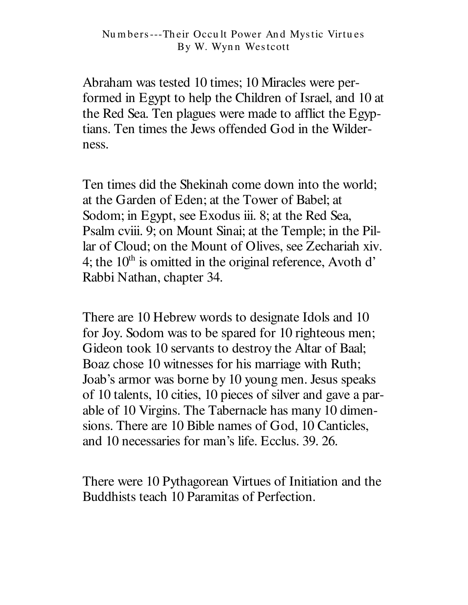Abraham was tested 10 times; 10 Miracles were performed in Egypt to help the Children of Israel, and 10 at the Red Sea. Ten plagues were made to afflict the Egyptians. Ten times the Jews offended God in the Wilderness.

Ten times did the Shekinah come down into the world; at the Garden of Eden; at the Tower of Babel; at Sodom; in Egypt, see Exodus iii. 8; at the Red Sea, Psalm cviii. 9; on Mount Sinai; at the Temple; in the Pillar of Cloud; on the Mount of Olives, see Zechariah xiv. 4; the  $10<sup>th</sup>$  is omitted in the original reference, Avoth d' Rabbi Nathan, chapter 34.

There are 10 Hebrew words to designate Idols and 10 for Joy. Sodom was to be spared for 10 righteous men; Gideon took 10 servants to destroy the Altar of Baal; Boaz chose 10 witnesses for his marriage with Ruth; Joab's armor was borne by 10 young men. Jesus speaks of 10 talents, 10 cities, 10 pieces of silver and gave a parable of 10 Virgins. The Tabernacle has many 10 dimensions. There are 10 Bible names of God, 10 Canticles, and 10 necessaries for man's life. Ecclus. 39. 26.

There were 10 Pythagorean Virtues of Initiation and the Buddhists teach 10 Paramitas of Perfection.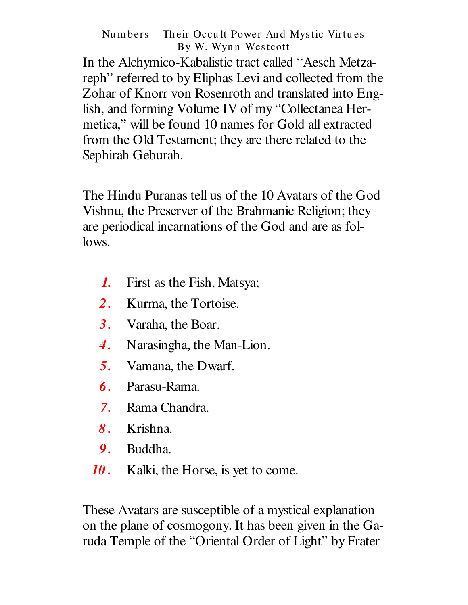In the Alchymico-Kabalistic tract called "Aesch Metzareph" referred to by Eliphas Levi and collected from the Zohar of Knorr von Rosenroth and translated into English, and forming Volume IV of my "Collectanea Hermetica," will be found 10 names for Gold all extracted from the Old Testament; they are there related to the Sephirah Geburah.

The Hindu Puranas tell us of the 10 Avatars of the God Vishnu, the Preserver of the Brahmanic Religion; they are periodical incarnations of the God and are as follows.

- $\boldsymbol{I}$ . First as the Fish, Matsya;
- $2<sub>1</sub>$ Kurma, the Tortoise.
- $3<sub>1</sub>$ Varaha, the Boar.
- Narasingha, the Man-Lion.  $\boldsymbol{4}$ .
- $5<sub>1</sub>$ Vamana, the Dwarf.
- $\boldsymbol{\theta}$ . Parasu-Rama.
- Rama Chandra.  $7.$
- 8. Krishna.
- 9. Buddha.
- 10. Kalki, the Horse, is yet to come.

These Avatars are susceptible of a mystical explanation on the plane of cosmogony. It has been given in the Garuda Temple of the "Oriental Order of Light" by Frater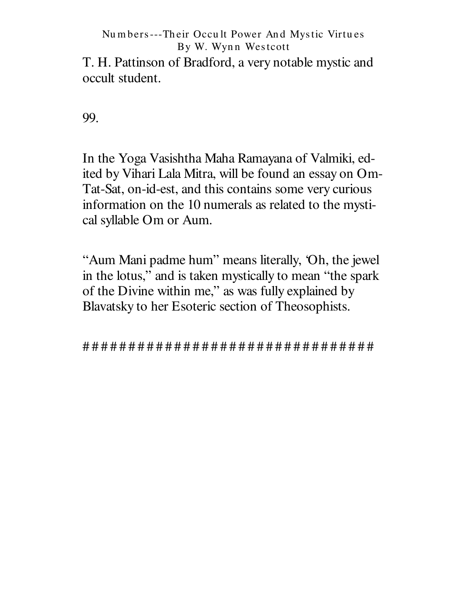T. H. Pattinson of Bradford, a very notable mystic and occult student.

99.

In the Yoga Vasishtha Maha Ramayana of Valmiki, edited by Vihari Lala Mitra, will be found an essay on Om-Tat-Sat, on-id-est, and this contains some very curious information on the 10 numerals as related to the mystical syllable Om or Aum.

"Aum Mani padme hum" means literally, 'Oh, the jewel' in the lotus," and is taken mystically to mean "the spark" of the Divine within me," as was fully explained by Blavatsky to her Esoteric section of Theosophists.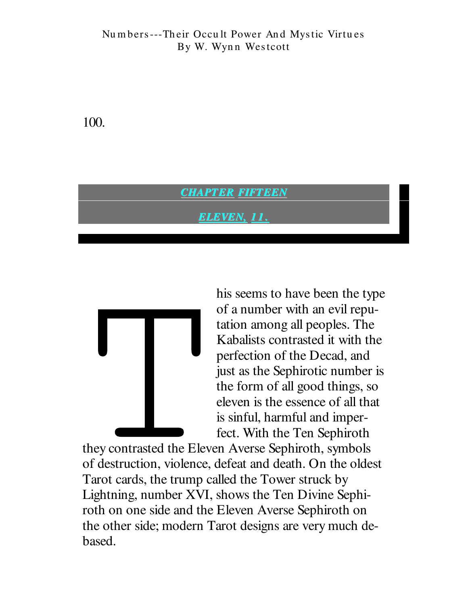100.

### **CHAPTER FIFTEEN**

ELEVEN, 11



his seems to have been the type of a number with an evil reputation among all peoples. The Kabalists contrasted it with the perfection of the Decad, and just as the Sephirotic number is the form of all good things, so eleven is the essence of all that is sinful, harmful and imperfect. With the Ten Sephiroth

they contrasted the Eleven Averse Sephiroth, symbols of destruction, violence, defeat and death. On the oldest Tarot cards, the trump called the Tower struck by Lightning, number XVI, shows the Ten Divine Sephiroth on one side and the Eleven Averse Sephiroth on the other side; modern Tarot designs are very much debased.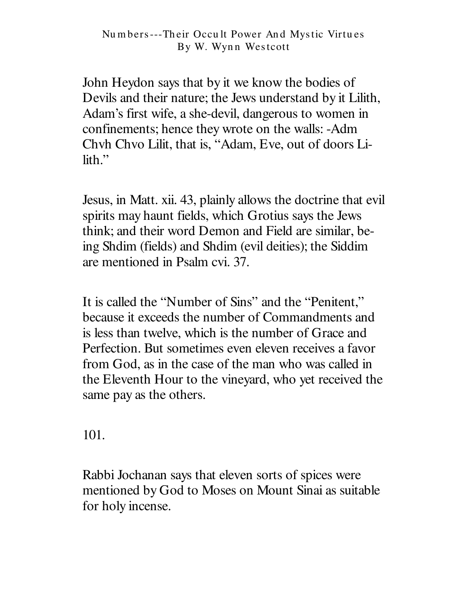John Heydon says that by it we know the bodies of Devils and their nature; the Jews understand by it Lilith, Adam's first wife, a she-devil, dangerous to women in confinements; hence they wrote on the walls: -Adm Chyh Chyo Lilit, that is, "Adam, Eve, out of doors Lilith."

Jesus, in Matt. xii. 43, plainly allows the doctrine that evil spirits may haunt fields, which Grotius says the Jews think; and their word Demon and Field are similar, being Shdim (fields) and Shdim (evil deities); the Siddim are mentioned in Psalm cvi. 37.

It is called the "Number of Sins" and the "Penitent," because it exceeds the number of Commandments and is less than twelve, which is the number of Grace and Perfection. But sometimes even eleven receives a favor from God, as in the case of the man who was called in the Eleventh Hour to the vineyard, who yet received the same pay as the others.

101.

Rabbi Jochanan says that eleven sorts of spices were mentioned by God to Moses on Mount Sinai as suitable for holy incense.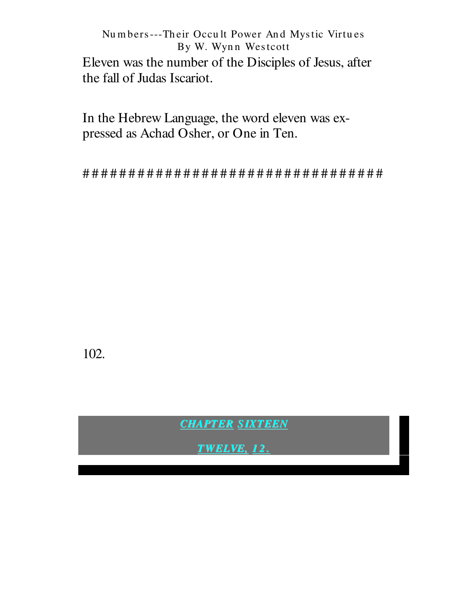Numbers---Their Occult Power And Mystic Virtues By W. Wynn Westcott Eleven was the number of the Disciples of Jesus, after the fall of Judas Iscariot.

In the Hebrew Language, the word eleven was expressed as Achad Osher, or One in Ten.

102.

**CHAPTER SIXTEEN** 

**TWELVE, 12.**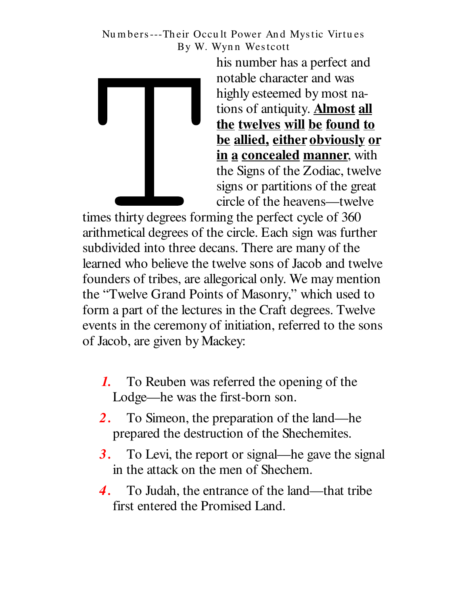

his number has a perfect and notable character and was highly esteemed by most nations of antiquity. **Almost all** the twelves will be found to be allied, either obviously or in a concealed manner, with the Signs of the Zodiac, twelve signs or partitions of the great circle of the heavens—twelve

times thirty degrees forming the perfect cycle of 360 arithmetical degrees of the circle. Each sign was further subdivided into three decans. There are many of the learned who believe the twelve sons of Jacob and twelve founders of tribes, are allegorical only. We may mention the "Twelve Grand Points of Masonry," which used to form a part of the lectures in the Craft degrees. Twelve events in the ceremony of initiation, referred to the sons of Jacob, are given by Mackey:

- To Reuben was referred the opening of the 1. Lodge—he was the first-born son.
- $2.$ To Simeon, the preparation of the land—he prepared the destruction of the Shechemites.
- $3.$ To Levi, the report or signal—he gave the signal in the attack on the men of Shechem.
- To Judah, the entrance of the land—that tribe 4. first entered the Promised Land.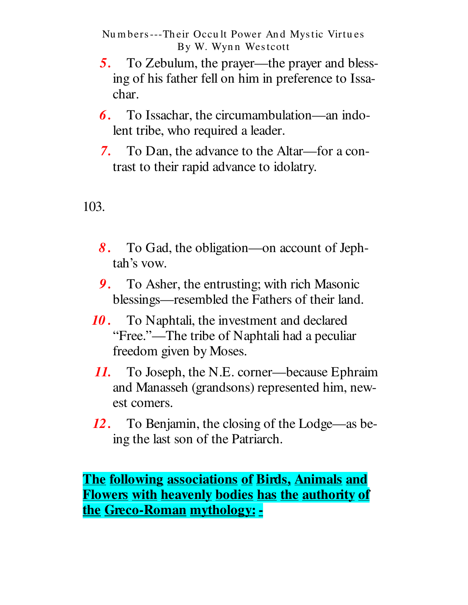- To Zebulum, the prayer—the prayer and bless-5. ing of his father fell on him in preference to Issachar.
- **6.** To Issachar, the circumambulation—an indolent tribe, who required a leader.
- 7. To Dan, the advance to the Altar—for a contrast to their rapid advance to idolatry.

103.

- 8. To Gad, the obligation—on account of Jephtah's vow.
- 9. To Asher, the entrusting; with rich Masonic blessings—resembled the Fathers of their land.
- 10. To Naphtali, the investment and declared "Free."—The tribe of Naphtali had a peculiar freedom given by Moses.
- To Joseph, the N.E. corner—because Ephraim 11. and Manasseh (grandsons) represented him, newest comers.
- 12. To Benjamin, the closing of the Lodge—as being the last son of the Patriarch.

The following associations of Birds, Animals and **Flowers with heavenly bodies has the authority of** the Greco-Roman mythology: -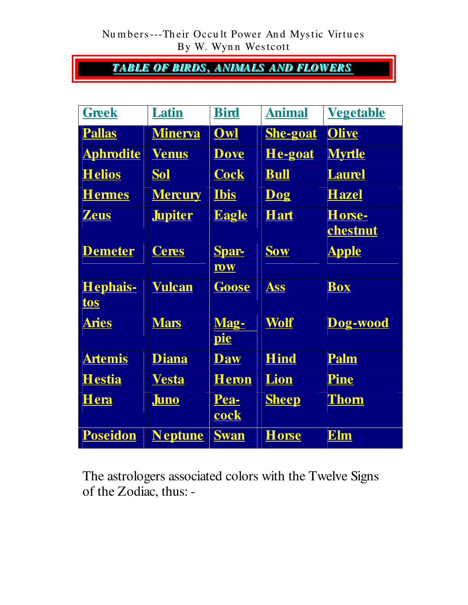### **TABLE OF BIRDS, ANIMALS AND FLOWERS**

| <b>Greek</b>     | Latin          | <b>Bird</b>  | <b>Animal</b>   | <u>Vegetable</u> |
|------------------|----------------|--------------|-----------------|------------------|
| <b>Pallas</b>    | <b>Minerva</b> | Owl          | <b>She-goat</b> | <b>Olive</b>     |
| <b>Aphrodite</b> | <b>Venus</b>   | <u>Dove</u>  | <u>He-goat</u>  | <b>Myrtle</b>    |
| <b>Helios</b>    | <b>Sol</b>     | <b>Cock</b>  | <u>Bull</u>     | <b>Laurel</b>    |
| <b>Hermes</b>    | <b>Mercury</b> | <b>Ibis</b>  | Dog             | <b>Hazel</b>     |
| <b>Zeus</b>      | <b>Jupiter</b> | <b>Eagle</b> | <b>Hart</b>     | Horse-           |
|                  |                |              |                 | chestnut         |
| <b>Demeter</b>   | <b>Ceres</b>   | <b>Spar-</b> | Sow             | <u>Apple</u>     |
|                  |                | <b>row</b>   |                 |                  |
| Hephais-         | <b>Vulcan</b>  | <b>Goose</b> | Ass             | <b>Box</b>       |
| tos              |                |              |                 |                  |
| <b>Aries</b>     | <b>Mars</b>    | Mag-         | Wolf            | Dog-wood         |
|                  |                | <u>pie</u>   |                 |                  |
| <b>Artemis</b>   | <b>Diana</b>   | <b>Daw</b>   | <b>Hind</b>     | <b>Palm</b>      |
| <u>Hestia</u>    | <b>Vesta</b>   | <u>Heron</u> | Lion            | <b>Pine</b>      |
| Hera             | <b>Juno</b>    | Pea-         | <b>Sheep</b>    | <b>Thom</b>      |
|                  |                | <u>cock</u>  |                 |                  |
| Poseidon         | <b>Neptune</b> | <b>Swan</b>  | <b>Horse</b>    | <b>Elm</b>       |

The astrologers associated colors with the Twelve Signs of the Zodiac, thus: -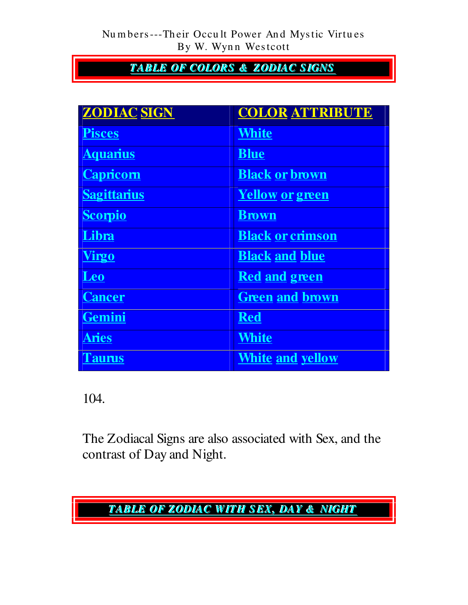### **TABLE OF COLORS & ZODIAC SIGNS**

| <b>ZODIAC SIGN</b> | <b>COLOR ATTRIBUTE</b>  |
|--------------------|-------------------------|
| <b>Pisces</b>      | <b>White</b>            |
| <b>Aquarius</b>    | <b>Blue</b>             |
| <b>Capricorn</b>   | <b>Black or brown</b>   |
| <b>Sagittarius</b> | <u>Yellow or green</u>  |
| <b>Scorpio</b>     | <b>Brown</b>            |
| Libra              | <b>Black or crimson</b> |
| <b>Virgo</b>       | <b>Black and blue</b>   |
| Leo                | <b>Red and green</b>    |
| <b>Cancer</b>      | <b>Green and brown</b>  |
| Gemini             | <b>Red</b>              |
| <b>Aries</b>       | <b>White</b>            |
| <b>l'aurus</b>     | <u>White and yellow</u> |

104.

The Zodiacal Signs are also associated with Sex, and the contrast of Day and Night.

# TABLE OF ZODIAC WITH SEX, DAY & NIGHT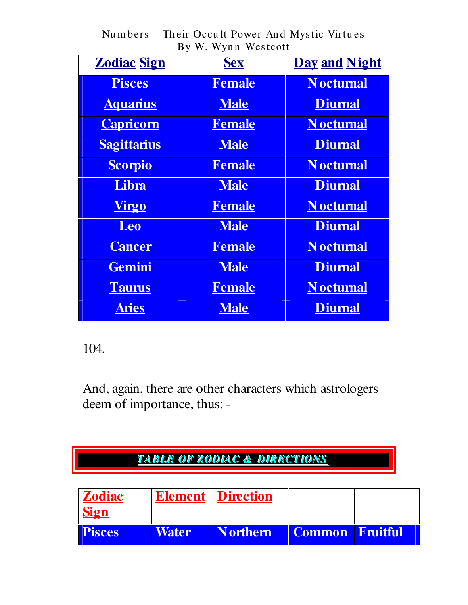| $\cdots$ , $\cdots$ , $\cdots$ , $\cdots$ |               |                      |
|-------------------------------------------|---------------|----------------------|
| <b>Zodiac Sign</b>                        | <b>Sex</b>    | <b>Day and Night</b> |
| <b>Pisces</b>                             | <b>Female</b> | <b>Noctumal</b>      |
| <b>Aquarius</b>                           | <b>Male</b>   | <b>Diumal</b>        |
| <b>Capricorn</b>                          | <b>Female</b> | <b>Noctumal</b>      |
| <b>Sagittarius</b>                        | <b>Male</b>   | <b>Diumal</b>        |
| <b>Scorpio</b>                            | <b>Female</b> | <b>Noctumal</b>      |
| Libra                                     | <b>Male</b>   | <b>Diumal</b>        |
| <u>Virgo</u>                              | <b>Female</b> | <b>Noctumal</b>      |
| <b>Leo</b>                                | <b>Male</b>   | <b>Diumal</b>        |
| <b>Cancer</b>                             | <b>Female</b> | <b>Noctumal</b>      |
| Gemini                                    | <b>Male</b>   | <b>Diumal</b>        |
| <b>Taurus</b>                             | <b>Female</b> | <b>Noctumal</b>      |
| <b>Aries</b>                              | <b>Male</b>   | <b>Diumal</b>        |

104.

And, again, there are other characters which astrologers deem of importance, thus: -

# **TABLE OF ZODIAC & DIRECTIONS**

| <b>Zodiac</b><br><b>Sign</b> |              | <b>Element Direction</b> |                        |  |
|------------------------------|--------------|--------------------------|------------------------|--|
| <b>Pisces</b>                | <b>Water</b> | <b>Northern</b>          | <b>Common Fruitful</b> |  |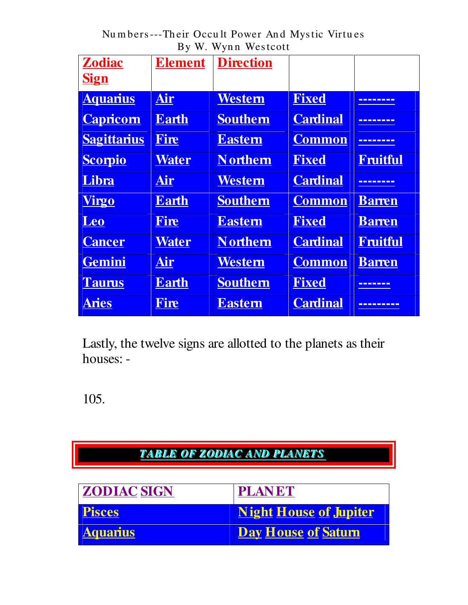Numbers---Their Occult Power And Mystic Virtues By W. Wynn Westcott

| <b>Zodiac</b><br><b>Sign</b> | <b>Element</b> | <b>Direction</b> |                 |                 |
|------------------------------|----------------|------------------|-----------------|-----------------|
| <b>Aquarius</b>              | Air            | <b>Western</b>   | <b>Fixed</b>    | --------        |
| <b>Capricorn</b>             | <b>Earth</b>   | <b>Southern</b>  | <b>Cardinal</b> | --------        |
| <b>Sagittarius</b>           | Fire           | <b>Eastern</b>   | <b>Common</b>   |                 |
| <b>Scorpio</b>               | <b>Water</b>   | <b>Northern</b>  | <b>Fixed</b>    | <b>Fruitful</b> |
| Libra                        | Air            | Western          | <b>Cardinal</b> | --------        |
| <b>Virgo</b>                 | <b>Earth</b>   | <b>Southern</b>  | <b>Common</b>   | <b>Barren</b>   |
| Leo                          | Fire           | <b>Eastem</b>    | <b>Fixed</b>    | <b>Barren</b>   |
| <b>Cancer</b>                | Water          | <b>Northern</b>  | <b>Cardinal</b> | <b>Fruitful</b> |
| Gemini                       | Air            | Western          | <b>Common</b>   | <b>Barren</b>   |
| <b>Taurus</b>                | <b>Earth</b>   | <b>Southern</b>  | <b>Fixed</b>    | -------         |
| <b>Aries</b>                 | Fire           | <b>Eastern</b>   | <b>Cardinal</b> |                 |

Lastly, the twelve signs are allotted to the planets as their houses: -

105.

# **TABLE OF ZODIAC AND PLANETS**

| <b>ZODIAC SIGN</b> | <b>PLANET</b>                 |
|--------------------|-------------------------------|
| <b>Pisces</b>      | <b>Night House of Jupiter</b> |
| <b>Aquarius</b>    | <b>Day House of Saturn</b>    |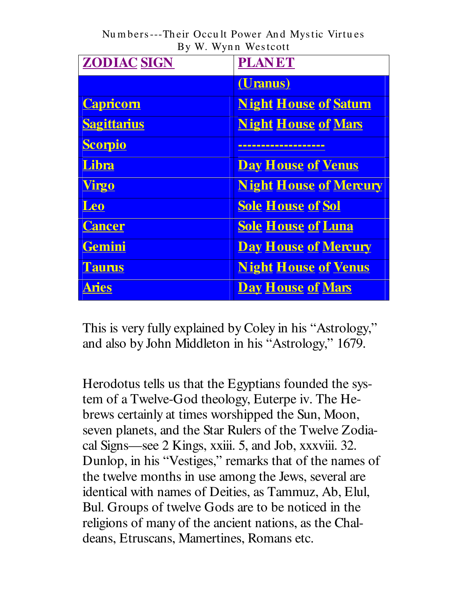| <b>ZODIAC SIGN</b> | <b>PLANET</b>                 |
|--------------------|-------------------------------|
|                    | (Uranus)                      |
| <b>Capricorn</b>   | <b>Night House of Saturn</b>  |
| <b>Sagittarius</b> | <b>Night House of Mars</b>    |
| <b>Scorpio</b>     |                               |
| Libra              | <b>Day House of Venus</b>     |
| <b>Virgo</b>       | <b>Night House of Mercury</b> |
| <b>Leo</b>         | <b>Sole House of Sol</b>      |
| <b>Cancer</b>      | <b>Sole House of Luna</b>     |
| Gemini             | <b>Day House of Mercury</b>   |
| <b>Taurus</b>      | <b>Night House of Venus</b>   |
| Aries              | <b>Day House of Mars</b>      |

This is very fully explained by Coley in his "Astrology," and also by John Middleton in his "Astrology," 1679.

Herodotus tells us that the Egyptians founded the system of a Twelve-God theology, Euterpe iv. The Hebrews certainly at times worshipped the Sun, Moon, seven planets, and the Star Rulers of the Twelve Zodiacal Signs—see 2 Kings, xxiii. 5, and Job, xxxviii. 32. Dunlop, in his "Vestiges," remarks that of the names of the twelve months in use among the Jews, several are identical with names of Deities, as Tammuz, Ab, Elul, Bul. Groups of twelve Gods are to be noticed in the religions of many of the ancient nations, as the Chaldeans, Etruscans, Mamertines, Romans etc.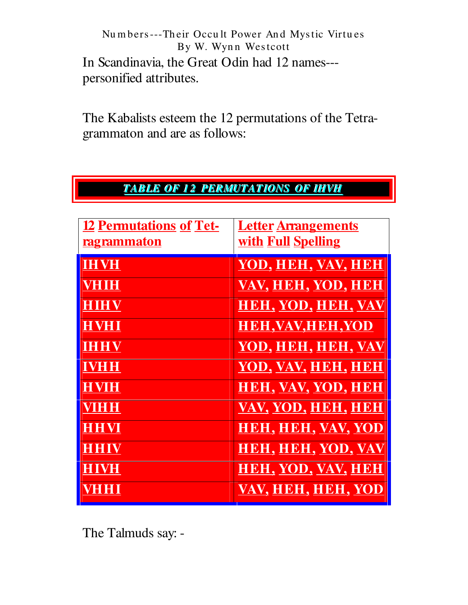Numbers---Their Occult Power And Mystic Virtues By W. Wynn Westcott In Scandinavia, the Great Odin had 12 names--personified attributes.

The Kabalists esteem the 12 permutations of the Tetragrammaton and are as follows:

|  |  | TABLE OF 12 PERMUTATIONS OF IHVH |  |
|--|--|----------------------------------|--|
|--|--|----------------------------------|--|

| <b>12 Permutations of Tet-</b><br><u>ragrammaton</u> | <b>Letter Arrangements</b><br><b>with Full Spelling</b> |
|------------------------------------------------------|---------------------------------------------------------|
| <b>IHVH</b>                                          | <u>YOD, HEH, VAV, HEH</u>                               |
| <b>VHIH</b>                                          | <u>VAV, HEH, YOD, HEH</u>                               |
| HIHV                                                 | <b>HEH, YOD, HEH, VAV</b>                               |
| <b>HVHI</b>                                          | <b>HEH, VAV, HEH, YOD</b>                               |
| <b>IHHV</b>                                          | <u>YOD, HEH, HEH, VAV</u>                               |
| <b>IVHH</b>                                          | YOD, VAV, HEH, HEH                                      |
| <b>HVIH</b>                                          | <b>HEH, VAV, YOD, HEH</b>                               |
| <b>VIHH</b>                                          | VAV, YOD, HEH, HEH                                      |
| <b>HHVI</b>                                          | HEH, HEH, VAV, YOO                                      |
| HHIV                                                 | <u>HEH, HEH, YOD, VAV</u>                               |
| <b>HIVH</b>                                          | <u>HEH, YOD, VAV, HEH</u>                               |
| VHHI                                                 | VAV, HEH, HEH, YOD                                      |

The Talmuds say: -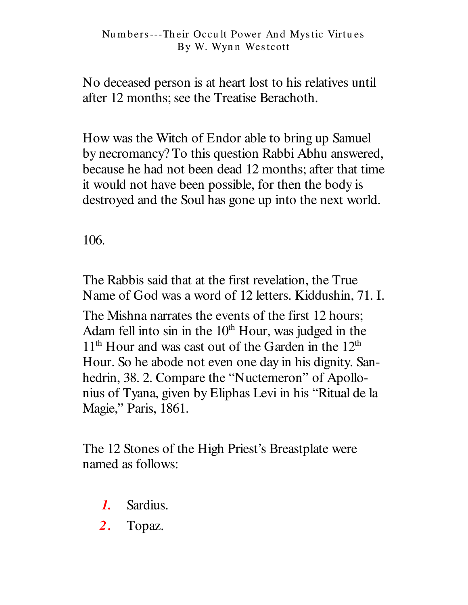No deceased person is at heart lost to his relatives until after 12 months; see the Treatise Berachoth.

How was the Witch of Endor able to bring up Samuel by necromancy? To this question Rabbi Abhu answered, because he had not been dead 12 months; after that time it would not have been possible, for then the body is destroyed and the Soul has gone up into the next world.

106.

The Rabbis said that at the first revelation, the True Name of God was a word of 12 letters. Kiddushin, 71. I.

The Mishna narrates the events of the first 12 hours: Adam fell into sin in the  $10<sup>th</sup>$  Hour, was judged in the  $11<sup>th</sup>$  Hour and was cast out of the Garden in the  $12<sup>th</sup>$ Hour. So he abode not even one day in his dignity. Sanhedrin, 38. 2. Compare the "Nuctemeron" of Apollonius of Tyana, given by Eliphas Levi in his "Ritual de la Magie," Paris, 1861.

The 12 Stones of the High Priest's Breastplate were named as follows:

- Sardius.  $\bm{l}$ .
- $2.$ Topaz.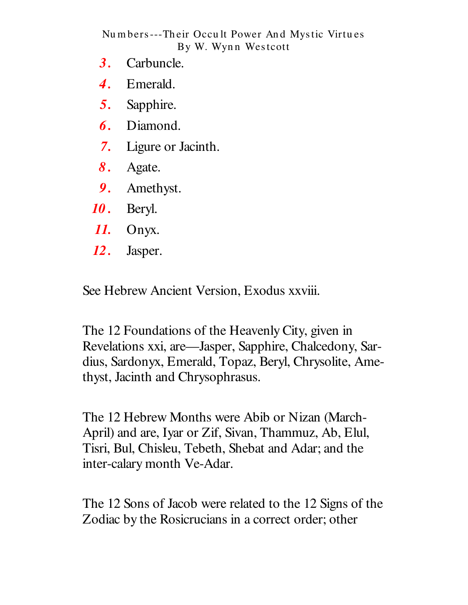- $3.$ Carbuncle.
- Emerald.  $\boldsymbol{4}$ .
- 5. Sapphire.
- Diamond. 6.
- $7.$ Ligure or Jacinth.
- 8. Agate.
- 9. Amethyst.
- 10. Beryl.
- 11. Onyx.
- 12. Jasper.

See Hebrew Ancient Version, Exodus xxviii.

The 12 Foundations of the Heavenly City, given in Revelations xxi, are—Jasper, Sapphire, Chalcedony, Sardius, Sardonyx, Emerald, Topaz, Beryl, Chrysolite, Amethyst, Jacinth and Chrysophrasus.

The 12 Hebrew Months were Abib or Nizan (March-April) and are, Iyar or Zif, Sivan, Thammuz, Ab, Elul, Tisri, Bul, Chisleu, Tebeth, Shebat and Adar; and the inter-calary month Ve-Adar.

The 12 Sons of Jacob were related to the 12 Signs of the Zodiac by the Rosicrucians in a correct order; other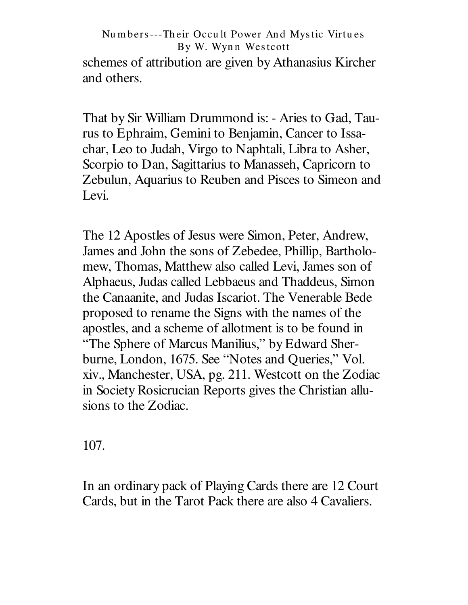schemes of attribution are given by Athanasius Kircher and others.

That by Sir William Drummond is: - Aries to Gad, Taurus to Ephraim, Gemini to Benjamin, Cancer to Issachar, Leo to Judah, Virgo to Naphtali, Libra to Asher, Scorpio to Dan, Sagittarius to Manasseh, Capricorn to Zebulun, Aquarius to Reuben and Pisces to Simeon and Levi.

The 12 Apostles of Jesus were Simon, Peter, Andrew, James and John the sons of Zebedee, Phillip, Bartholomew, Thomas, Matthew also called Levi, James son of Alphaeus, Judas called Lebbaeus and Thaddeus, Simon the Canaanite, and Judas Iscariot. The Venerable Bede proposed to rename the Signs with the names of the apostles, and a scheme of allotment is to be found in "The Sphere of Marcus Manilius," by Edward Sherburne, London, 1675. See "Notes and Queries," Vol. xiv., Manchester, USA, pg. 211. Westcott on the Zodiac in Society Rosicrucian Reports gives the Christian allusions to the Zodiac.

107.

In an ordinary pack of Playing Cards there are 12 Court Cards, but in the Tarot Pack there are also 4 Cavaliers.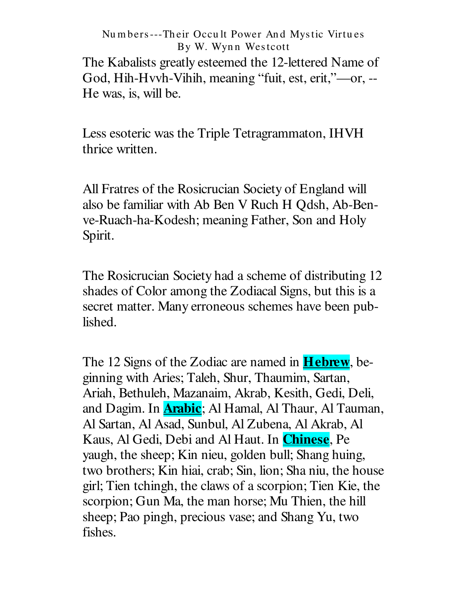The Kabalists greatly esteemed the 12-lettered Name of God, Hih-Hvvh-Vihih, meaning "fuit, est, erit,"---or, --He was, is, will be.

Less esoteric was the Triple Tetragrammaton, IHVH thrice written.

All Fratres of the Rosicrucian Society of England will also be familiar with Ab Ben V Ruch H Qdsh, Ab-Benve-Ruach-ha-Kodesh; meaning Father, Son and Holy Spirit.

The Rosicrucian Society had a scheme of distributing 12 shades of Color among the Zodiacal Signs, but this is a secret matter. Many erroneous schemes have been published.

The 12 Signs of the Zodiac are named in **Hebrew**, beginning with Aries; Taleh, Shur, Thaumim, Sartan, Ariah, Bethuleh, Mazanaim, Akrab, Kesith, Gedi, Deli, and Dagim. In **Arabic**; Al Hamal, Al Thaur, Al Tauman, Al Sartan, Al Asad, Sunbul, Al Zubena, Al Akrab, Al Kaus, Al Gedi, Debi and Al Haut. In **Chinese**, Pe yaugh, the sheep; Kin nieu, golden bull; Shang huing, two brothers; Kin hiai, crab; Sin, lion; Sha niu, the house girl; Tien tchingh, the claws of a scorpion; Tien Kie, the scorpion; Gun Ma, the man horse; Mu Thien, the hill sheep; Pao pingh, precious vase; and Shang Yu, two fishes.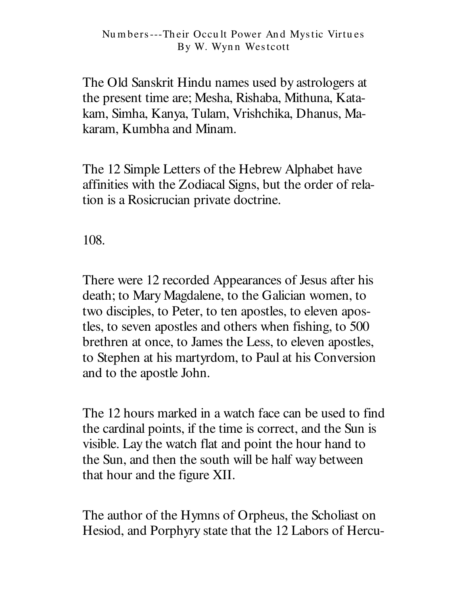The Old Sanskrit Hindu names used by astrologers at the present time are; Mesha, Rishaba, Mithuna, Katakam, Simha, Kanya, Tulam, Vrishchika, Dhanus, Makaram, Kumbha and Minam.

The 12 Simple Letters of the Hebrew Alphabet have affinities with the Zodiacal Signs, but the order of relation is a Rosicrucian private doctrine.

108.

There were 12 recorded Appearances of Jesus after his death; to Mary Magdalene, to the Galician women, to two disciples, to Peter, to ten apostles, to eleven apostles, to seven apostles and others when fishing, to 500 brethren at once, to James the Less, to eleven apostles, to Stephen at his martyrdom, to Paul at his Conversion and to the apostle John.

The 12 hours marked in a watch face can be used to find the cardinal points, if the time is correct, and the Sun is visible. Lay the watch flat and point the hour hand to the Sun, and then the south will be half way between that hour and the figure XII.

The author of the Hymns of Orpheus, the Scholiast on Hesiod, and Porphyry state that the 12 Labors of Hercu-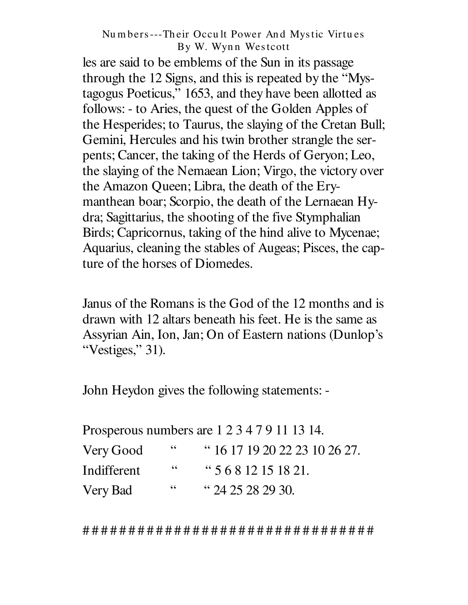les are said to be emblems of the Sun in its passage through the 12 Signs, and this is repeated by the "Mystagogus Poeticus," 1653, and they have been allotted as follows: - to Aries, the quest of the Golden Apples of the Hesperides; to Taurus, the slaying of the Cretan Bull; Gemini, Hercules and his twin brother strangle the serpents; Cancer, the taking of the Herds of Geryon; Leo, the slaying of the Nemaean Lion; Virgo, the victory over the Amazon Queen; Libra, the death of the Erymanthean boar; Scorpio, the death of the Lernaean Hydra; Sagittarius, the shooting of the five Stymphalian Birds; Capricornus, taking of the hind alive to Mycenae; Aquarius, cleaning the stables of Augeas; Pisces, the capture of the horses of Diomedes.

Janus of the Romans is the God of the 12 months and is drawn with 12 altars beneath his feet. He is the same as Assyrian Ain, Ion, Jan; On of Eastern nations (Dunlop's "Vestiges," 31).

John Heydon gives the following statements: -

| Prosperous numbers are 1 2 3 4 7 9 11 13 14. |    |                               |
|----------------------------------------------|----|-------------------------------|
| Very Good                                    | 66 | " 16 17 19 20 22 23 10 26 27. |
| Indifferent                                  | 66 | $\cdot$ 5 6 8 12 15 18 21.    |
| Very Bad                                     | 66 | " 24 25 28 29 30.             |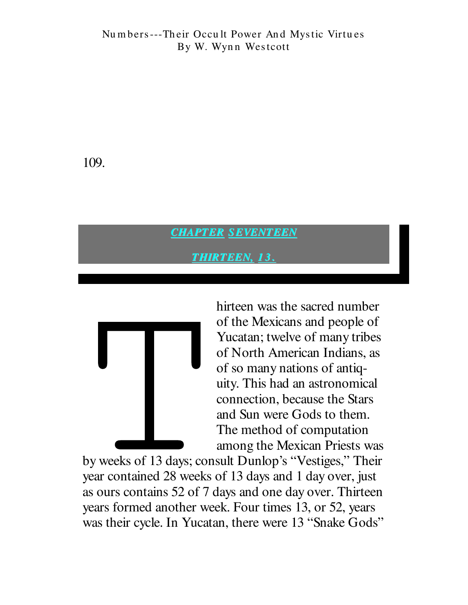109.

### **CHAPTER SEVENTEEN**

**THIRTEEN, 13.** 



hirteen was the sacred number of the Mexicans and people of Yucatan; twelve of many tribes of North American Indians, as of so many nations of antiquity. This had an astronomical connection, because the Stars and Sun were Gods to them. The method of computation among the Mexican Priests was

by weeks of 13 days; consult Dunlop's "Vestiges," Their year contained 28 weeks of 13 days and 1 day over, just as ours contains 52 of 7 days and one day over. Thirteen years formed another week. Four times 13, or 52, years was their cycle. In Yucatan, there were 13 "Snake Gods"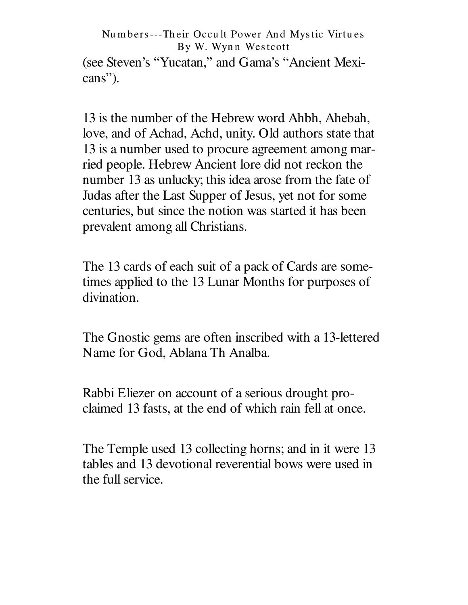(see Steven's "Yucatan," and Gama's "Ancient Mexicans").

13 is the number of the Hebrew word Ahbh, Ahebah, love, and of Achad, Achd, unity. Old authors state that 13 is a number used to procure agreement among married people. Hebrew Ancient lore did not reckon the number 13 as unlucky; this idea arose from the fate of Judas after the Last Supper of Jesus, yet not for some centuries, but since the notion was started it has been prevalent among all Christians.

The 13 cards of each suit of a pack of Cards are sometimes applied to the 13 Lunar Months for purposes of divination.

The Gnostic gems are often inscribed with a 13-lettered Name for God, Ablana Th Analba.

Rabbi Eliezer on account of a serious drought proclaimed 13 fasts, at the end of which rain fell at once.

The Temple used 13 collecting horns; and in it were 13 tables and 13 devotional reverential bows were used in the full service.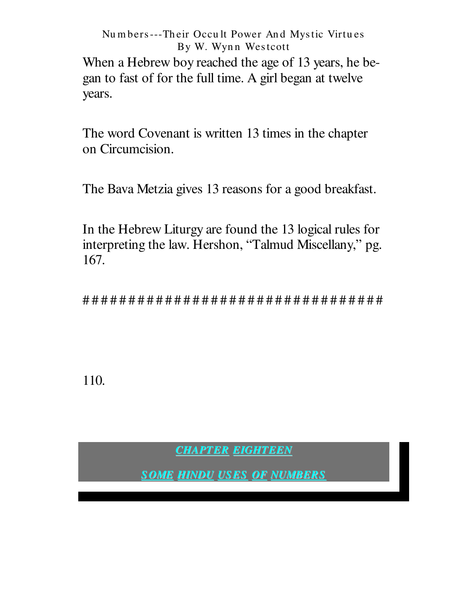When a Hebrew boy reached the age of 13 years, he began to fast of for the full time. A girl began at twelve years.

The word Covenant is written 13 times in the chapter on Circumcision.

The Bava Metzia gives 13 reasons for a good breakfast.

In the Hebrew Liturgy are found the 13 logical rules for interpreting the law. Hershon, "Talmud Miscellany," pg. 167.

110.

**CHAPTER EIGHTEEN** 

**SOME HINDU USES OF NUMBERS**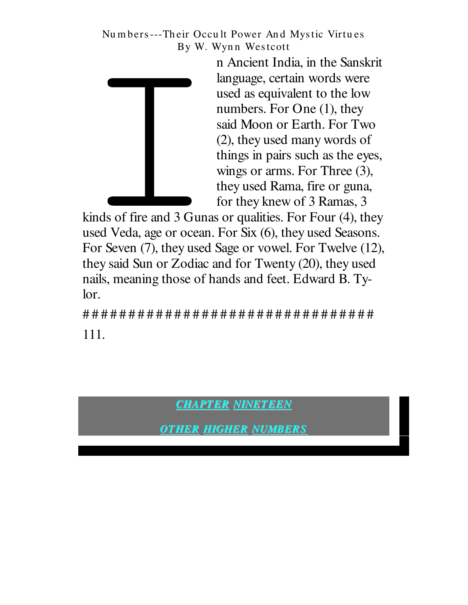

n Ancient India, in the Sanskrit language, certain words were used as equivalent to the low numbers. For One  $(1)$ , they said Moon or Earth. For Two (2), they used many words of things in pairs such as the eyes, wings or arms. For Three (3), they used Rama, fire or guna, for they knew of 3 Ramas, 3

kinds of fire and 3 Gunas or qualities. For Four (4), they used Veda, age or ocean. For Six (6), they used Seasons. For Seven (7), they used Sage or vowel. For Twelve (12), they said Sun or Zodiac and for Twenty (20), they used nails, meaning those of hands and feet. Edward B. Tylor.

111.

**CHAPTER NINETEEN** 

**OTHER HIGHER NUMBERS**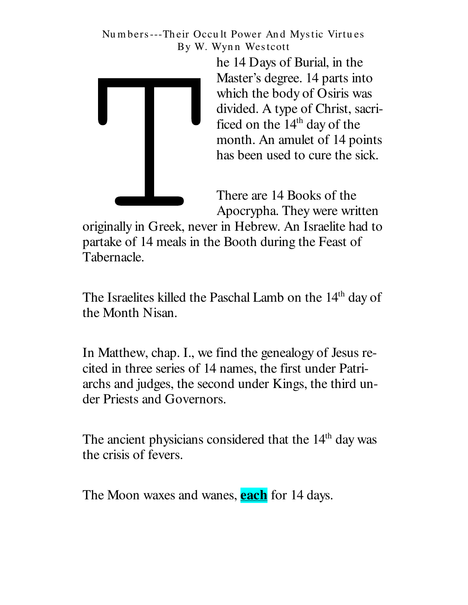

he 14 Days of Burial, in the Master's degree. 14 parts into which the body of Osiris was divided. A type of Christ, sacrificed on the 14<sup>th</sup> day of the month. An amulet of 14 points has been used to cure the sick.

There are 14 Books of the Apocrypha. They were written

originally in Greek, never in Hebrew. An Israelite had to partake of 14 meals in the Booth during the Feast of Tabernacle.

The Israelites killed the Paschal Lamb on the 14<sup>th</sup> day of the Month Nisan.

In Matthew, chap. I., we find the genealogy of Jesus recited in three series of 14 names, the first under Patriarchs and judges, the second under Kings, the third under Priests and Governors.

The ancient physicians considered that the 14<sup>th</sup> day was the crisis of fevers.

The Moon waxes and wanes, **each** for 14 days.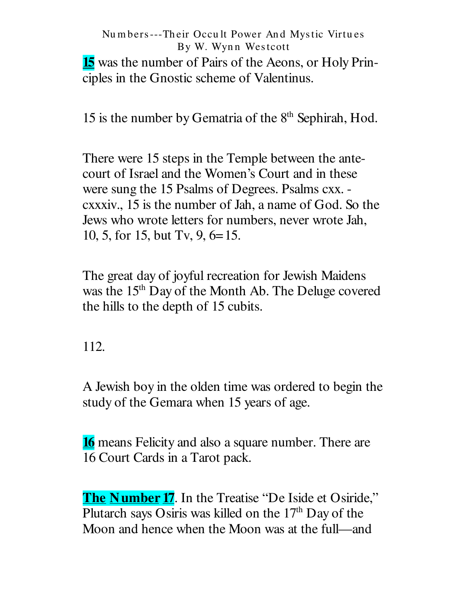**15** was the number of Pairs of the Aeons, or Holy Principles in the Gnostic scheme of Valentinus.

15 is the number by Gematria of the 8<sup>th</sup> Sephirah, Hod.

There were 15 steps in the Temple between the antecourt of Israel and the Women's Court and in these were sung the 15 Psalms of Degrees. Psalms cxx. exativ., 15 is the number of Jah, a name of God. So the Jews who wrote letters for numbers, never wrote Jah, 10, 5, for 15, but Tv, 9, 6=15.

The great day of joyful recreation for Jewish Maidens was the 15<sup>th</sup> Day of the Month Ab. The Deluge covered the hills to the depth of 15 cubits.

112.

A Jewish boy in the olden time was ordered to begin the study of the Gemara when 15 years of age.

**16** means Felicity and also a square number. There are 16 Court Cards in a Tarot pack.

**The Number 17.** In the Treatise "De Iside et Osiride," Plutarch says Osiris was killed on the 17<sup>th</sup> Day of the Moon and hence when the Moon was at the full—and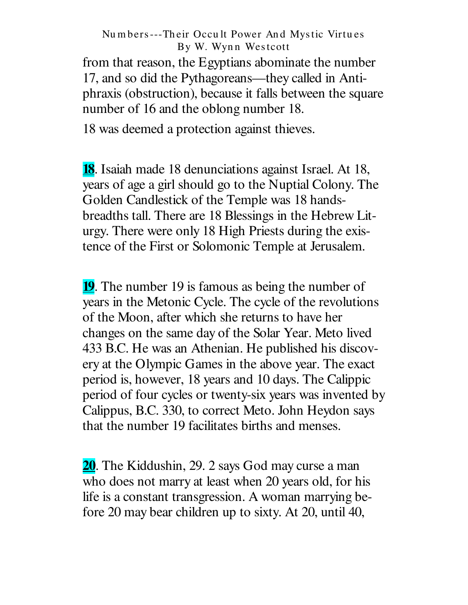from that reason, the Egyptians abominate the number 17, and so did the Pythagoreans— they called in Antiphraxis (obstruction), because it falls between the square number of 16 and the oblong number 18.

18 was deemed a protection against thieves.

**18**. Isaiah made 18 denunciations against Israel. At 18, years of age a girl should go to the Nuptial Colony. The Golden Candlestick of the Temple was 18 handsbreadths tall. There are 18 Blessings in the Hebrew Liturgy. There were only 18 High Priests during the existence of the First or Solomonic Temple at Jerusalem.

**19**. The number 19 is famous as being the number of years in the Metonic Cycle. The cycle of the revolutions of the Moon, after which she returns to have her changes on the same day of the Solar Year. Meto lived 433 B.C. He was an Athenian. He published his discovery at the Olympic Games in the above year. The exact period is, however, 18 years and 10 days. The Calippic period of four cycles or twenty-six years was invented by Calippus, B.C. 330, to correct Meto. John Heydon says that the number 19 facilitates births and menses.

**20**. The Kiddushin, 29. 2 says God may curse a man who does not marry at least when 20 years old, for his life is a constant transgression. A woman marrying before 20 may bear children up to sixty. At 20, until 40,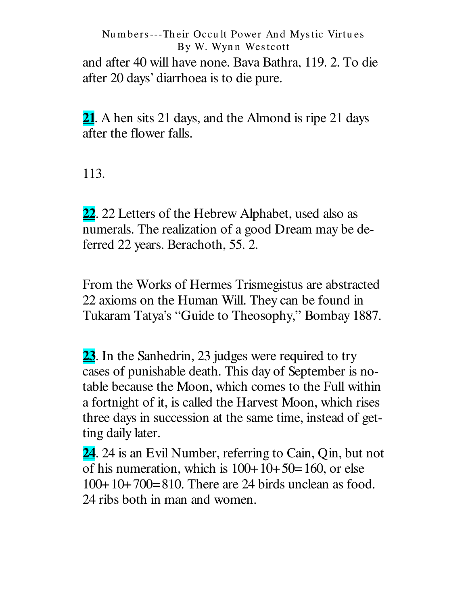Nu m bers---Th eir Occu lt Power An d Mystic Virtu es By W. Wynn Westcott and after 40 will have none. Bava Bathra, 119. 2. To die after 20 days' diarrhoea is to die pure.

**21**. A hen sits 21 days, and the Almond is ripe 21 days after the flower falls.

113.

**22**. 22 Letters of the Hebrew Alphabet, used also as numerals. The realization of a good Dream may be deferred 22 years. Berachoth, 55. 2.

From the Works of Hermes Trismegistus are abstracted 22 axioms on the Human Will. They can be found in Tukaram Tatya's "Guide to Theosophy," Bombay 1887.

**23**. In the Sanhedrin, 23 judges were required to try cases of punishable death. This day of September is notable because the Moon, which comes to the Full within a fortnight of it, is called the Harvest Moon, which rises three days in succession at the same time, instead of getting daily later.

**24**. 24 is an Evil Number, referring to Cain, Qin, but not of his numeration, which is  $100+10+50=160$ , or else 100+10+700=810. There are 24 birds unclean as food. 24 ribs both in man and women.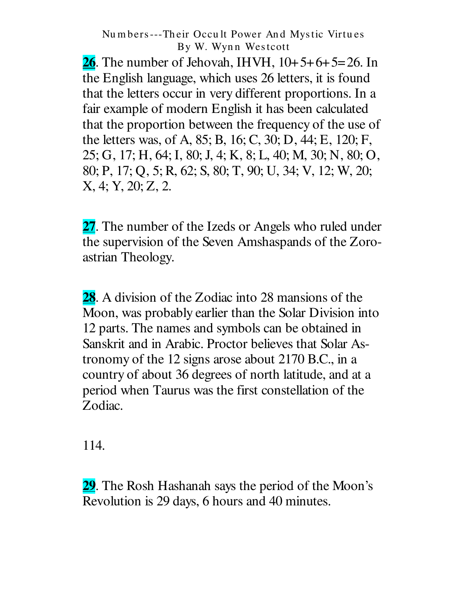**26.** The number of Jehovah, IHVH,  $10+5+6+5=26$ . In the English language, which uses 26 letters, it is found that the letters occur in very different proportions. In a fair example of modern English it has been calculated that the proportion between the frequency of the use of the letters was, of A, 85; B, 16; C, 30; D, 44; E, 120; F, 25; G, 17; H, 64; I, 80; J, 4; K, 8; L, 40; M, 30; N, 80; O, 80; P, 17; Q, 5; R, 62; S, 80; T, 90; U, 34; V, 12; W, 20; X, 4; Y, 20; Z, 2.

27. The number of the Izeds or Angels who ruled under the supervision of the Seven Amshaspands of the Zoroastrian Theology.

**28.** A division of the Zodiac into 28 mansions of the Moon, was probably earlier than the Solar Division into 12 parts. The names and symbols can be obtained in Sanskrit and in Arabic. Proctor believes that Solar Astronomy of the 12 signs arose about 2170 B.C., in a country of about 36 degrees of north latitude, and at a period when Taurus was the first constellation of the Zodiac.

114.

29. The Rosh Hashanah says the period of the Moon's Revolution is 29 days, 6 hours and 40 minutes.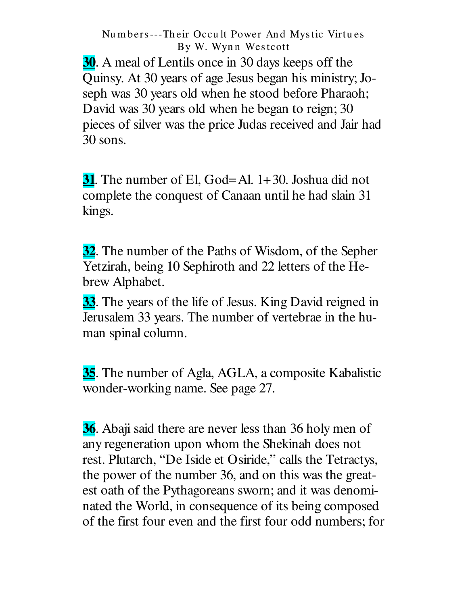**30.** A meal of Lentils once in 30 days keeps off the Quinsy. At 30 years of age Jesus began his ministry; Joseph was 30 years old when he stood before Pharaoh; David was 30 years old when he began to reign; 30 pieces of silver was the price Judas received and Jair had 30 sons.

**31.** The number of El, God=Al.  $1+30$ . Joshua did not complete the conquest of Canaan until he had slain 31 kings.

32. The number of the Paths of Wisdom, of the Sepher Yetzirah, being 10 Sephiroth and 22 letters of the Hebrew Alphabet.

33. The years of the life of Jesus. King David reigned in Jerusalem 33 years. The number of vertebrae in the human spinal column.

35. The number of Agla, AGLA, a composite Kabalistic wonder-working name. See page 27.

36. Abaji said there are never less than 36 holy men of any regeneration upon whom the Shekinah does not rest. Plutarch, "De Iside et Osiride," calls the Tetractys, the power of the number 36, and on this was the greatest oath of the Pythagoreans sworn; and it was denominated the World, in consequence of its being composed of the first four even and the first four odd numbers; for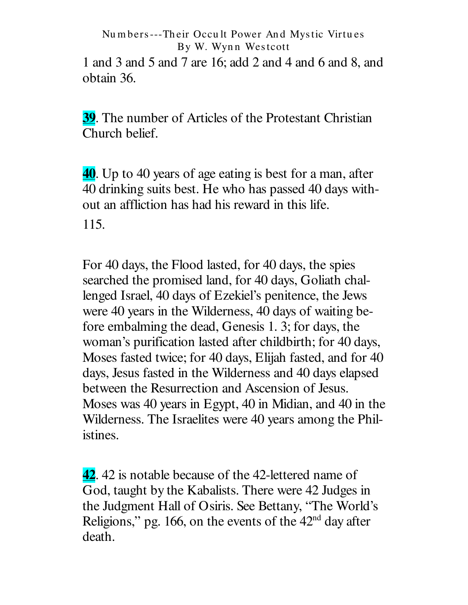1 and 3 and 5 and 7 are 16; add 2 and 4 and 6 and 8, and obtain 36.

**39.** The number of Articles of the Protestant Christian Church belief.

40. Up to 40 years of age eating is best for a man, after 40 drinking suits best. He who has passed 40 days without an affliction has had his reward in this life. 115.

For 40 days, the Flood lasted, for 40 days, the spies searched the promised land, for 40 days, Goliath challenged Israel, 40 days of Ezekiel's penitence, the Jews were 40 years in the Wilderness, 40 days of waiting before embalming the dead, Genesis 1. 3; for days, the woman's purification lasted after childbirth; for 40 days, Moses fasted twice; for 40 days, Elijah fasted, and for 40 days, Jesus fasted in the Wilderness and 40 days elapsed between the Resurrection and Ascension of Jesus. Moses was 40 years in Egypt, 40 in Midian, and 40 in the Wilderness. The Israelites were 40 years among the Philistines.

42. 42 is notable because of the 42-lettered name of God, taught by the Kabalists. There were 42 Judges in the Judgment Hall of Osiris. See Bettany, "The World's Religions," pg. 166, on the events of the  $42<sup>nd</sup>$  day after death.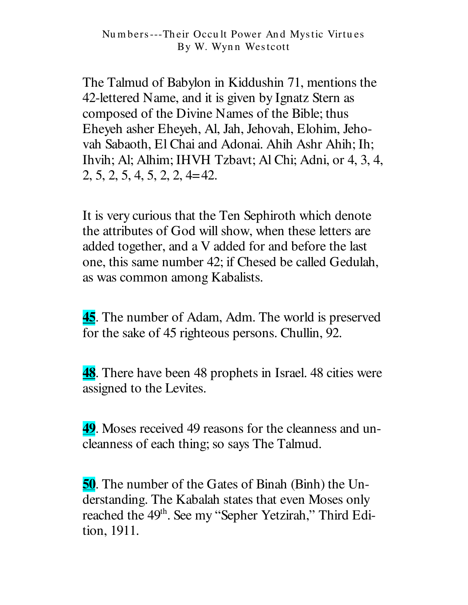The Talmud of Babylon in Kiddushin 71, mentions the 42-lettered Name, and it is given by Ignatz Stern as composed of the Divine Names of the Bible; thus Eheyeh asher Eheyeh, Al, Jah, Jehovah, Elohim, Jehovah Sabaoth, El Chai and Adonai. Ahih Ashr Ahih; Ih; Ihvih; Al; Alhim; IHVH Tzbavt; Al Chi; Adni, or 4, 3, 4,  $2, 5, 2, 5, 4, 5, 2, 2, 4 = 42.$ 

It is very curious that the Ten Sephiroth which denote the attributes of God will show, when these letters are added together, and a V added for and before the last one, this same number 42; if Chesed be called Gedulah, as was common among Kabalists.

**45.** The number of Adam, Adm. The world is preserved for the sake of 45 righteous persons. Chullin, 92.

**48.** There have been 48 prophets in Israel. 48 cities were assigned to the Levites.

49. Moses received 49 reasons for the cleanness and uncleanness of each thing; so says The Talmud.

50. The number of the Gates of Binah (Binh) the Understanding. The Kabalah states that even Moses only reached the 49<sup>th</sup>. See my "Sepher Yetzirah," Third Edition, 1911.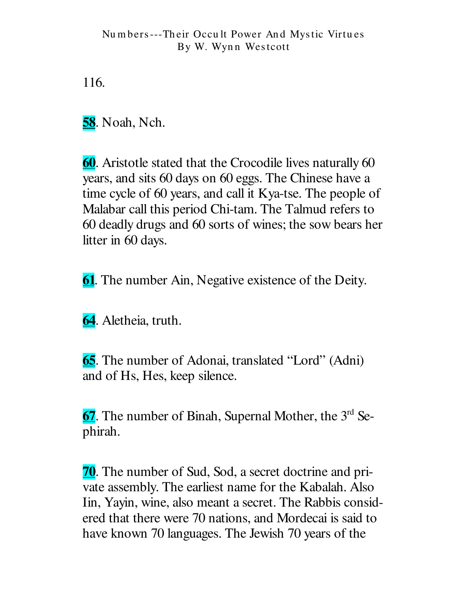116.

**58**. Noah, Nch.

60. Aristotle stated that the Crocodile lives naturally 60 years, and sits 60 days on 60 eggs. The Chinese have a time cycle of 60 years, and call it Kya-tse. The people of Malabar call this period Chi-tam. The Talmud refers to 60 deadly drugs and 60 sorts of wines; the sow bears her litter in 60 days.

**61.** The number Ain, Negative existence of the Deity.

64. Aletheia, truth.

**65.** The number of Adonai, translated "Lord" (Adni) and of Hs, Hes, keep silence.

67. The number of Binah, Supernal Mother, the 3<sup>rd</sup> Sephirah.

**70.** The number of Sud, Sod, a secret doctrine and private assembly. The earliest name for the Kabalah. Also Iin, Yayin, wine, also meant a secret. The Rabbis considered that there were 70 nations, and Mordecai is said to have known 70 languages. The Jewish 70 years of the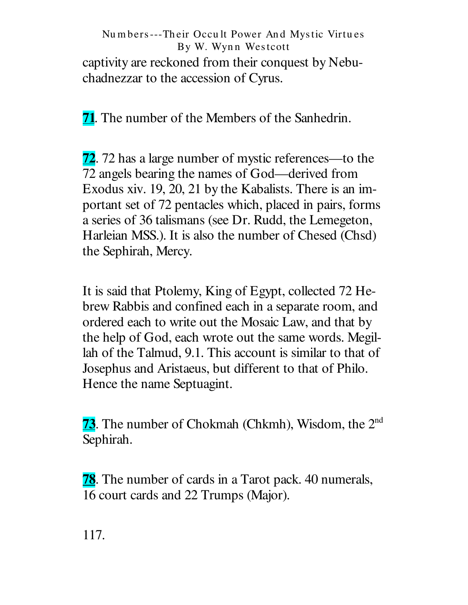captivity are reckoned from their conquest by Nebuchadnezzar to the accession of Cyrus.

**71.** The number of the Members of the Sanhedrin.

**72.** 72 has a large number of mystic references—to the 72 angels bearing the names of God—derived from Exodus xiv. 19, 20, 21 by the Kabalists. There is an important set of 72 pentacles which, placed in pairs, forms a series of 36 talismans (see Dr. Rudd, the Lemegeton, Harleian MSS.). It is also the number of Chesed (Chsd) the Sephirah, Mercy.

It is said that Ptolemy, King of Egypt, collected 72 Hebrew Rabbis and confined each in a separate room, and ordered each to write out the Mosaic Law, and that by the help of God, each wrote out the same words. Megillah of the Talmud, 9.1. This account is similar to that of Josephus and Aristaeus, but different to that of Philo. Hence the name Septuagint.

**73.** The number of Chokmah (Chkmh), Wisdom, the  $2<sup>nd</sup>$ Sephirah.

**78.** The number of cards in a Tarot pack. 40 numerals, 16 court cards and 22 Trumps (Major).

117.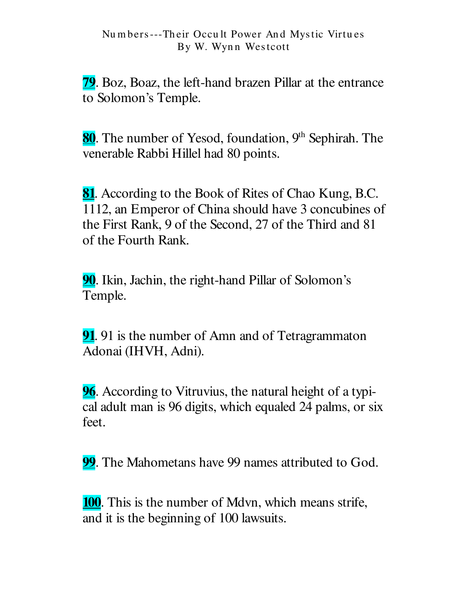79. Boz, Boaz, the left-hand brazen Pillar at the entrance to Solomon's Temple.

80. The number of Yesod, foundation, 9<sup>th</sup> Sephirah. The venerable Rabbi Hillel had 80 points.

**81.** According to the Book of Rites of Chao Kung, B.C. 1112, an Emperor of China should have 3 concubines of the First Rank, 9 of the Second, 27 of the Third and 81 of the Fourth Rank.

**90.** Ikin, Jachin, the right-hand Pillar of Solomon's Temple.

91. 91 is the number of Amn and of Tetragrammaton Adonai (IHVH, Adni).

**96.** According to Vitruvius, the natural height of a typical adult man is 96 digits, which equaled 24 palms, or six feet.

**99.** The Mahometans have 99 names attributed to God.

**100.** This is the number of Mdvn, which means strife, and it is the beginning of 100 lawsuits.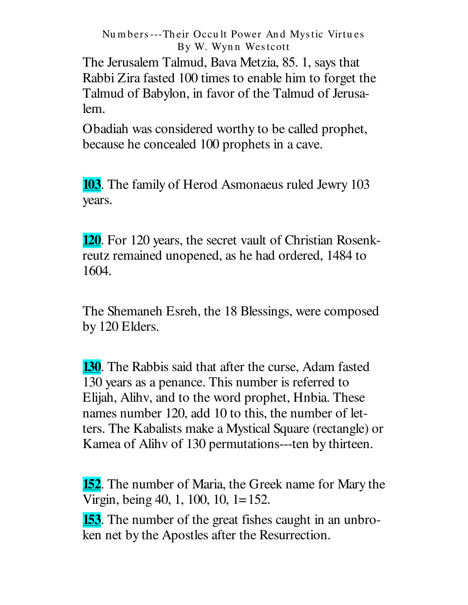The Jerusalem Talmud, Bava Metzia, 85. 1, says that Rabbi Zira fasted 100 times to enable him to forget the Talmud of Babylon, in favor of the Talmud of Jerusalem.

Obadiah was considered worthy to be called prophet, because he concealed 100 prophets in a cave.

**103.** The family of Herod Asmonaeus ruled Jewry 103 years.

**120.** For 120 years, the secret vault of Christian Rosenkreutz remained unopened, as he had ordered, 1484 to 1604.

The Shemaneh Esreh, the 18 Blessings, were composed by 120 Elders.

**130**. The Rabbis said that after the curse, Adam fasted 130 years as a penance. This number is referred to Elijah, Alihy, and to the word prophet, Hnbia. These names number 120, add 10 to this, the number of letters. The Kabalists make a Mystical Square (rectangle) or Kamea of Alihy of 130 permutations---ten by thirteen.

**152.** The number of Maria, the Greek name for Mary the Virgin, being 40, 1, 100, 10, 1=152.

**153.** The number of the great fishes caught in an unbroken net by the Apostles after the Resurrection.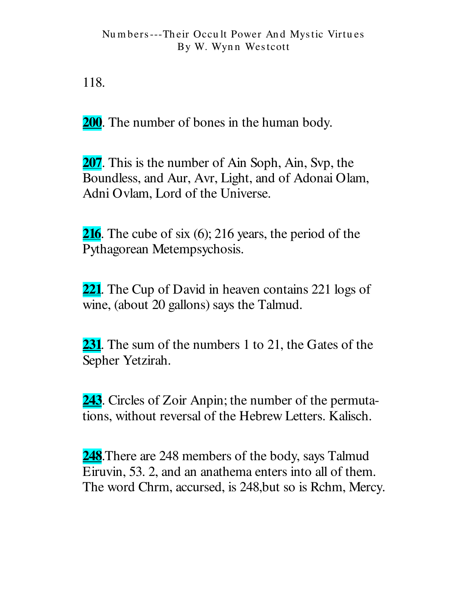118.

**200**. The number of bones in the human body.

**207.** This is the number of Ain Soph, Ain, Svp, the Boundless, and Aur, Avr, Light, and of Adonai Olam, Adni Ovlam, Lord of the Universe.

**216**. The cube of six  $(6)$ ; 216 years, the period of the Pythagorean Metempsychosis.

221. The Cup of David in heaven contains 221 logs of wine, (about 20 gallons) says the Talmud.

**231.** The sum of the numbers 1 to 21, the Gates of the Sepher Yetzirah.

243. Circles of Zoir Anpin; the number of the permutations, without reversal of the Hebrew Letters. Kalisch.

**248**. There are 248 members of the body, says Talmud Eiruvin, 53. 2, and an anathema enters into all of them. The word Chrm, accursed, is 248, but so is Rchm, Mercy.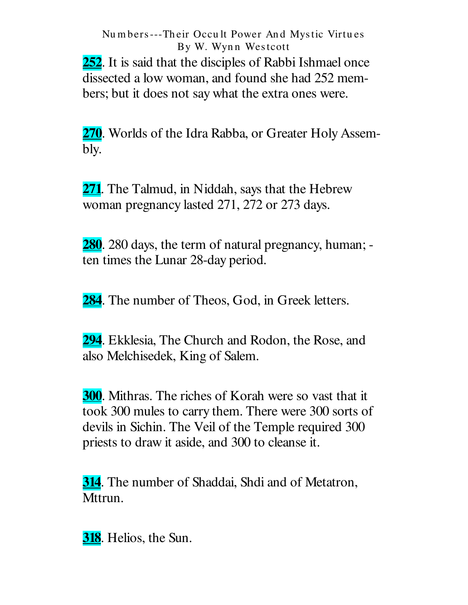**252**. It is said that the disciples of Rabbi Ishmael once dissected a low woman, and found she had 252 members; but it does not say what the extra ones were.

**270**. Worlds of the Idra Rabba, or Greater Holy Assembly.

**271**. The Talmud, in Niddah, says that the Hebrew woman pregnancy lasted 271, 272 or 273 days.

**280**. 280 days, the term of natural pregnancy, human; ten times the Lunar 28-day period.

**284**. The number of Theos, God, in Greek letters.

**294**. Ekklesia, The Church and Rodon, the Rose, and also Melchisedek, King of Salem.

**300**. Mithras. The riches of Korah were so vast that it took 300 mules to carry them. There were 300 sorts of devils in Sichin. The Veil of the Temple required 300 priests to draw it aside, and 300 to cleanse it.

**314**. The number of Shaddai, Shdi and of Metatron, Mttrun.

**318**. Helios, the Sun.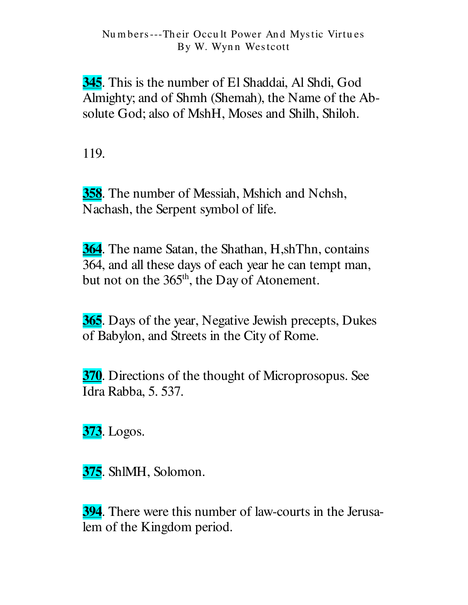**345**. This is the number of El Shaddai, Al Shdi, God Almighty; and of Shmh (Shemah), the Name of the Absolute God; also of MshH, Moses and Shilh, Shiloh.

119.

358. The number of Messiah, Mshich and Nchsh, Nachash, the Serpent symbol of life.

**364.** The name Satan, the Shathan, H,shThn, contains 364, and all these days of each year he can tempt man, but not on the 365<sup>th</sup>, the Day of Atonement.

**365.** Days of the year, Negative Jewish precepts, Dukes of Babylon, and Streets in the City of Rome.

370. Directions of the thought of Microprosopus. See Idra Rabba, 5. 537.

**373.** Logos.

375. ShlMH, Solomon.

**394.** There were this number of law-courts in the Jerusalem of the Kingdom period.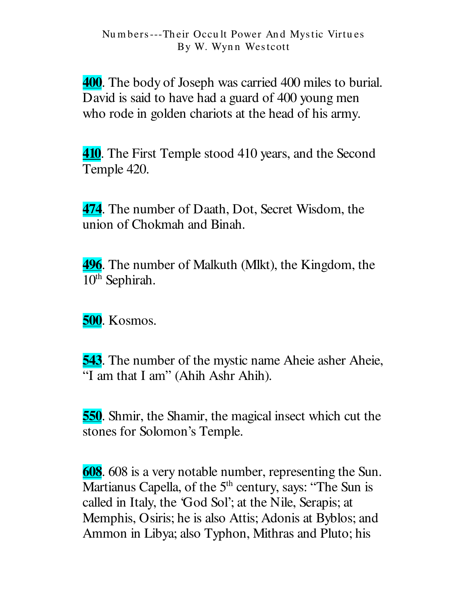400. The body of Joseph was carried 400 miles to burial. David is said to have had a guard of 400 young men who rode in golden chariots at the head of his army.

**410.** The First Temple stood 410 years, and the Second Temple 420.

474. The number of Daath, Dot, Secret Wisdom, the union of Chokmah and Binah.

**496.** The number of Malkuth (Mlkt), the Kingdom, the 10<sup>th</sup> Sephirah.

**500.** Kosmos.

**543.** The number of the mystic name Aheie asher Aheie, "I am that I am" (Ahih Ashr Ahih).

**550**. Shmir, the Shamir, the magical insect which cut the stones for Solomon's Temple.

608. 608 is a very notable number, representing the Sun. Martianus Capella, of the 5<sup>th</sup> century, says: "The Sun is called in Italy, the 'God Sol'; at the Nile, Serapis; at Memphis, Osiris; he is also Attis; Adonis at Byblos; and Ammon in Libya; also Typhon, Mithras and Pluto; his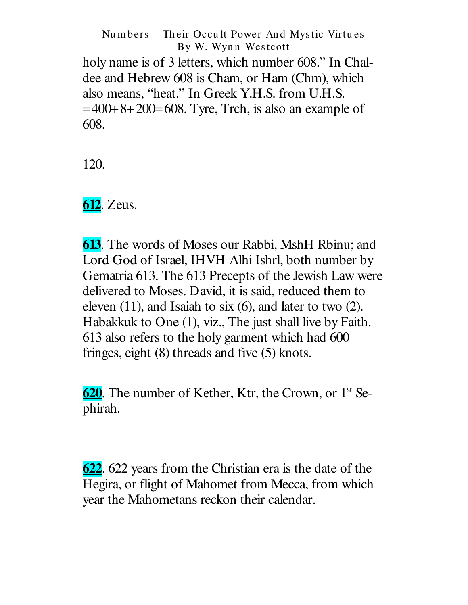holy name is of 3 letters, which number 608." In Chaldee and Hebrew 608 is Cham, or Ham (Chm), which also means, " heat." In Greek Y.H.S. from U.H.S.  $=400+8+200=608$ . Tyre, Trch, is also an example of 608.

120.

**612**. Zeus.

**613**. The words of Moses our Rabbi, MshH Rbinu; and Lord God of Israel, IHVH Alhi Ishrl, both number by Gematria 613. The 613 Precepts of the Jewish Law were delivered to Moses. David, it is said, reduced them to eleven (11), and Isaiah to six (6), and later to two (2). Habakkuk to One (1), viz., The just shall live by Faith. 613 also refers to the holy garment which had 600 fringes, eight (8) threads and five (5) knots.

620. The number of Kether, Ktr, the Crown, or 1<sup>st</sup> Sephirah.

**622**. 622 years from the Christian era is the date of the Hegira, or flight of Mahomet from Mecca, from which year the Mahometans reckon their calendar.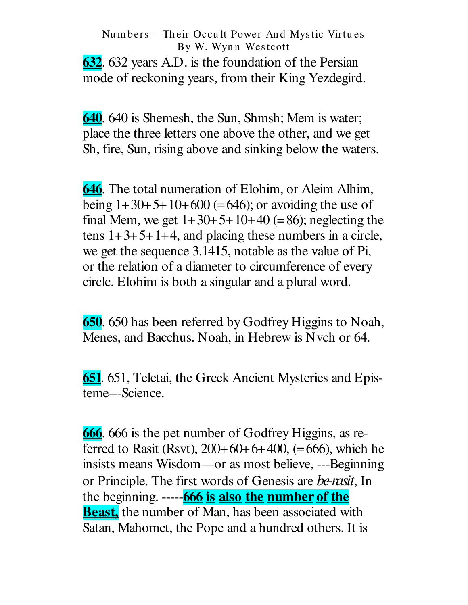**632.** 632 years A.D. is the foundation of the Persian mode of reckoning years, from their King Yezdegird.

640. 640 is Shemesh, the Sun, Shmsh; Mem is water; place the three letters one above the other, and we get Sh, fire, Sun, rising above and sinking below the waters.

**646.** The total numeration of Elohim, or Aleim Alhim, being  $1+30+5+10+600$  (=646); or avoiding the use of final Mem, we get  $1+30+5+10+40$  (=86); neglecting the tens  $1+3+5+1+4$ , and placing these numbers in a circle, we get the sequence 3.1415, notable as the value of Pi, or the relation of a diameter to circumference of every circle. Elohim is both a singular and a plural word.

650. 650 has been referred by Godfrey Higgins to Noah, Menes, and Bacchus. Noah, in Hebrew is Nvch or 64.

**651.** 651, Teletai, the Greek Ancient Mysteries and Episteme---Science.

**666.** 666 is the pet number of Godfrey Higgins, as referred to Rasit (Rsvt),  $200+60+6+400$ , (=666), which he insists means Wisdom—or as most believe, ---Beginning or Principle. The first words of Genesis are be-rasit, In the beginning. -----**666 is also the number of the Beast**, the number of Man, has been associated with Satan, Mahomet, the Pope and a hundred others. It is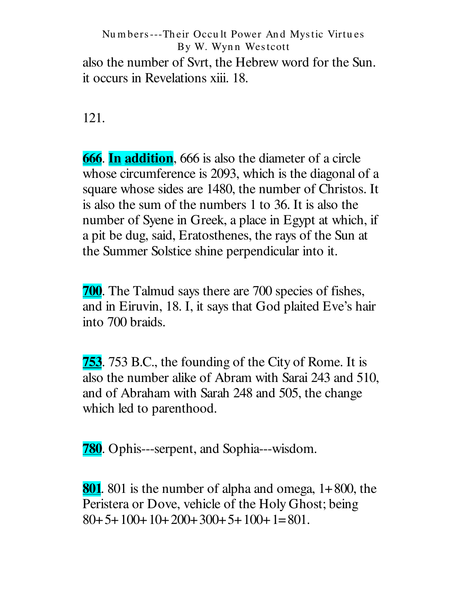Numbers---Their Occult Power And Mystic Virtues By W. Wynn Westcott also the number of Syrt, the Hebrew word for the Sun. it occurs in Revelations xiii. 18.

121.

**666.** In **addition**, 666 is also the diameter of a circle whose circumference is 2093, which is the diagonal of a square whose sides are 1480, the number of Christos. It is also the sum of the numbers 1 to 36. It is also the number of Syene in Greek, a place in Egypt at which, if a pit be dug, said, Eratosthenes, the rays of the Sun at the Summer Solstice shine perpendicular into it.

**700.** The Talmud says there are 700 species of fishes, and in Eiruvin, 18. I, it says that God plaited Eve's hair into 700 braids.

**753**. 753 B.C., the founding of the City of Rome. It is also the number alike of Abram with Sarai 243 and 510, and of Abraham with Sarah 248 and 505, the change which led to parenthood.

**780.** Ophis---serpent, and Sophia---wisdom.

**801**. 801 is the number of alpha and omega,  $1+800$ , the Peristera or Dove, vehicle of the Holy Ghost; being  $80+5+100+10+200+300+5+100+1=801$ .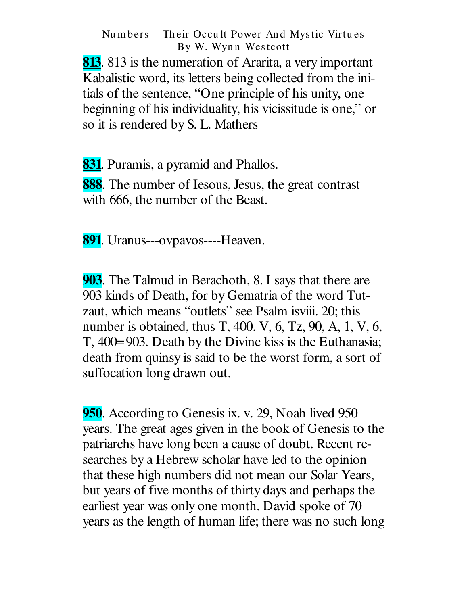**813.** 813 is the numeration of Ararita, a very important Kabalistic word, its letters being collected from the initials of the sentence, "One principle of his unity, one beginning of his individuality, his vicissitude is one," or so it is rendered by S. L. Mathers

**831.** Puramis, a pyramid and Phallos.

888. The number of Iesous, Jesus, the great contrast with 666, the number of the Beast.

891. Uranus---ovpavos----Heaven.

**903.** The Talmud in Berachoth, 8. I says that there are 903 kinds of Death, for by Gematria of the word Tutzaut, which means "outlets" see Psalm is viii. 20; this number is obtained, thus T, 400. V, 6, Tz, 90, A, 1, V, 6, T, 400=903. Death by the Divine kiss is the Euthanasia; death from quinsy is said to be the worst form, a sort of suffocation long drawn out.

950. According to Genesis ix. v. 29, Noah lived 950 years. The great ages given in the book of Genesis to the patriarchs have long been a cause of doubt. Recent researches by a Hebrew scholar have led to the opinion that these high numbers did not mean our Solar Years, but years of five months of thirty days and perhaps the earliest year was only one month. David spoke of 70 years as the length of human life; there was no such long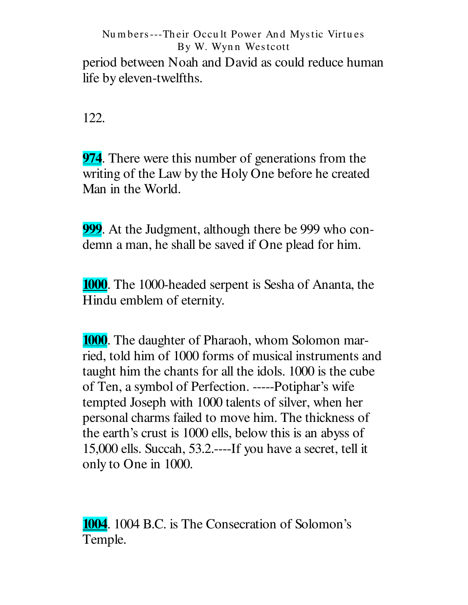period between Noah and David as could reduce human life by eleven-twelfths.

122.

**974.** There were this number of generations from the writing of the Law by the Holy One before he created Man in the World.

999. At the Judgment, although there be 999 who condemn a man, he shall be saved if One plead for him.

**1000.** The 1000-headed serpent is Sesha of Ananta, the Hindu emblem of eternity.

**1000.** The daughter of Pharaoh, whom Solomon married, told him of 1000 forms of musical instruments and taught him the chants for all the idols. 1000 is the cube of Ten, a symbol of Perfection. -----Potiphar's wife tempted Joseph with 1000 talents of silver, when her personal charms failed to move him. The thickness of the earth's crust is 1000 ells, below this is an abyss of 15,000 ells. Succah, 53.2 .---- If you have a secret, tell it only to One in 1000.

**1004.** 1004 B.C. is The Consecration of Solomon's Temple.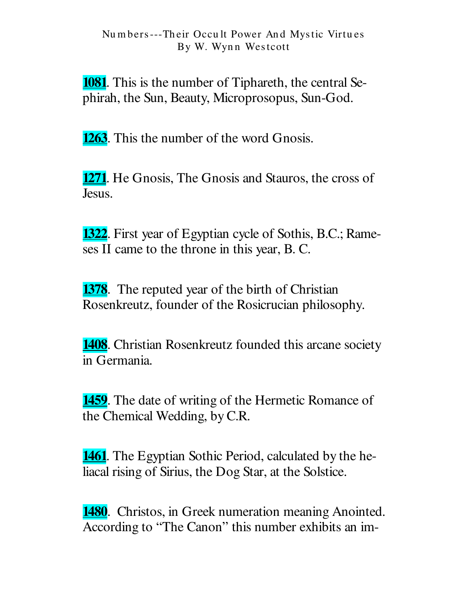**1081.** This is the number of Tiphareth, the central Sephirah, the Sun, Beauty, Microprosopus, Sun-God.

**1263.** This the number of the word Gnosis.

**1271.** He Gnosis, The Gnosis and Stauros, the cross of Jesus.

**1322.** First year of Egyptian cycle of Sothis, B.C.; Rameses II came to the throne in this year, B. C.

**1378.** The reputed year of the birth of Christian Rosenkreutz, founder of the Rosicrucian philosophy.

**1408.** Christian Rosenkreutz founded this arcane society in Germania.

**1459.** The date of writing of the Hermetic Romance of the Chemical Wedding, by C.R.

**1461.** The Egyptian Sothic Period, calculated by the heliacal rising of Sirius, the Dog Star, at the Solstice.

**1480.** Christos, in Greek numeration meaning Anointed. According to "The Canon" this number exhibits an im-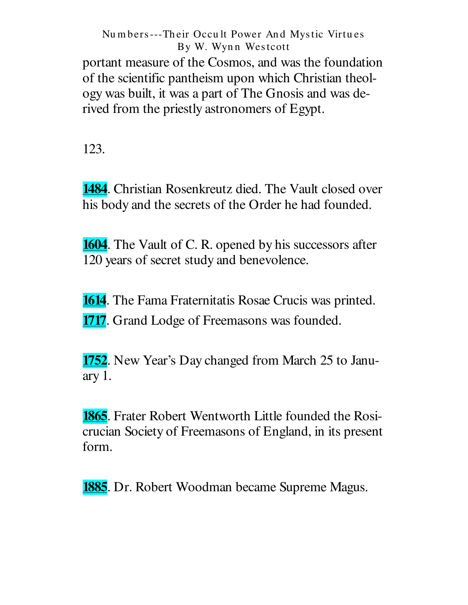Numbers---Their Occult Power And Mystic Virtues By W. Wynn Westcott portant measure of the Cosmos, and was the foundation of the scientific pantheism upon which Christian theology was built, it was a part of The Gnosis and was derived from the priestly astronomers of Egypt.

123.

**1484.** Christian Rosenkreutz died. The Vault closed over his body and the secrets of the Order he had founded.

**1604.** The Vault of C. R. opened by his successors after 120 years of secret study and benevolence.

**1614**. The Fama Fraternitatis Rosae Crucis was printed. **1717**. Grand Lodge of Freemasons was founded.

1752. New Year's Day changed from March 25 to January  $1$ .

**1865.** Frater Robert Wentworth Little founded the Rosicrucian Society of Freemasons of England, in its present form.

**1885.** Dr. Robert Woodman became Supreme Magus.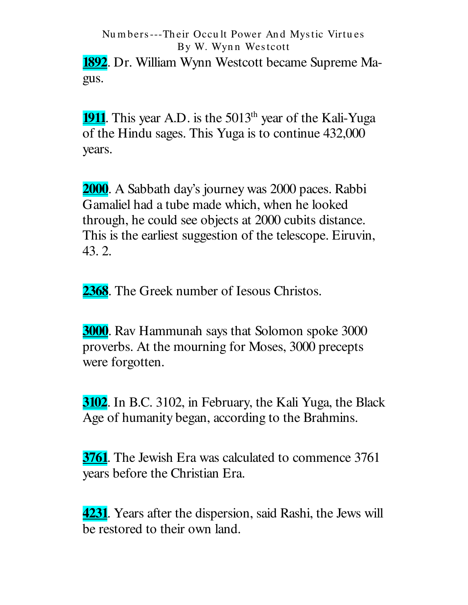**1892.** Dr. William Wynn Westcott became Supreme Magus.

**1911**. This year A.D. is the 5013<sup>th</sup> year of the Kali-Yuga of the Hindu sages. This Yuga is to continue 432,000 years.

**2000**. A Sabbath day's journey was 2000 paces. Rabbi Gamaliel had a tube made which, when he looked through, he could see objects at 2000 cubits distance. This is the earliest suggestion of the telescope. Eiruvin, 43.2.

2368. The Greek number of Iesous Christos.

**3000.** Rav Hammunah says that Solomon spoke 3000 proverbs. At the mourning for Moses, 3000 precepts were forgotten.

**3102.** In B.C. 3102, in February, the Kali Yuga, the Black Age of humanity began, according to the Brahmins.

**3761.** The Jewish Era was calculated to commence 3761 years before the Christian Era.

**4231.** Years after the dispersion, said Rashi, the Jews will be restored to their own land.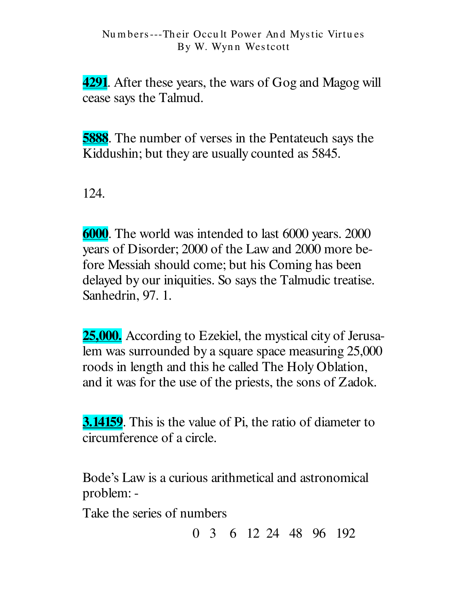**4291.** After these years, the wars of Gog and Magog will cease says the Talmud.

**5888.** The number of verses in the Pentateuch says the Kiddushin; but they are usually counted as 5845.

124.

6000. The world was intended to last 6000 years. 2000 years of Disorder; 2000 of the Law and 2000 more before Messiah should come; but his Coming has been delayed by our iniquities. So says the Talmudic treatise. Sanhedrin, 97. 1.

**25,000.** According to Ezekiel, the mystical city of Jerusalem was surrounded by a square space measuring 25,000 roods in length and this he called The Holy Oblation, and it was for the use of the priests, the sons of Zadok.

**3.14159**. This is the value of Pi, the ratio of diameter to circumference of a circle.

Bode's Law is a curious arithmetical and astronomical problem: -

Take the series of numbers

0 3 6 12 24 48 96 192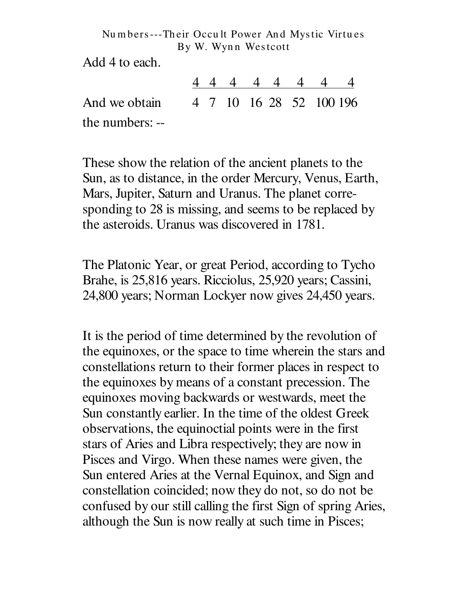Add 4 to each.

|                                       |  |  | 44444444 |  |
|---------------------------------------|--|--|----------|--|
| And we obtain 4 7 10 16 28 52 100 196 |  |  |          |  |
| the numbers: --                       |  |  |          |  |

These show the relation of the ancient planets to the Sun, as to distance, in the order Mercury, Venus, Earth, Mars, Jupiter, Saturn and Uranus. The planet corresponding to 28 is missing, and seems to be replaced by the asteroids. Uranus was discovered in 1781.

The Platonic Year, or great Period, according to Tycho Brahe, is 25,816 years. Ricciolus, 25,920 years; Cassini, 24,800 years; Norman Lockyer now gives 24,450 years.

It is the period of time determined by the revolution of the equinoxes, or the space to time wherein the stars and constellations return to their former places in respect to the equinoxes by means of a constant precession. The equinoxes moving backwards or westwards, meet the Sun constantly earlier. In the time of the oldest Greek observations, the equinoctial points were in the first stars of Aries and Libra respectively; they are now in Pisces and Virgo. When these names were given, the Sun entered Aries at the Vernal Equinox, and Sign and constellation coincided; now they do not, so do not be confused by our still calling the first Sign of spring Aries, although the Sun is now really at such time in Pisces;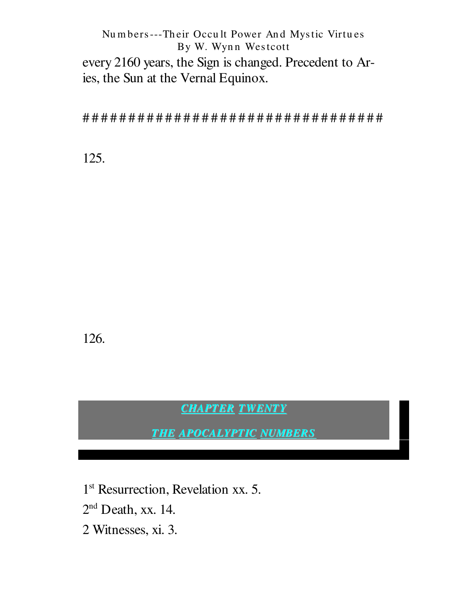Numbers---Their Occult Power And Mystic Virtues By W. Wynn Westcott every 2160 years, the Sign is changed. Precedent to Aries, the Sun at the Vernal Equinox.

125.

126.

**CHAPTER TWENTY** 

**THE APOCALYPTIC NUMBERS** 

1<sup>st</sup> Resurrection, Revelation xx. 5.  $2<sup>nd</sup>$  Death, xx. 14. 2 Witnesses, xi. 3.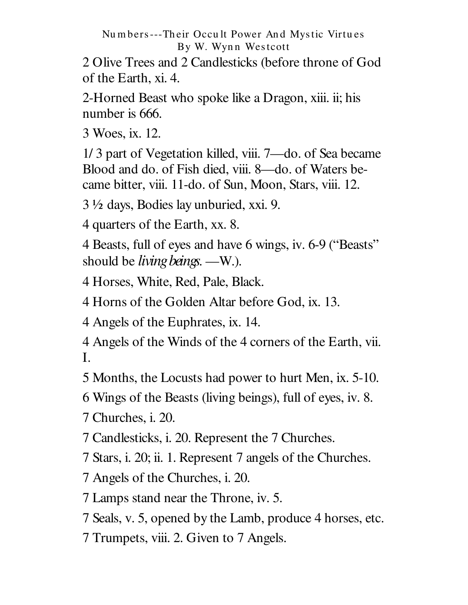2 Olive Trees and 2 Candlesticks (before throne of God of the Earth, xi. 4.

2-Horned Beast who spoke like a Dragon, xiii. ii; his number is 666.

3 Woes, ix. 12.

1/3 part of Vegetation killed, viii. 7—do. of Sea became Blood and do. of Fish died, viii. 8-do. of Waters became bitter, viii. 11-do. of Sun, Moon, Stars, viii. 12.

3 ½ days, Bodies lay unburied, xxi. 9.

4 quarters of the Earth, xx. 8.

4 Beasts, full of eyes and have 6 wings, iv. 6-9 ("Beasts" should be *living beings*. —W.).

4 Horses, White, Red, Pale, Black.

4 Horns of the Golden Altar before God, ix. 13.

4 Angels of the Euphrates, ix. 14.

4 Angels of the Winds of the 4 corners of the Earth, vii. I.

5 Months, the Locusts had power to hurt Men, ix. 5-10.

6 Wings of the Beasts (living beings), full of eyes, iv. 8.

7 Churches, *i.* 20.

7 Candlesticks, i. 20. Represent the 7 Churches.

7 Stars, i. 20; ii. 1. Represent 7 angels of the Churches.

7 Angels of the Churches, i. 20.

7 Lamps stand near the Throne, iv. 5.

7 Seals, v. 5, opened by the Lamb, produce 4 horses, etc.

7 Trumpets, viii. 2. Given to 7 Angels.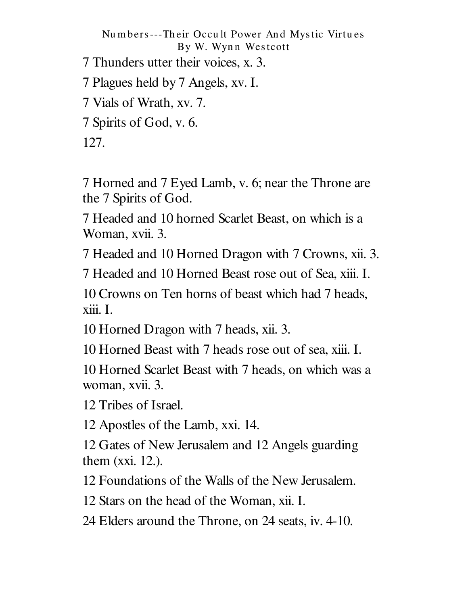Numbers---Their Occult Power And Mystic Virtues By W. Wynn Westcott 7 Thunders utter their voices, x. 3. 7 Plagues held by 7 Angels, xv. I. 7 Vials of Wrath, xv. 7. 7 Spirits of God, v. 6. 127.

7 Horned and 7 Eyed Lamb, v. 6; near the Throne are the 7 Spirits of God.

7 Headed and 10 horned Scarlet Beast, on which is a Woman, xvii. 3.

7 Headed and 10 Horned Dragon with 7 Crowns, xii. 3.

7 Headed and 10 Horned Beast rose out of Sea, xiii. I.

10 Crowns on Ten horns of beast which had 7 heads, xiii. I.

10 Horned Dragon with 7 heads, xii. 3.

10 Horned Beast with 7 heads rose out of sea, xiii. I.

10 Horned Scarlet Beast with 7 heads, on which was a woman, xvii. 3.

12 Tribes of Israel.

12 Apostles of the Lamb, xxi. 14.

12 Gates of New Jerusalem and 12 Angels guarding them  $(xxi. 12)$ .

12 Foundations of the Walls of the New Jerusalem.

12 Stars on the head of the Woman, xii. I.

24 Elders around the Throne, on 24 seats, iv. 4-10.